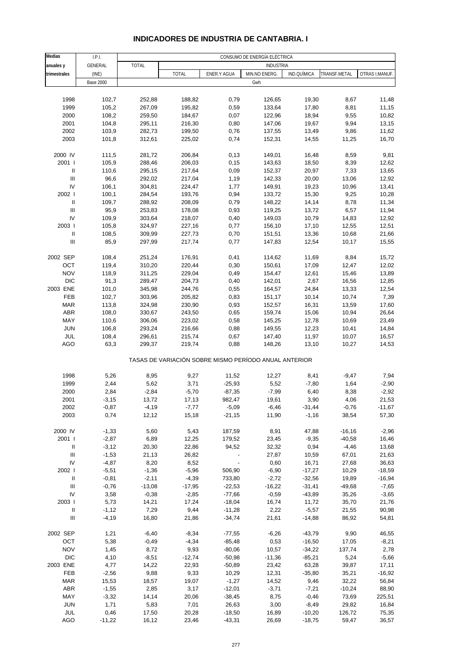# **INDICADORES DE INDUSTRIA DE CANTABRIA. I**

| <b>Medias</b>                      | I.P.I.           |              |                                                       |                          | CONSUMO DE ENERGÍA ELÉCTRICA |             |                |                |
|------------------------------------|------------------|--------------|-------------------------------------------------------|--------------------------|------------------------------|-------------|----------------|----------------|
| anuales y                          | GENERAL          | <b>TOTAL</b> |                                                       |                          | <b>INDUSTRIA</b>             |             |                |                |
| trimestrales                       | (INE)            |              | <b>TOTAL</b>                                          | ENER.Y AGUA              | MIN.NO ENERG.                | IND.QUÍMICA | TRANSF.METAL   | OTRAS I.MANUF. |
|                                    | <b>Base 2000</b> |              |                                                       |                          | Gwh                          |             |                |                |
|                                    |                  |              |                                                       |                          |                              |             |                |                |
| 1998                               | 102,7            | 252,88       | 188,82                                                | 0,79                     | 126,65                       | 19,30       | 8,67           | 11,48          |
| 1999                               | 105,2            | 267,09       | 195,82                                                | 0,59                     | 133,64                       | 17,80       | 8,81           | 11,15          |
|                                    | 108,2            |              |                                                       |                          |                              |             |                |                |
| 2000                               |                  | 259,50       | 184,67                                                | 0,07                     | 122,96                       | 18,94       | 9,55           | 10,82          |
| 2001                               | 104,8            | 295,11       | 216,30                                                | 0,80                     | 147,06                       | 19,67       | 9,94           | 13,15          |
| 2002                               | 103,9            | 282,73       | 199,50                                                | 0,76                     | 137,55                       | 13,49       | 9,86           | 11,62          |
| 2003                               | 101,8            | 312,61       | 225,02                                                | 0,74                     | 152,31                       | 14,55       | 11,25          | 16,70          |
| 2000 IV                            | 111,5            | 281,72       | 206,84                                                | 0,13                     | 149,01                       | 16,48       | 8,59           | 9,81           |
| 2001 l                             | 105,9            | 288,46       | 206,03                                                | 0,15                     | 143,63                       | 18,50       | 8,39           | 12,62          |
| Ш                                  | 110,6            | 295,15       | 217,64                                                | 0,09                     | 152,37                       | 20,97       | 7,33           | 13,65          |
| $\ensuremath{\mathsf{III}}\xspace$ | 96,6             | 292,02       | 217,04                                                | 1,19                     | 142,33                       | 20,00       | 13,06          | 12,92          |
| IV                                 | 106,1            | 304,81       | 224,47                                                | 1,77                     | 149,91                       | 19,23       | 10,96          | 13,41          |
| 2002                               | 100,1            | 284,54       | 193,76                                                | 0,94                     | 133,72                       | 15,30       | 9,25           | 10,28          |
| $\ensuremath{\mathsf{II}}$         | 109,7            | 288,92       | 208,09                                                | 0,79                     | 148,22                       | 14,14       | 8,78           | 11,34          |
| Ш                                  | 95,9             | 253,83       | 178,08                                                | 0,93                     | 119,25                       | 13,72       | 6,57           | 11,94          |
| IV                                 | 109,9            | 303,64       | 218,07                                                | 0,40                     | 149,03                       | 10,79       | 14,83          | 12,92          |
| 2003                               | 105,8            | 324,97       | 227,16                                                | 0,77                     | 156,10                       | 17,10       |                | 12,51          |
| $\ensuremath{\mathsf{II}}$         |                  |              |                                                       |                          |                              | 13,36       | 12,55<br>10,68 |                |
|                                    | 108,5            | 309,99       | 227,73                                                | 0,70                     | 151,51                       |             |                | 21,66          |
| $\ensuremath{\mathsf{III}}\xspace$ | 85,9             | 297,99       | 217,74                                                | 0,77                     | 147,83                       | 12,54       | 10,17          | 15,55          |
| 2002 SEP                           | 108,4            | 251,24       | 176,91                                                | 0,41                     | 114,62                       | 11,69       | 8,84           | 15,72          |
| OCT                                | 119,4            | 310,20       | 220,44                                                | 0,30                     | 150,61                       | 17,09       | 12,47          | 12,02          |
| <b>NOV</b>                         | 118,9            | 311,25       | 229,04                                                | 0,49                     | 154,47                       | 12,61       | 15,46          | 13,89          |
| <b>DIC</b>                         | 91,3             | 289,47       | 204,73                                                | 0,40                     | 142,01                       | 2,67        | 16,56          | 12,85          |
| 2003 ENE                           | 101,0            | 345,98       | 244,76                                                | 0,55                     | 164,57                       | 24,84       | 13,33          | 12,54          |
| FEB                                | 102,7            | 303,96       | 205,82                                                | 0,83                     | 151,17                       | 10,14       | 10,74          | 7,39           |
| <b>MAR</b>                         | 113,8            | 324,98       | 230,90                                                | 0,93                     | 152,57                       | 16,31       | 13,59          | 17,60          |
| ABR                                | 108,0            | 330,67       | 243,50                                                | 0,65                     | 159,74                       | 15,06       | 10,94          | 26,64          |
| MAY                                | 110,6            | 306,06       | 223,02                                                | 0,58                     | 145,25                       | 12,78       | 10,69          | 23,49          |
| <b>JUN</b>                         | 106,8            | 293,24       | 216,66                                                | 0,88                     | 149,55                       | 12,23       | 10,41          | 14,84          |
| JUL                                | 108,4            | 296,61       | 215,74                                                | 0,67                     | 147,40                       | 11,97       | 10,07          | 16,57          |
| AGO                                | 63,3             | 299,37       | 219,74                                                | 0,88                     | 148,26                       | 13,10       | 10,27          | 14,53          |
|                                    |                  |              |                                                       |                          |                              |             |                |                |
|                                    |                  |              | TASAS DE VARIACIÓN SOBRE MISMO PERÍODO ANUAL ANTERIOR |                          |                              |             |                |                |
| 1998                               | 5,26             | 8,95         | 9,27                                                  | 11,52                    | 12,27                        | 8,41        | $-9,47$        | 7,94           |
| 1999                               | 2,44             | 5,62         | 3,71                                                  | $-25,93$                 | 5,52                         | $-7,80$     | 1,64           | $-2,90$        |
|                                    |                  |              |                                                       |                          |                              |             |                |                |
| 2000                               | 2,84             | $-2,84$      | $-5,70$                                               | $-87,35$                 | $-7,99$                      | 6,40        | 8,38           | $-2,92$        |
| 2001                               | $-3,15$          | 13,72        | 17,13                                                 | 982,47                   | 19,61                        | 3,90        | 4,06           | 21,53          |
| 2002                               | $-0,87$          | -4,19        | -7,77                                                 | -5,09                    | -6,46                        | -31,44      | $-0,76$        | $-11,67$       |
| 2003                               | 0,74             | 12,12        | 15,18                                                 | $-21,15$                 | 11,90                        | $-1,16$     | 38,54          | 57,30          |
| 2000 IV                            | $-1,33$          | 5,60         | 5,43                                                  | 187,59                   | 8,91                         | 47,88       | $-16,16$       | $-2,96$        |
| 2001 l                             | $-2,87$          | 6,89         | 12,25                                                 | 179,52                   | 23,45                        | $-9,35$     | $-40,58$       | 16,46          |
| Ш                                  | $-3,12$          | 20,30        | 22,86                                                 | 94,52                    | 32,32                        | 0,94        | $-4,46$        | 13,68          |
| $\ensuremath{\mathsf{III}}\xspace$ | $-1,53$          | 21,13        | 26,82                                                 | $\overline{\phantom{a}}$ | 27,87                        | 10,59       | 67,01          | 21,63          |
| IV                                 | $-4,87$          | 8,20         | 8,52                                                  | $\overline{\phantom{a}}$ | 0,60                         | 16,71       | 27,68          | 36,63          |
| 2002                               | $-5,51$          | $-1,36$      | $-5,96$                                               | 506,90                   | $-6,90$                      | $-17,27$    | 10,29          | $-18,59$       |
| $\rm H$                            | $-0,81$          | $-2,11$      | $-4,39$                                               | 733,80                   | $-2,72$                      | $-32,56$    | 19,89          | $-16,94$       |
| Ш                                  | $-0,76$          | $-13,08$     | $-17,95$                                              | $-22,53$                 | $-16,22$                     | $-31,41$    | $-49,68$       | $-7,65$        |
| IV                                 | 3,58             | $-0,38$      | $-2,85$                                               | $-77,66$                 | $-0,59$                      | $-43,89$    | 35,26          | $-3,65$        |
| 2003                               | 5,73             | 14,21        | 17,24                                                 | $-18,04$                 | 16,74                        | 11,72       | 35,70          | 21,76          |
| $\rm H$                            | $-1,12$          | 7,29         | 9,44                                                  | $-11,28$                 | 2,22                         | $-5,57$     | 21,55          | 90,98          |
| Ш                                  | $-4,19$          | 16,80        | 21,86                                                 | $-34,74$                 | 21,61                        | $-14,88$    | 86,92          | 54,81          |
|                                    |                  |              |                                                       |                          |                              |             |                |                |
| 2002 SEP                           | 1,21             | $-6,40$      | $-8,34$                                               | $-77,55$                 | $-6,26$                      | $-43,79$    | 9,90           | 46,55          |
| OCT                                | 5,38             | $-0,49$      | $-4,34$                                               | $-85,48$                 | 0,53                         | $-16,50$    | 17,05          | $-8,21$        |
| <b>NOV</b>                         | 1,45             | 8,72         | 9,93                                                  | $-80,06$                 | 10,57                        | $-34,22$    | 137,74         | 2,78           |
| <b>DIC</b>                         | 4,10             | $-8,51$      | $-12,74$                                              | $-50,98$                 | $-11,36$                     | $-85,21$    | 5,24           | $-5,66$        |
| 2003 ENE                           | 4,77             | 14,22        | 22,93                                                 | $-50,89$                 | 23,42                        | 63,28       | 39,87          | 17,11          |
| FEB                                | $-2,56$          | 9,88         | 9,33                                                  | 10,29                    | 12,31                        | $-35,80$    | 35,21          | $-16,92$       |
| <b>MAR</b>                         | 15,53            | 18,57        | 19,07                                                 | $-1,27$                  | 14,52                        | 9,46        | 32,22          | 56,84          |
| ABR                                | $-1,55$          | 2,85         | 3,17                                                  | $-12,01$                 | $-3,71$                      | $-7,21$     | $-10,24$       | 88,90          |
| MAY                                | $-3,32$          | 14,14        | 20,06                                                 | $-38,45$                 | 8,75                         | $-0,46$     | 73,69          | 225,51         |
| <b>JUN</b>                         | 1,71             | 5,83         | 7,01                                                  | 26,63                    | 3,00                         | $-8,49$     | 29,82          | 16,84          |
| JUL                                | 0,46             | 17,50        | 20,28                                                 | $-18,50$                 | 16,89                        | $-10,20$    | 126,72         | 75,35          |
| AGO                                | $-11,22$         | 16,12        | 23,46                                                 | $-43,31$                 | 26,69                        | $-18,75$    | 59,47          | 36,57          |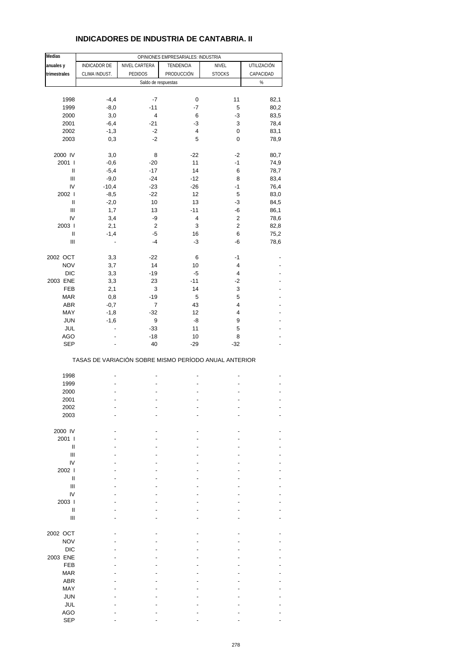# **INDICADORES DE INDUSTRIA DE CANTABRIA. II**

| <b>Medias</b>                      |                                                       |                     | OPINIONES EMPRESARIALES: INDUSTRIA |                         |             |
|------------------------------------|-------------------------------------------------------|---------------------|------------------------------------|-------------------------|-------------|
| anuales y                          | INDICADOR DE                                          | NIVEL CARTERA       | TENDENCIA                          | NIVEL                   | UTILIZACIÓN |
| trimestrales                       | CLIMA INDUST.                                         | <b>PEDIDOS</b>      | PRODUCCIÓN                         | <b>STOCKS</b>           | CAPACIDAD   |
|                                    |                                                       |                     |                                    |                         | $\%$        |
|                                    |                                                       | Saldo de respuestas |                                    |                         |             |
|                                    |                                                       |                     |                                    |                         |             |
| 1998                               | $-4,4$                                                | -7                  | 0                                  | 11                      | 82,1        |
| 1999                               | $-8,0$                                                | $-11$               | $-7$                               | 5                       | 80,2        |
| 2000                               | 3,0                                                   | 4                   | 6                                  | $-3$                    | 83,5        |
| 2001                               | $-6,4$                                                | $-21$               | -3                                 | 3                       | 78,4        |
| 2002                               | $-1,3$                                                | $-2$                | 4                                  | 0                       | 83,1        |
| 2003                               | 0,3                                                   | $-2$                | 5                                  | 0                       | 78,9        |
|                                    |                                                       |                     |                                    |                         |             |
| 2000 IV                            | 3,0                                                   | 8                   | $-22$                              | $-2$                    | 80,7        |
| 2001 l                             | $-0,6$                                                | $-20$               | 11                                 | $-1$                    | 74,9        |
| Ш                                  | $-5,4$                                                | $-17$               | 14                                 | 6                       | 78,7        |
|                                    |                                                       |                     |                                    |                         |             |
| $\ensuremath{\mathsf{III}}\xspace$ | $-9,0$                                                | $-24$               | $-12$                              | 8                       | 83,4        |
| IV                                 | $-10,4$                                               | $-23$               | $-26$                              | $-1$                    | 76,4        |
| 2002                               | $-8,5$                                                | $-22$               | 12                                 | 5                       | 83,0        |
| $\sf II$                           | $-2,0$                                                | 10                  | 13                                 | -3                      | 84,5        |
| $\begin{array}{c} \Pi \end{array}$ | 1,7                                                   | 13                  | $-11$                              | $-6$                    | 86,1        |
| IV                                 | 3,4                                                   | -9                  | 4                                  | 2                       | 78,6        |
| 2003                               | 2,1                                                   | $\sqrt{2}$          | 3                                  | $\overline{c}$          | 82,8        |
| $\sf II$                           | $-1,4$                                                | $-5$                | 16                                 | 6                       | 75,2        |
|                                    |                                                       |                     |                                    |                         |             |
| Ш                                  |                                                       | $-4$                | $-3$                               | -6                      | 78,6        |
|                                    |                                                       |                     |                                    | $-1$                    |             |
| 2002 OCT                           | 3,3                                                   | $-22$               | 6                                  |                         |             |
| <b>NOV</b>                         | 3,7                                                   | 14                  | 10                                 | 4                       |             |
| <b>DIC</b>                         | 3,3                                                   | $-19$               | $-5$                               | $\overline{\mathbf{4}}$ |             |
| 2003 ENE                           | 3,3                                                   | 23                  | $-11$                              | $-2$                    |             |
| FEB                                | 2,1                                                   | 3                   | 14                                 | 3                       |             |
| <b>MAR</b>                         | 0,8                                                   | $-19$               | 5                                  | 5                       |             |
| ABR                                | $-0,7$                                                | 7                   | 43                                 | 4                       |             |
| MAY                                | $-1,8$                                                | $-32$               | 12                                 | 4                       |             |
|                                    |                                                       |                     |                                    |                         |             |
| <b>JUN</b>                         | $-1,6$                                                | 9                   | -8                                 | 9                       |             |
| JUL                                | $\overline{a}$                                        | $-33$               | 11                                 | 5                       |             |
| <b>AGO</b>                         |                                                       | $-18$               | 10                                 | 8                       |             |
| <b>SEP</b>                         |                                                       | 40                  | $-29$                              | $-32$                   |             |
|                                    | TASAS DE VARIACIÓN SOBRE MISMO PERÍODO ANUAL ANTERIOR |                     |                                    |                         |             |
|                                    |                                                       |                     |                                    |                         |             |
| 1998                               |                                                       |                     |                                    |                         |             |
| 1999                               |                                                       |                     |                                    |                         |             |
| 2000                               |                                                       |                     |                                    |                         |             |
| 2001                               |                                                       |                     |                                    |                         |             |
| 2002                               |                                                       |                     |                                    |                         |             |
| 2003                               |                                                       |                     |                                    |                         |             |
|                                    |                                                       |                     |                                    |                         |             |
| 2000 IV                            |                                                       |                     |                                    |                         |             |
| 2001 l                             |                                                       |                     |                                    |                         |             |
|                                    |                                                       |                     |                                    |                         |             |
| Ш                                  |                                                       |                     |                                    |                         |             |
| Ш                                  |                                                       |                     |                                    |                         |             |
| IV                                 |                                                       |                     |                                    |                         |             |
| 2002                               |                                                       |                     |                                    |                         |             |
| $\mathsf{I}$                       |                                                       |                     |                                    |                         |             |
| Ш                                  |                                                       |                     |                                    |                         |             |
| IV                                 |                                                       |                     |                                    |                         |             |
| 2003                               |                                                       |                     |                                    |                         |             |
| $\mathsf{I}$                       |                                                       |                     |                                    |                         |             |
| Ш                                  |                                                       |                     |                                    |                         |             |
|                                    |                                                       |                     |                                    |                         |             |
| 2002 OCT                           |                                                       |                     |                                    |                         |             |
|                                    |                                                       |                     |                                    |                         |             |
| <b>NOV</b>                         |                                                       |                     |                                    |                         |             |
| <b>DIC</b>                         |                                                       |                     |                                    |                         |             |
| 2003 ENE                           |                                                       |                     |                                    |                         |             |
| <b>FEB</b>                         |                                                       |                     |                                    |                         |             |
| <b>MAR</b>                         |                                                       |                     |                                    |                         |             |
| ABR                                |                                                       |                     |                                    |                         |             |
| MAY                                |                                                       |                     |                                    |                         |             |
| <b>JUN</b>                         |                                                       |                     |                                    |                         |             |
|                                    |                                                       |                     |                                    |                         |             |
| JUL                                |                                                       |                     |                                    |                         |             |
| <b>AGO</b>                         |                                                       |                     |                                    |                         |             |
| <b>SEP</b>                         |                                                       |                     |                                    |                         |             |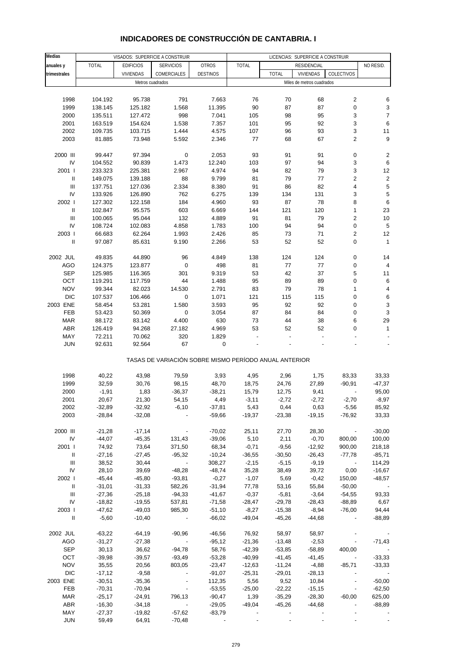#### **Medias anuales y** | TOTAL | EDIFICIOS | SERVICIOS | OTROS | TOTAL | RESIDENCIAL | NO RESID. **trimestrales** VIVIENDAS COMERCIALES DESTINOS TOTAL VIVIENDAS COLECTIVOS 1998 104.192 95.738 791 7.663 76 70 68 2 6 1999 138.145 125.182 1.568 11.395 90 87 87 0 3 2000 135.511 127.472 998 7.041 105 98 95 3 7 2001 163.519 154.624 1.538 7.357 101 95 92 3 6 2002 109.735 103.715 1.444 4.575 107 96 93 3 11 2003 81.885 73.948 5.592 2.346 77 68 67 2 9 2000 III 99.447 97.394 0 2.053 93 91 91 0 2 IV 104.552 90.839 1.473 12.240 103 97 94 3 6 2001 I 233.323 225.381 2.967 4.974 94 82 79 3 12 II 149.075 139.188 88 9.799 81 79 77 2 2 III 137.751 127.036 2.334 8.380 91 86 82 4 5 IV 133.926 126.890 762 6.275 139 134 131 3 5 2002 I 127.302 122.158 184 4.960 93 87 78 8 6 II 102.847 95.575 603 6.669 144 121 120 1 23 III 100.065 95.044 132 4.889 91 81 79 2 10 IV 108.724 102.083 4.858 1.783 100 94 94 0 5 2003 I 66.683 62.264 1.993 2.426 85 73 71 2 12 II 97.087 85.631 9.190 2.266 53 52 52 0 1 2002 JUL 49.835 44.890 96 4.849 138 124 124 0 14 AGO 124.375 123.877 0 498 81 77 77 0 4 SEP 125.985 116.365 301 9.319 53 42 37 5 11 OCT 119.291 117.759 44 1.488 95 89 89 0 6 NOV 99.344 82.023 14.530 2.791 83 79 78 1 4 DIC 107.537 106.466 0 1.071 121 115 115 0 6 2003 ENE 58.454 53.281 1.580 3.593 95 92 92 0 3 FEB 53.423 50.369 0 3.054 87 84 84 0 3 MAR 88.172 83.142 4.400 630 73 44 38 6 29 ABR 126.419 94.268 27.182 4.969 53 52 52 0 1 MAY 72.211 70.062 320 1.829 - - - - - JUN 92.631 92.564 67 0 - - - - - TASAS DE VARIACIÓN SOBRE MISMO PERÍODO ANUAL ANTERIOR 1998 40,22 43,98 79,59 3,93 4,95 2,96 1,75 83,33 33,33 1999 32,59 30,76 98,15 48,70 18,75 24,76 27,89 -90,91 -47,37 2000 -1,91 1,83 -36,37 -38,21 15,79 12,75 9,41 - 95,00 2001 20,67 21,30 54,15 4,49 -3,11 -2,72 -2,72 -2,70 -8,97 2002 -32,89 -32,92 -6,10 -37,81 5,43 0,44 0,63 -5,56 85,92 2003 -28,84 -32,08 - -59,66 -19,37 -23,38 -19,15 -76,92 33,33 2000 III -21,28 -17,14 - -70,02 25,11 27,70 28,30 - -30,00 IV -44,07 -45,35 131,43 -39,06 5,10 2,11 -0,70 800,00 100,00 2001 I 74,92 73,64 371,50 68,34 -0,71 -9,56 -12,92 900,00 218,18 II -27,16 -27,45 -95,32 -10,24 -36,55 -30,50 -26,43 -77,78 -85,71 III 38,52 30,44 - 308,27 -2,15 -5,15 -9,19 - 114,29 IV 28,10 39,69 -48,28 -48,74 35,28 38,49 39,72 0,00 -16,67 2002 I -45,44 -45,80 -93,81 -0,27 -1,07 5,69 -0,42 150,00 -48,57 II -31,01 -31,33 582,26 -31,94 77,78 53,16 55,84 -50,00 - III -27,36 -25,18 -94,33 -41,67 -0,37 -5,81 -3,64 -54,55 93,33 IV -18,82 -19,55 537,81 -71,58 -28,47 -29,78 -28,43 -88,89 6,67 2003 I -47,62 -49,03 985,30 -51,10 -8,27 -15,38 -8,94 -76,00 94,44 II -5,60 -10,40 - -66,02 -49,04 -45,26 -44,68 - -88,89 2002 JUL -63,22 -64,19 -90,96 -46,56 76,92 58,97 58,97 - - AGO -31,27 -27,38 - -95,12 -21,36 -13,48 -2,53 - -71,43 SEP 30,13 36,62 -94,78 58,76 -42,39 -53,85 -58,89 400,00 - OCT -39,98 -39,57 -93,49 -53,28 -40,99 -41,45 -41,45 - -33,33 NOV 35,55 20,56 803,05 -23,47 -12,63 -11,24 -4,88 -85,71 -33,33 DIC -17,12 -9,58 - -91,07 -25,31 -29,01 -28,13 - -2003 ENE -30,51 -35,36 - 112,35 5,56 9,52 10,84 - -50,00 FEB -70,31 -70,94 - -62,55 -25,00 -22,22 -15,15 - -62,50 MAR -25,17 -24,91 796,13 -90,47 1,39 -35,29 -28,30 -60,00 625,00 ABR -16,30 -34,18 - -29,05 -49,04 -45,26 -44,68 - -88,89 VISADOS: SUPERFICIE A CONSTRUIR LICENCIAS: SUPERFICIE A CONSTRUIR **RESIDENCIAL** Metros cuadrados **Metros** cuadrados **Miles de metros cuadrados Miles de metros cuadrados**

#### **INDICADORES DE CONSTRUCCIÓN DE CANTABRIA. I**

 MAY -27,37 -19,82 -57,62 -83,79 - - - - - JUN 59,49 64,91 -70,48 - - - - - -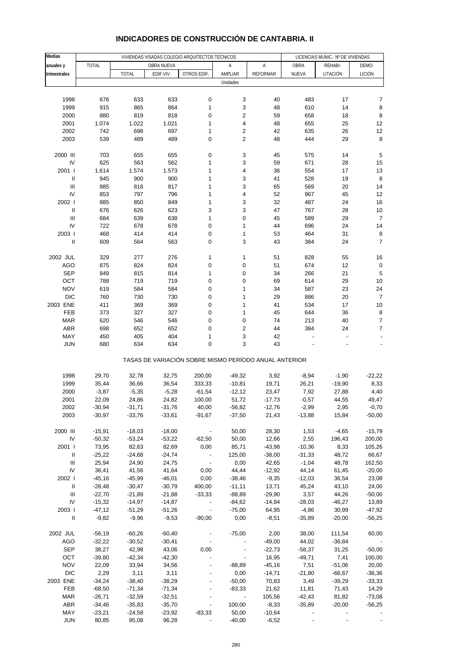| Medias                             |                   |                   |                   | VIVIENDAS VISADAS COLEGIO ARQUITECTOS TÉCNICOS        |                          |                     | LICENCIAS MUNIC.: Nº DE VIVIENDAS |                |                           |
|------------------------------------|-------------------|-------------------|-------------------|-------------------------------------------------------|--------------------------|---------------------|-----------------------------------|----------------|---------------------------|
| anuales y                          | <b>TOTAL</b>      |                   | OBRA NUEVA        |                                                       | Α                        | Α                   | OBRA                              | REHABI-        | DEMO-                     |
| trimestrales                       |                   | <b>TOTAL</b>      | EDIF.VIV.         | OTROS EDIF.                                           | AMPLIAR                  | <b>REFORMAR</b>     | NUEVA                             | LITACIÓN       | LICIÓN                    |
|                                    |                   |                   |                   |                                                       | Unidades                 |                     |                                   |                |                           |
|                                    |                   |                   |                   |                                                       |                          |                     |                                   |                |                           |
| 1998                               | 676               | 633               | 633               | 0                                                     | 3                        | 40                  | 483                               | 17             | 7                         |
| 1999                               | 915               | 865               | 864               | $\mathbf{1}$                                          | 3                        | 48                  | 610                               | 14             | 8                         |
| 2000                               | 880               | 819               | 818               | $\pmb{0}$                                             | $\overline{\mathbf{c}}$  | 59                  | 658                               | 18             | 8                         |
| 2001                               | 1.074             | 1.022             | 1.021             | $\mathbf{1}$                                          | 4                        | 48                  | 655                               | 25             | 12                        |
| 2002                               | 742               | 698               | 697               | $\mathbf{1}$                                          | $\overline{\mathbf{c}}$  | 42                  | 635                               | 26             | 12                        |
| 2003                               | 539               | 489               | 489               | $\mathbf 0$                                           | $\overline{2}$           | 48                  | 444                               | 29             | 8                         |
| 2000 III                           |                   |                   |                   | $\pmb{0}$                                             | 3                        |                     |                                   | 14             |                           |
| IV                                 | 703<br>625        | 655<br>563        | 655<br>562        | $\mathbf{1}$                                          | 3                        | 45<br>59            | 575<br>671                        | 28             | 5<br>15                   |
| 2001 l                             | 1.614             | 1.574             | 1.573             | $\mathbf{1}$                                          | 4                        | 36                  | 554                               | 17             | 13                        |
| $\ensuremath{\mathsf{II}}$         | 945               | 900               | 900               | $\mathbf{1}$                                          | 3                        | 41                  | 528                               | 19             | 8                         |
| Ш                                  | 885               | 818               | 817               | $\mathbf{1}$                                          | 3                        | 65                  | 569                               | 20             | 14                        |
| IV                                 | 853               | 797               | 796               | $\mathbf{1}$                                          | 4                        | 52                  | 967                               | 45             | 12                        |
| 2002                               | 885               | 850               | 849               | $\mathbf{1}$                                          | 3                        | 32                  | 487                               | 24             | 16                        |
| Ш                                  | 676               | 626               | 623               | 3                                                     | 3                        | 47                  | 767                               | 28             | 10                        |
| $\mathbf{III}$                     | 684               | 639               | 638               | $\mathbf{1}$                                          | $\pmb{0}$                | 45                  | 589                               | 29             | $\overline{7}$            |
| IV                                 | 722               | 678               | 678               | 0                                                     | 1                        | 44                  | 696                               | 24             | 14                        |
| 2003                               | 468               | 414               | 414               | 0                                                     | 1                        | 53                  | 464                               | 31             | 8                         |
| $\mathsf{I}$                       | 609               | 564               | 563               | 0                                                     | 3                        | 43                  | 384                               | 24             | $\overline{7}$            |
|                                    |                   |                   |                   |                                                       |                          |                     |                                   |                |                           |
| 2002 JUL                           | 329               | 277               | 276               | 1                                                     | 1                        | 51                  | 828                               | 55             | 16                        |
| <b>AGO</b><br><b>SEP</b>           | 875<br>849        | 824<br>815        | 824<br>814        | $\pmb{0}$<br>1                                        | 0<br>0                   | 51<br>34            | 674<br>266                        | 12<br>21       | $\mathbf 0$<br>5          |
| OCT                                | 788               | 719               | 719               | $\pmb{0}$                                             | $\pmb{0}$                | 69                  | 614                               | 29             | 10                        |
| <b>NOV</b>                         | 619               | 584               | 584               | 0                                                     | 1                        | 34                  | 587                               | 23             | 24                        |
| <b>DIC</b>                         | 760               | 730               | 730               | 0                                                     | $\mathbf{1}$             | 29                  | 886                               | 20             | $\overline{7}$            |
| 2003 ENE                           | 411               | 369               | 369               | 0                                                     | 1                        | 41                  | 534                               | 17             | 10                        |
| FEB                                | 373               | 327               | 327               | 0                                                     | $\mathbf{1}$             | 45                  | 644                               | 36             | 8                         |
| <b>MAR</b>                         | 620               | 546               | 546               | 0                                                     | 0                        | 74                  | 213                               | 40             | $\overline{\mathfrak{c}}$ |
| ABR                                | 698               | 652               | 652               | $\pmb{0}$                                             | $\overline{\mathbf{c}}$  | 44                  | 384                               | 24             | 7                         |
| MAY                                | 450               | 405               | 404               | $\mathbf{1}$                                          | 3                        | 42                  |                                   |                |                           |
| <b>JUN</b>                         | 680               | 634               | 634               | $\mathbf 0$                                           | 3                        | 43                  |                                   |                |                           |
|                                    |                   |                   |                   | TASAS DE VARIACIÓN SOBRE MISMO PERÍODO ANUAL ANTERIOR |                          |                     |                                   |                |                           |
| 1998                               | 29,70             | 32,78             | 32,75             | 200,00                                                | $-49,32$                 | 3,92                | $-8,94$                           | $-1,90$        | $-22,22$                  |
| 1999                               | 35,44             | 36,66             | 36,54             | 333,33                                                | $-10,81$                 | 19,71               | 26,21                             | $-19,90$       | 8,33                      |
| 2000                               | $-3,87$           | $-5,35$           | $-5,28$           | $-61,54$                                              | $-12,12$                 | 23,47               | 7,92                              | 27,88          | 4,40                      |
| 2001                               | 22,09             | 24,86             | 24,82             | 100,00                                                | 51,72                    | $-17,73$            | $-0,57$                           | 44,55          | 49,47                     |
| 2002                               | $-30,94$          | $-31,71$          | $-31,76$          | 40,00                                                 | $-56,82$                 | $-12,76$            | $-2,99$                           | 2,95           | $-0,70$                   |
| 2003                               | $-30,97$          | $-33,76$          | $-33,61$          | $-91,67$                                              | $-37,50$                 | 21,43               | $-13,88$                          | 15,84          | $-50,00$                  |
|                                    |                   |                   |                   |                                                       |                          |                     |                                   |                |                           |
| 2000 III                           | $-15,91$          | $-18,03$          | $-18,00$          |                                                       | 50,00                    | 28,30               | 1,53                              | $-4,65$        | $-15,79$                  |
| IV                                 | $-50,32$          | $-53,24$          | $-53,22$          | $-62,50$                                              | 50,00                    | 12,66               | 2,55                              | 196,43         | 200,00                    |
| 2001 l                             | 73,95             | 82,63             | 82,69             | 0,00                                                  | 85,71                    | $-43,98$            | $-10,36$                          | 8,33           | 105,26                    |
| Ш                                  | $-25,22$          | $-24,68$          | $-24,74$          | $\overline{\phantom{a}}$                              | 125,00                   | $-38,00$            | $-31,33$                          | 48,72          | 66,67                     |
| $\ensuremath{\mathsf{III}}\xspace$ | 25,94             | 24,90             | 24,75             | $\overline{\phantom{a}}$                              | 0,00                     | 42,65               | $-1,04$                           | 48,78          | 162,50                    |
| IV<br>2002 l                       | 36,41<br>$-45,16$ | 41,56<br>$-45,99$ | 41,64<br>$-46,01$ | 0,00<br>0,00                                          | 44,44<br>$-38,46$        | $-12,92$<br>$-9,35$ | 44,14<br>$-12,03$                 | 61,45<br>36,54 | $-20,00$<br>23,08         |
| $\ensuremath{\mathsf{II}}$         | $-28,48$          | $-30,47$          | $-30,79$          | 400,00                                                | $-11,11$                 | 13,71               | 45,24                             | 43,10          | 24,00                     |
| Ш                                  | $-22,70$          | $-21,89$          | $-21,88$          | $-33,33$                                              | $-88,89$                 | $-29,90$            | 3,57                              | 44,26          | $-50,00$                  |
| IV                                 | $-15,32$          | $-14,97$          | -14,87            | $\overline{\phantom{a}}$                              | $-84,62$                 | $-14,84$            | $-28,03$                          | $-46,27$       | 13,89                     |
| 2003                               | $-47,12$          | $-51,29$          | $-51,26$          | $\overline{\phantom{a}}$                              | $-75,00$                 | 64,95               | $-4,86$                           | 30,99          | $-47,92$                  |
| $\ensuremath{\mathsf{II}}$         | $-9,82$           | $-9,96$           | $-9,53$           | $-90,00$                                              | 0,00                     | $-8,51$             | $-35,89$                          | $-20,00$       | $-56,25$                  |
|                                    |                   |                   |                   |                                                       |                          |                     |                                   |                |                           |
| 2002 JUL                           | $-56,19$          | $-60,26$          | $-60,40$          |                                                       | $-75,00$                 | 2,00                | 38,00                             | 111,54         | 60,00                     |
| <b>AGO</b>                         | $-32,22$          | $-30,52$          | $-30,41$          | $\overline{\phantom{a}}$                              | $\overline{\phantom{a}}$ | $-49,00$            | 44,02                             | $-36,84$       |                           |
| <b>SEP</b>                         | 38,27             | 42,98             | 43,06             | 0,00                                                  |                          | $-22,73$            | $-58,37$                          | 31,25          | $-50,00$                  |
| OCT                                | $-39,80$          | $-42,34$          | $-42,30$          |                                                       | $\blacksquare$           | 16,95               | $-49,71$                          | 7,41           | 100,00                    |
| <b>NOV</b>                         | 22,09             | 33,94             | 34,56             |                                                       | $-88,89$                 | $-45,16$            | 7,51                              | $-51,06$       | 20,00                     |
| <b>DIC</b>                         | 2,29              | 3,11              | 3,11              |                                                       | 0,00                     | $-14,71$            | $-21,80$                          | $-66,67$       | $-36,36$                  |
| 2003 ENE                           | $-34,24$          | $-38,40$          | $-38,29$          |                                                       | $-50,00$                 | 70,83               | 3,49                              | $-39,29$       | $-33,33$                  |
| FEB                                | $-68,50$          | $-71,34$          | $-71,34$          |                                                       | $-83,33$                 | 21,62               | 11,81                             | 71,43          | 14,29                     |
| <b>MAR</b>                         | $-26,71$          | $-32,59$          | $-32,51$          |                                                       | $\overline{\phantom{a}}$ | 105,56              | -42,43                            | 81,82          | $-73,08$                  |
| <b>ABR</b>                         | $-34,46$          | $-35,83$          | $-35,70$          | $\overline{a}$                                        | 100,00                   | $-8,33$             | $-35,89$                          | $-20,00$       | $-56,25$                  |
| MAY                                | $-23,21$          | $-24,58$          | $-23,92$          | -83,33                                                | 50,00                    | $-10,64$            |                                   |                |                           |
| <b>JUN</b>                         | 80,85             | 95,08             | 96,28             |                                                       | $-40,00$                 | $-6,52$             |                                   |                |                           |

## **INDICADORES DE CONSTRUCCIÓN DE CANTABRIA. II**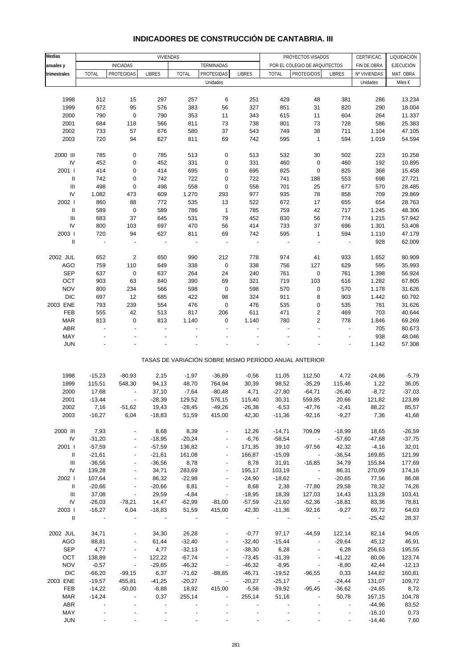| Medias                             |                          |                          | <b>VIVIENDAS</b>         |                          |                          |                          |                          | PROYECTOS VISADOS                                     |                          | CERTIFICAC.    | LIQUIDACIÓN      |
|------------------------------------|--------------------------|--------------------------|--------------------------|--------------------------|--------------------------|--------------------------|--------------------------|-------------------------------------------------------|--------------------------|----------------|------------------|
| anuales y                          |                          | <b>INICIADAS</b>         |                          |                          | TERMINADAS               |                          |                          | POR EL COLEGIO DE ARQUITECTOS                         |                          | FIN DE OBRA    | <b>EJECUCIÓN</b> |
| trimestrales                       | <b>TOTAL</b>             | <b>PROTEGIDAS</b>        | <b>LIBRES</b>            | <b>TOTAL</b>             | PROTEGIDAS               | <b>LIBRES</b>            | <b>TOTAL</b>             | <b>PROTEGIDOS</b>                                     | <b>LIBRES</b>            | Nº VIVIENDAS   | MAT. OBRA        |
|                                    |                          |                          |                          |                          | Unidades                 |                          |                          |                                                       |                          | Unidades       | Miles €          |
|                                    |                          |                          |                          |                          |                          |                          |                          |                                                       |                          |                |                  |
| 1998                               | 312                      | 15                       | 297                      | 257                      | 6                        | 251                      | 429                      | 48                                                    | 381                      | 286            | 13.234           |
| 1999                               | 672                      | 95                       | 576                      | 383                      | 56                       | 327                      | 851                      | 31                                                    | 820                      | 290            | 18.004           |
| 2000                               | 790                      | $\pmb{0}$                | 790                      | 353                      | 11                       | 343                      | 615                      | 11                                                    | 604                      | 264            | 11.337           |
| 2001                               | 684                      | 118                      | 566                      | 811                      | 73                       | 738                      | 801                      | 73                                                    | 728                      | 586            | 25.383           |
| 2002                               | 733                      | 57                       | 676                      | 580                      | 37                       | 543                      | 749                      | 38                                                    | 711                      | 1.104          | 47.105           |
| 2003                               | 720                      | 94                       | 627                      | 811                      | 69                       | 742                      | 595                      | $\mathbf{1}$                                          | 594                      | 1.019          | 54.594           |
| 2000 III                           |                          |                          |                          |                          |                          |                          |                          |                                                       |                          |                |                  |
| IV                                 | 785<br>452               | $\pmb{0}$<br>$\pmb{0}$   | 785<br>452               | 513<br>331               | $\pmb{0}$<br>0           | 513<br>331               | 532<br>460               | 30<br>$\pmb{0}$                                       | 502<br>460               | 223<br>192     | 10.258<br>10.895 |
| 2001 l                             | 414                      | $\pmb{0}$                | 414                      | 695                      | $\pmb{0}$                | 695                      | 825                      | $\pmb{0}$                                             | 825                      | 368            | 15.458           |
| $\ensuremath{\mathsf{II}}$         | 742                      | $\mathbf 0$              | 742                      | 722                      | 0                        | 722                      | 741                      | 188                                                   | 553                      | 698            | 27.721           |
| $\ensuremath{\mathsf{III}}\xspace$ | 498                      | $\pmb{0}$                | 498                      | 558                      | $\pmb{0}$                | 558                      | 701                      | 25                                                    | 677                      | 570            | 28.485           |
| ${\sf IV}$                         | 1.082                    | 473                      | 609                      | 1.270                    | 293                      | 977                      | 935                      | 78                                                    | 858                      | 709            | 29.869           |
| 2002                               | 860                      | 88                       | 772                      | 535                      | 13                       | 522                      | 672                      | 17                                                    | 655                      | 654            | 28.763           |
| $\ensuremath{\mathsf{II}}$         | 589                      | $\pmb{0}$                | 589                      | 786                      | 1                        | 785                      | 759                      | 42                                                    | 717                      | 1.245          | 48.306           |
| $\ensuremath{\mathsf{III}}\xspace$ | 683                      | 37                       | 645                      | 531                      | 79                       | 452                      | 830                      | 56                                                    | 774                      | 1.215          | 57.942           |
| IV                                 | 800                      | 103                      | 697                      | 470                      | 56                       | 414                      | 733                      | 37                                                    | 696                      | 1.301          | 53.408           |
| 2003                               | 720                      | 94                       | 627                      | 811                      | 69                       | 742                      | 595                      | $\mathbf{1}$                                          | 594                      | 1.110          | 47.179           |
| $\ensuremath{\mathsf{II}}$         | $\overline{\phantom{a}}$ | ÷,                       | $\overline{\phantom{a}}$ | $\overline{\phantom{a}}$ |                          | $\overline{\phantom{a}}$ | $\overline{\phantom{a}}$ | ÷                                                     | $\overline{\phantom{a}}$ | 928            | 62.009           |
|                                    |                          |                          |                          |                          |                          |                          |                          |                                                       |                          |                |                  |
| 2002 JUL                           | 652                      | $\mathbf 2$              | 650                      | 990                      | 212                      | 778                      | 974                      | 41                                                    | 933                      | 1.652          | 80.909           |
| <b>AGO</b><br><b>SEP</b>           | 759<br>637               | 110<br>$\pmb{0}$         | 649<br>637               | 338<br>264               | $\pmb{0}$<br>24          | 338<br>240               | 756<br>761               | 127<br>$\pmb{0}$                                      | 629<br>761               | 595<br>1.398   | 35.993<br>56.924 |
| OCT                                | 903                      | 63                       | 840                      | 390                      | 69                       | 321                      | 719                      | 103                                                   | 616                      | 1.282          | 67.805           |
| <b>NOV</b>                         | 800                      | 234                      | 566                      | 598                      | $\pmb{0}$                | 598                      | 570                      | $\pmb{0}$                                             | 570                      | 1.178          | 31.626           |
| <b>DIC</b>                         | 697                      | 12                       | 685                      | 422                      | 98                       | 324                      | 911                      | 8                                                     | 903                      | 1.442          | 60.792           |
| 2003 ENE                           | 793                      | 239                      | 554                      | 476                      | $\pmb{0}$                | 476                      | 535                      | $\pmb{0}$                                             | 535                      | 781            | 31.626           |
| FEB                                | 555                      | 42                       | 513                      | 817                      | 206                      | 611                      | 471                      | 2                                                     | 469                      | 703            | 40.644           |
| <b>MAR</b>                         | 813                      | $\mathbf 0$              | 813                      | 1.140                    | $\pmb{0}$                | 1.140                    | 780                      | 2                                                     | 778                      | 1.846          | 69.269           |
| ABR                                |                          |                          | $\overline{a}$           |                          |                          |                          |                          |                                                       | $\overline{a}$           | 705            | 80.673           |
| MAY                                |                          |                          |                          |                          |                          |                          |                          |                                                       |                          | 938            | 48.046           |
| <b>JUN</b>                         |                          |                          |                          |                          |                          |                          |                          |                                                       |                          | 1.142          | 57.308           |
|                                    |                          |                          |                          |                          |                          |                          |                          | TASAS DE VARIACIÓN SOBRE MISMO PERÍODO ANUAL ANTERIOR |                          |                |                  |
| 1998                               | $-15,23$                 | $-80,93$                 | 2,15                     | $-1,97$                  | $-36,89$                 | $-0,56$                  | 11,05                    | 112,50                                                | 4,72                     | $-24,86$       | $-5,79$          |
| 1999                               | 115,51                   | 548,30                   | 94,13                    | 48,70                    | 764,94                   | 30,39                    | 98,52                    | $-35,29$                                              | 115,46                   | 1,22           | 36,05            |
| 2000                               | 17,68                    |                          | 37,10                    | $-7,64$                  | $-80,48$                 | 4,71                     | $-27,80$                 | $-64,71$                                              | $-26,40$                 | $-8,72$        | $-37,03$         |
| 2001                               | $-13,44$                 |                          | $-28,39$                 | 129,52                   | 576,15                   | 115,40                   | 30,31                    | 559,85                                                | 20,66                    | 121,82         | 123,89           |
| 2002                               | 7,16                     | $-51,62$                 | 19,43                    | $-28,45$                 | $-49,26$                 | $-26,38$                 | $-6,53$                  | $-47,76$                                              | $-2,41$                  | 88,22          | 85,57            |
| 2003                               | $-16,27$                 | 6,04                     | $-18,83$                 | 51,59                    | 415,00                   | 42,30                    | $-11,36$                 | $-92,16$                                              | $-9,27$                  | 7,36           | 41,68            |
|                                    |                          |                          |                          |                          |                          |                          |                          |                                                       |                          |                |                  |
| 2000 III                           | 7,93                     |                          | 8,68                     | 8,39                     |                          | 12,26                    | $-14,71$                 | 709,09                                                | $-18,99$                 | 18,65          | $-26,59$         |
| ${\sf IV}$                         | $-31,20$                 |                          | $-18,95$                 | $-20,24$                 |                          | $-6,76$                  | $-58,54$                 | $\overline{\phantom{a}}$                              | $-57,60$                 | -47,68         | $-37,75$         |
| 2001                               | $-57,59$                 |                          | $-57,59$                 | 136,82                   |                          | 171,35                   | 39,10                    | $-97,56$                                              | 42,32                    | $-4,16$        | 32,01            |
| Ш                                  | $-21,61$                 | $\overline{\phantom{a}}$ | $-21,61$                 | 161,08                   | $\overline{\phantom{a}}$ | 166,87                   | $-15,09$                 | $\blacksquare$                                        | $-36,54$                 | 169,85         | 121,99           |
| Ш                                  | $-36,56$                 |                          | $-36,56$                 | 8,78                     |                          | 8,78                     | 31,91                    | $-16,85$                                              | 34,79                    | 155,84         | 177,69           |
| IV                                 | 139,28                   |                          | 34,71                    | 283,69                   |                          | 195,17                   | 103,19                   | $\overline{\phantom{a}}$                              | 86,31                    | 270,09         | 174,16           |
| 2002  <br>Ш                        | 107,64                   | $\overline{\phantom{a}}$ | 86,32<br>$-20,66$        | $-22,98$<br>8,81         | $\overline{\phantom{a}}$ | $-24,90$<br>8,68         | $-18,62$<br>2,38         | $\overline{\phantom{a}}$                              | $-20,65$<br>29,58        | 77,56<br>78,32 | 86,08<br>74,26   |
| Ш                                  | $-20,66$<br>37,08        |                          | 29,59                    | $-4,84$                  | $\overline{\phantom{a}}$ | $-18,95$                 | 18,39                    | $-77,80$<br>127,03                                    | 14,43                    | 113,28         | 103,41           |
| IV                                 | $-26,03$                 | $-78,21$                 | 14,47                    | $-62,99$                 | $-81,00$                 | $-57,59$                 | $-21,60$                 | $-52,36$                                              | $-18,81$                 | 83,36          | 78,81            |
| 2003                               | $-16,27$                 | 6,04                     | $-18,83$                 | 51,59                    | 415,00                   | 42,30                    | $-11,36$                 | $-92,16$                                              | $-9,27$                  | 69,72          | 64,03            |
| $\mathbf{II}$                      |                          |                          |                          |                          |                          |                          |                          |                                                       | $\overline{\phantom{a}}$ | $-25,42$       | 28,37            |
|                                    |                          |                          |                          |                          |                          |                          |                          |                                                       |                          |                |                  |
| 2002 JUL                           | 34,71                    |                          | 34,30                    | 26,28                    |                          | $-0,77$                  | 97,17                    | $-44,59$                                              | 122,14                   | 82,14          | 94,05            |
| AGO                                | 88,81                    |                          | 61,44                    | $-32,40$                 |                          | $-32,40$                 | $-15,44$                 | $\overline{\phantom{a}}$                              | $-29,64$                 | 45,12          | 46,91            |
| SEP                                | 4,77                     | $\overline{\phantom{a}}$ | 4,77                     | $-32,13$                 | $\overline{\phantom{a}}$ | $-38,30$                 | 6,28                     | $\overline{\phantom{a}}$                              | 6,28                     | 256,63         | 195,55           |
| OCT                                | 138,89                   |                          | 122,22                   | $-67,74$                 |                          | $-73,45$                 | $-31,39$                 |                                                       | $-41,22$                 | 80,06          | 123,74           |
| <b>NOV</b>                         | $-0,57$                  | $\overline{\phantom{a}}$ | $-29,65$                 | $-46,32$                 | $\overline{\phantom{a}}$ | $-46,32$                 | $-8,95$                  | $\overline{\phantom{a}}$                              | $-8,80$                  | 42,44          | $-12,13$         |
| <b>DIC</b>                         | $-66,20$                 | $-99,15$                 | 6,37                     | $-71,62$                 | $-88,85$                 | $-46,71$                 | $-19,52$                 | $-96,55$                                              | 0,33                     | 144,82         | 160,81           |
| 2003 ENE                           | $-19,57$                 | 455,81                   | $-41,25$                 | $-20,27$                 |                          | $-20,27$                 | $-25,17$                 |                                                       | $-24,44$                 | 131,07         | 109,72           |
| FEB                                | $-14,22$                 | $-50,00$                 | $-8,88$                  | 18,92                    | 415,00                   | $-5,56$                  | $-39,92$                 | $-95,45$                                              | $-36,62$                 | $-24,65$       | 8,72             |
| MAR                                | $-14,24$                 | $\overline{\phantom{a}}$ | 0,37                     | 255,14                   | $\overline{\phantom{a}}$ | 255,14                   | 51,16                    | $\overline{\phantom{a}}$                              | 50,78                    | 167,15         | 104,78           |
| ABR                                |                          |                          |                          |                          |                          |                          |                          |                                                       |                          | $-44,96$       | 83,52            |
| MAY                                |                          |                          |                          |                          |                          |                          |                          |                                                       |                          | $-16,10$       | 0,73             |
| <b>JUN</b>                         |                          |                          |                          |                          |                          |                          |                          |                                                       |                          | $-14,46$       | 7,60             |

#### **INDICADORES DE CONSTRUCCIÓN DE CANTABRIA. III**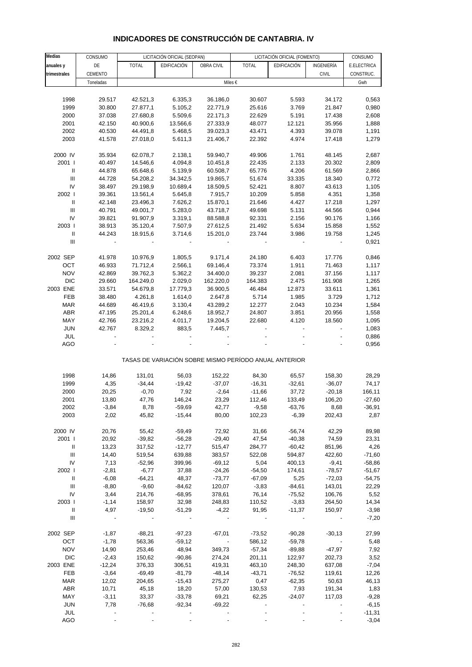| <b>Medias</b>                      | CONSUMO   |              | LICITACIÓN OFICIAL (SEOPAN) |                         |                                                       | LICITACIÓN OFICIAL (FOMENTO) |              | CONSUMO             |
|------------------------------------|-----------|--------------|-----------------------------|-------------------------|-------------------------------------------------------|------------------------------|--------------|---------------------|
| anuales y                          | DE        | <b>TOTAL</b> | EDIFICACIÓN                 | OBRA CIVIL              | <b>TOTAL</b>                                          | EDIFICACIÓN                  | INGENIERÍA   | E.ELECTRICA         |
| trimestrales                       | CEMENTO   |              |                             |                         |                                                       |                              | <b>CIVIL</b> | CONSTRUC.           |
|                                    | Toneladas |              |                             | Miles €                 |                                                       |                              |              | Gwh                 |
|                                    |           |              |                             |                         |                                                       |                              |              |                     |
| 1998                               | 29.517    | 42.521,3     | 6.335,3                     | 36.186,0                | 30.607                                                | 5.593                        | 34.172       | 0,563               |
| 1999                               | 30.800    | 27.877,1     | 5.105,2                     | 22.771,9                | 25.616                                                | 3.769                        | 21.847       | 0,980               |
| 2000                               | 37.038    | 27.680,8     | 5.509,6                     | 22.171,3                | 22.629                                                | 5.191                        | 17.438       | 2,608               |
| 2001                               | 42.150    | 40.900,6     | 13.566,6                    | 27.333,9                | 48.077                                                | 12.121                       | 35.956       | 1,888               |
| 2002                               | 40.530    | 44.491,8     | 5.468,5                     | 39.023,3                | 43.471                                                | 4.393                        | 39.078       | 1,191               |
| 2003                               | 41.578    | 27.018,0     | 5.611,3                     | 21.406,7                | 22.392                                                | 4.974                        | 17.418       | 1,279               |
|                                    |           |              |                             |                         |                                                       |                              |              |                     |
| 2000 IV                            | 35.934    | 62.078,7     | 2.138,1                     | 59.940,7                | 49.906                                                | 1.761                        | 48.145       | 2,687               |
| 2001                               | 40.497    | 14.546,6     | 4.094,8                     | 10.451,8                | 22.435                                                | 2.133                        | 20.302       | 2,809               |
| Ш                                  | 44.878    | 65.648,6     | 5.139,9                     | 60.508,7                | 65.776                                                | 4.206                        | 61.569       | 2,866               |
| $\mathbf{III}$                     | 44.728    | 54.208,2     | 34.342,5                    | 19.865,7                | 51.674                                                | 33.335                       | 18.340       | 0,772               |
| IV                                 | 38.497    | 29.198,9     | 10.689,4                    | 18.509,5                | 52.421                                                | 8.807                        | 43.613       | 1,105               |
| 2002                               | 39.361    | 13.561,4     | 5.645,8                     | 7.915,7                 | 10.209                                                | 5.858                        | 4.351        | 1,358               |
| $\mathbf{II}$                      | 42.148    | 23.496,3     | 7.626,2                     | 15.870,1                | 21.646                                                | 4.427                        | 17.218       | 1,297               |
| Ш                                  | 40.791    | 49.001,7     | 5.283,0                     | 43.718,7                | 49.698                                                | 5.131                        | 44.566       | 0,944               |
| IV                                 | 39.821    | 91.907,9     | 3.319,1                     | 88.588,8                | 92.331                                                | 2.156                        | 90.176       | 1,166               |
| 2003                               | 38.913    | 35.120,4     | 7.507,9                     | 27.612,5                | 21.492                                                | 5.634                        | 15.858       | 1,552               |
| Ш                                  | 44.243    | 18.915,6     | 3.714,6                     | 15.201,0                | 23.744                                                | 3.986                        | 19.758       | 1,245               |
| $\ensuremath{\mathsf{III}}\xspace$ |           |              |                             |                         |                                                       |                              |              | 0,921               |
|                                    |           |              |                             |                         |                                                       |                              |              |                     |
| 2002 SEP                           | 41.978    | 10.976,9     | 1.805,5                     | 9.171,4                 | 24.180                                                | 6.403                        | 17.776       | 0,846               |
| OCT                                | 46.933    | 71.712,4     | 2.566,1                     | 69.146,4                | 73.374                                                | 1.911                        | 71.463       | 1,117               |
| <b>NOV</b>                         | 42.869    | 39.762,3     | 5.362,2                     | 34.400,0                | 39.237                                                | 2.081                        | 37.156       | 1,117               |
| <b>DIC</b>                         | 29.660    | 164.249,0    | 2.029,0                     | 162.220,0               | 164.383                                               | 2.475                        | 161.908      | 1,265               |
| 2003 ENE                           | 33.571    | 54.679,8     | 17.779,3                    | 36.900,5                | 46.484                                                | 12.873                       | 33.611       | 1,361               |
| FEB                                | 38.480    | 4.261,8      | 1.614,0                     | 2.647,8                 | 5.714                                                 | 1.985                        | 3.729        | 1,712               |
| <b>MAR</b>                         | 44.689    | 46.419,6     | 3.130,4                     | 43.289,2                | 12.277                                                | 2.043                        | 10.234       | 1,584               |
| ABR                                | 47.195    | 25.201,4     | 6.248,6                     | 18.952,7                | 24.807                                                | 3.851                        | 20.956       | 1,558               |
| MAY                                | 42.766    | 23.216,2     | 4.011,7                     | 19.204,5                | 22.680                                                | 4.120                        | 18.560       | 1,095               |
| <b>JUN</b>                         | 42.767    | 8.329,2      | 883,5                       | 7.445,7                 |                                                       |                              |              | 1,083               |
| JUL                                |           |              |                             |                         |                                                       |                              |              | 0,886               |
| AGO                                |           |              |                             |                         |                                                       |                              |              | 0,956               |
|                                    |           |              |                             |                         |                                                       |                              |              |                     |
|                                    |           |              |                             |                         | TASAS DE VARIACIÓN SOBRE MISMO PERÍODO ANUAL ANTERIOR |                              |              |                     |
|                                    |           |              |                             |                         |                                                       |                              |              |                     |
| 1998                               | 14,86     | 131,01       | 56,03                       | 152,22                  | 84,30                                                 | 65,57                        | 158,30       | 28,29               |
| 1999                               | 4,35      | $-34,44$     | $-19,42$                    | $-37,07$                | $-16,31$                                              | $-32,61$                     | $-36,07$     | 74,17               |
| 2000                               | 20,25     | $-0,70$      | 7,92                        | $-2,64$                 | $-11,66$                                              | 37,72                        | $-20,18$     | 166,11              |
| 2001                               | 13,80     | 47,76        | 146,24                      | 23,29                   | 112,46                                                | 133,49                       | 106,20       | $-27,60$            |
| 2002                               | $-3,84$   | 8,78         | $-59,69$                    | 42,77                   | $-9,58$                                               | $-63,76$                     | 8,68         | $-36,91$            |
| 2003                               | 2,02      | 45,82        | $-15,44$                    | 80,00                   | 102,23                                                | $-6,39$                      | 202,43       | 2,87                |
|                                    |           |              |                             |                         |                                                       |                              |              |                     |
| 2000 IV                            | 20,76     | 55,42        | $-59,49$                    | 72,92                   | 31,66                                                 | $-56,74$                     | 42,29        | 89,98               |
| 2001 l                             | 20,92     | $-39,82$     | $-56,28$                    | $-29,40$                | 47,54                                                 | $-40,38$                     | 74,59        | 23,31               |
| Ш                                  | 13,23     | 317,52       | $-12,77$                    | 515,47                  | 284,77                                                | -60,42                       | 851,96       | 4,26                |
| Ш                                  | 14,40     | 519,54       | 639,88                      | 383,57                  | 522,08                                                | 594,87                       | 422,60       | $-71,60$            |
| IV                                 | 7,13      | $-52,96$     | 399,96                      | $-69,12$                | 5,04                                                  | 400,13                       | $-9,41$      | $-58,86$            |
| 2002                               | $-2,81$   | $-6,77$      | 37,88                       | $-24,26$                | $-54,50$                                              | 174,61                       | $-78,57$     | $-51,67$            |
| Ш                                  | $-6,08$   | $-64,21$     | 48,37                       | $-73,77$                | $-67,09$                                              | 5,25                         | $-72,03$     | $-54,75$            |
| Ш                                  | $-8,80$   | $-9,60$      | $-84,62$                    | 120,07                  | $-3,83$                                               | $-84,61$                     | 143,01       | 22,29               |
| IV                                 | 3,44      | 214,76       | $-68,95$                    | 378,61                  | 76,14                                                 | $-75,52$                     | 106,76       | 5,52                |
| 2003                               | $-1,14$   | 158,97       | 32,98                       | 248,83                  | 110,52                                                | $-3,83$                      | 264,50       | 14,34               |
| Ш                                  | 4,97      | $-19,50$     | $-51,29$                    | $-4,22$                 | 91,95                                                 | $-11,37$                     | 150,97       | $-3,98$             |
| $\ensuremath{\mathsf{III}}\xspace$ |           |              |                             |                         | $\overline{\phantom{a}}$                              |                              |              | $-7,20$             |
| 2002 SEP                           | $-1,87$   | $-88,21$     | $-97,23$                    | $-67,01$                | $-73,52$                                              | $-90,28$                     | $-30,13$     | 27,99               |
| OCT                                | $-1,78$   | 563,36       | $-59,12$                    | $\sim 100$ km s $^{-1}$ | 586,12                                                | $-59,78$                     | $\sim$       | 5,48                |
| <b>NOV</b>                         | 14,90     | 253,46       | 48,94                       | 349,73                  | $-57,34$                                              | $-89,88$                     | $-47,97$     | 7,92                |
| <b>DIC</b>                         | $-2,43$   | 150,62       | $-90,86$                    | 274,24                  | 201,11                                                | 122,97                       | 202,73       | 3,52                |
| 2003 ENE                           | $-12,24$  | 376,33       | 306,51                      | 419,31                  | 463,10                                                | 248,30                       | 637,08       | $-7,04$             |
| FEB                                | $-3,64$   | $-69,49$     | $-81,79$                    | $-48,14$                | $-43,71$                                              | $-76,52$                     | 119,61       | 12,26               |
| <b>MAR</b>                         | 12,02     | 204,65       | $-15,43$                    | 275,27                  | 0,47                                                  | $-62,35$                     | 50,63        | 46,13               |
| <b>ABR</b>                         | 10,71     | 45,18        | 18,20                       | 57,00                   | 130,53                                                | 7,93                         | 191,34       | 1,83                |
| MAY                                | $-3,11$   | 33,37        | $-33,78$                    | 69,21                   | 62,25                                                 | $-24,07$                     | 117,03       | $-9,28$             |
|                                    | 7,78      |              |                             |                         |                                                       |                              |              |                     |
| <b>JUN</b>                         |           | $-76,68$     | $-92,34$                    | $-69,22$                |                                                       |                              |              | $-6,15$             |
| JUL<br><b>AGO</b>                  |           |              |                             |                         |                                                       |                              |              | $-11,31$<br>$-3,04$ |
|                                    |           |              |                             |                         |                                                       |                              |              |                     |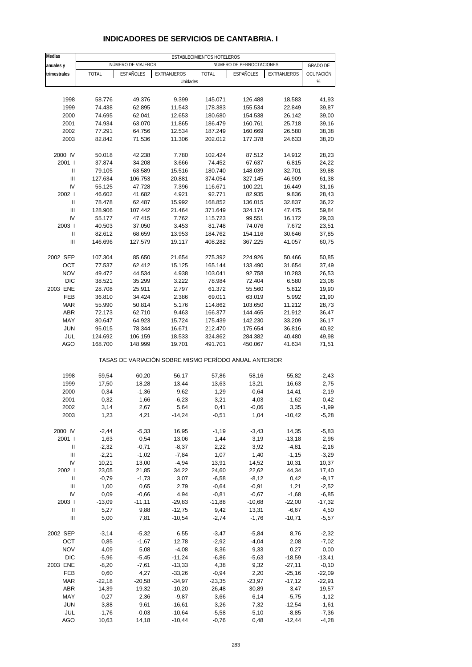| Medias                             | ESTABLECIMIENTOS HOTELEROS |                    |                                                       |                     |                          |                      |                      |  |  |  |  |
|------------------------------------|----------------------------|--------------------|-------------------------------------------------------|---------------------|--------------------------|----------------------|----------------------|--|--|--|--|
| anuales y                          |                            | NÚMERO DE VIAJEROS |                                                       |                     | NÚMERO DE PERNOCTACIONES |                      | <b>GRADO DE</b>      |  |  |  |  |
| trimestrales                       | <b>TOTAL</b>               | <b>ESPAÑOLES</b>   | EXTRANJEROS                                           | <b>TOTAL</b>        | ESPAÑOLES                | EXTRANJEROS          | OCUPACIÓN            |  |  |  |  |
|                                    |                            |                    | Unidades                                              |                     |                          |                      | %                    |  |  |  |  |
|                                    |                            |                    |                                                       |                     |                          |                      |                      |  |  |  |  |
| 1998<br>1999                       | 58.776<br>74.438           | 49.376<br>62.895   | 9.399<br>11.543                                       | 145.071<br>178.383  | 126.488<br>155.534       | 18.583<br>22.849     | 41,93<br>39,87       |  |  |  |  |
| 2000                               | 74.695                     | 62.041             | 12.653                                                | 180.680             | 154.538                  | 26.142               | 39,00                |  |  |  |  |
| 2001                               | 74.934                     | 63.070             | 11.865                                                | 186.479             | 160.761                  | 25.718               | 39,16                |  |  |  |  |
| 2002                               | 77.291                     | 64.756             | 12.534                                                | 187.249             | 160.669                  | 26.580               | 38,38                |  |  |  |  |
| 2003                               | 82.842                     | 71.536             | 11.306                                                | 202.012             | 177.378                  | 24.633               | 38,20                |  |  |  |  |
| 2000 IV                            |                            |                    |                                                       |                     |                          |                      | 28,23                |  |  |  |  |
| 2001 l                             | 50.018<br>37.874           | 42.238<br>34.208   | 7.780<br>3.666                                        | 102.424<br>74.452   | 87.512<br>67.637         | 14.912<br>6.815      | 24,22                |  |  |  |  |
| Ш                                  | 79.105                     | 63.589             | 15.516                                                | 180.740             | 148.039                  | 32.701               | 39,88                |  |  |  |  |
| $\ensuremath{\mathsf{III}}\xspace$ | 127.634                    | 106.753            | 20.881                                                | 374.054             | 327.145                  | 46.909               | 61,38                |  |  |  |  |
| IV                                 | 55.125                     | 47.728             | 7.396                                                 | 116.671             | 100.221                  | 16.449               | 31,16                |  |  |  |  |
| 2002                               | 46.602                     | 41.682             | 4.921                                                 | 92.771              | 82.935                   | 9.836                | 28,43                |  |  |  |  |
| $\mathbf{I}$                       | 78.478                     | 62.487             | 15.992                                                | 168.852             | 136.015                  | 32.837               | 36,22                |  |  |  |  |
| $\mathbf{III}$                     | 128.906                    | 107.442            | 21.464                                                | 371.649             | 324.174                  | 47.475               | 59,84                |  |  |  |  |
| IV<br>2003                         | 55.177<br>40.503           | 47.415<br>37.050   | 7.762<br>3.453                                        | 115.723<br>81.748   | 99.551<br>74.076         | 16.172<br>7.672      | 29,03<br>23,51       |  |  |  |  |
| $\ensuremath{\mathsf{II}}$         | 82.612                     | 68.659             | 13.953                                                | 184.762             | 154.116                  | 30.646               | 37,85                |  |  |  |  |
| III                                | 146.696                    | 127.579            | 19.117                                                | 408.282             | 367.225                  | 41.057               | 60,75                |  |  |  |  |
|                                    |                            |                    |                                                       |                     |                          |                      |                      |  |  |  |  |
| 2002 SEP                           | 107.304                    | 85.650             | 21.654                                                | 275.392             | 224.926                  | 50.466               | 50,85                |  |  |  |  |
| OCT                                | 77.537                     | 62.412             | 15.125                                                | 165.144             | 133.490                  | 31.654               | 37,49                |  |  |  |  |
| <b>NOV</b>                         | 49.472                     | 44.534             | 4.938                                                 | 103.041             | 92.758                   | 10.283               | 26,53                |  |  |  |  |
| <b>DIC</b>                         | 38.521                     | 35.299             | 3.222                                                 | 78.984              | 72.404                   | 6.580                | 23,06                |  |  |  |  |
| 2003 ENE<br>FEB                    | 28.708<br>36.810           | 25.911<br>34.424   | 2.797<br>2.386                                        | 61.372<br>69.011    | 55.560<br>63.019         | 5.812<br>5.992       | 19,90<br>21,90       |  |  |  |  |
| <b>MAR</b>                         | 55.990                     | 50.814             | 5.176                                                 | 114.862             | 103.650                  | 11.212               | 28,73                |  |  |  |  |
| <b>ABR</b>                         | 72.173                     | 62.710             | 9.463                                                 | 166.377             | 144.465                  | 21.912               | 36,47                |  |  |  |  |
| MAY                                | 80.647                     | 64.923             | 15.724                                                | 175.439             | 142.230                  | 33.209               | 36,17                |  |  |  |  |
| <b>JUN</b>                         | 95.015                     | 78.344             | 16.671                                                | 212.470             | 175.654                  | 36.816               | 40,92                |  |  |  |  |
| JUL                                | 124.692                    | 106.159            | 18.533                                                | 324.862             | 284.382                  | 40.480               | 49,98                |  |  |  |  |
| AGO                                | 168.700                    | 148.999            | 19.701                                                | 491.701             | 450.067                  | 41.634               | 71,51                |  |  |  |  |
|                                    |                            |                    | TASAS DE VARIACIÓN SOBRE MISMO PERÍODO ANUAL ANTERIOR |                     |                          |                      |                      |  |  |  |  |
| 1998                               | 59,54                      | 60,20              | 56,17                                                 | 57,86               | 58,16                    | 55,82                | $-2,43$              |  |  |  |  |
| 1999                               | 17,50                      | 18,28              | 13,44                                                 | 13,63               | 13,21                    | 16,63                | 2,75                 |  |  |  |  |
| 2000                               | 0,34                       | $-1,36$            | 9,62                                                  | 1,29                | $-0,64$                  | 14,41                | $-2,19$              |  |  |  |  |
| 2001                               | 0,32                       | 1,66               | $-6,23$                                               | 3,21                | 4,03                     | $-1,62$              | 0,42                 |  |  |  |  |
| 2002                               | 3,14                       | 2,67               | 5,64                                                  | 0,41                | $-0,06$                  | 3,35                 | -1,99                |  |  |  |  |
| 2003                               | 1,23                       | 4,21               | $-14,24$                                              | $-0,51$             | 1,04                     | $-10,42$             | $-5,28$              |  |  |  |  |
| 2000 IV                            | $-2,44$                    | $-5,33$            | 16,95                                                 | $-1,19$             | $-3,43$                  | 14,35                | $-5,83$              |  |  |  |  |
| 2001 l                             | 1,63                       | 0,54               | 13,06                                                 | 1,44                | 3,19                     | $-13,18$             | 2,96                 |  |  |  |  |
| Ш                                  | $-2,32$                    | $-0,71$            | $-8,37$                                               | 2,22                | 3,92                     | $-4,81$              | $-2,16$              |  |  |  |  |
| $\ensuremath{\mathsf{III}}\xspace$ | $-2,21$                    | $-1,02$            | $-7,84$                                               | 1,07                | 1,40                     | $-1,15$              | $-3,29$              |  |  |  |  |
| IV                                 | 10,21                      | 13,00              | $-4,94$                                               | 13,91               | 14,52                    | 10,31                | 10,37                |  |  |  |  |
| 2002 l                             | 23,05                      | 21,85              | 34,22                                                 | 24,60               | 22,62                    | 44,34                | 17,40                |  |  |  |  |
| Ш<br>$\mathbf{III}$                | $-0,79$<br>1,00            | $-1,73$<br>0,65    | 3,07<br>2,79                                          | $-6,58$<br>$-0,64$  | $-8,12$<br>$-0,91$       | 0,42<br>1,21         | $-9,17$<br>$-2,52$   |  |  |  |  |
| IV                                 | 0,09                       | $-0,66$            | 4,94                                                  | $-0,81$             | $-0,67$                  | $-1,68$              | $-6,85$              |  |  |  |  |
| 2003                               | $-13,09$                   | $-11,11$           | $-29,83$                                              | $-11,88$            | $-10,68$                 | $-22,00$             | $-17,32$             |  |  |  |  |
| Ш                                  | 5,27                       | 9,88               | $-12,75$                                              | 9,42                | 13,31                    | $-6,67$              | 4,50                 |  |  |  |  |
| $\ensuremath{\mathsf{III}}\xspace$ | 5,00                       | 7,81               | $-10,54$                                              | $-2,74$             | $-1,76$                  | $-10,71$             | $-5,57$              |  |  |  |  |
| 2002 SEP                           | $-3,14$                    | $-5,32$            | 6,55                                                  | $-3,47$             | $-5,84$                  | 8,76                 | $-2,32$              |  |  |  |  |
| OCT                                | 0,85                       | $-1,67$            | 12,78                                                 | $-2,92$             | $-4,04$                  | 2,08                 | $-7,02$              |  |  |  |  |
| <b>NOV</b>                         | 4,09                       | 5,08               | $-4,08$                                               | 8,36                | 9,33                     | 0,27                 | 0,00                 |  |  |  |  |
| <b>DIC</b>                         | $-5,96$                    | $-5,45$            | $-11,24$                                              | $-6,86$             | $-5,63$                  | $-18,59$             | $-13,41$             |  |  |  |  |
| 2003 ENE                           | $-8,20$                    | $-7,61$            | $-13,33$                                              | 4,38                | 9,32                     | $-27,11$             | $-0,10$              |  |  |  |  |
| FEB<br><b>MAR</b>                  | 0,60<br>$-22,18$           | 4,27<br>$-20,58$   | $-33,26$<br>$-34,97$                                  | $-0,94$<br>$-23,35$ | 2,20<br>$-23,97$         | $-25,16$<br>$-17,12$ | $-22,09$<br>$-22,91$ |  |  |  |  |
| ABR                                | 14,39                      | 19,32              | $-10,20$                                              | 26,48               | 30,89                    | 3,47                 | 19,57                |  |  |  |  |
| MAY                                | $-0,27$                    | 2,36               | $-9,87$                                               | 3,66                | 6,14                     | $-5,75$              | $-1,12$              |  |  |  |  |
| <b>JUN</b>                         | 3,88                       | 9,61               | $-16,61$                                              | 3,26                | 7,32                     | $-12,54$             | $-1,61$              |  |  |  |  |
| JUL                                | $-1,76$                    | $-0,03$            | $-10,64$                                              | $-5,58$             | $-5,10$                  | $-8,85$              | $-7,36$              |  |  |  |  |
| AGO                                | 10,63                      | 14,18              | $-10,44$                                              | $-0,76$             | 0,48                     | $-12,44$             | $-4,28$              |  |  |  |  |

### **INDICADORES DE SERVICIOS DE CANTABRIA. I**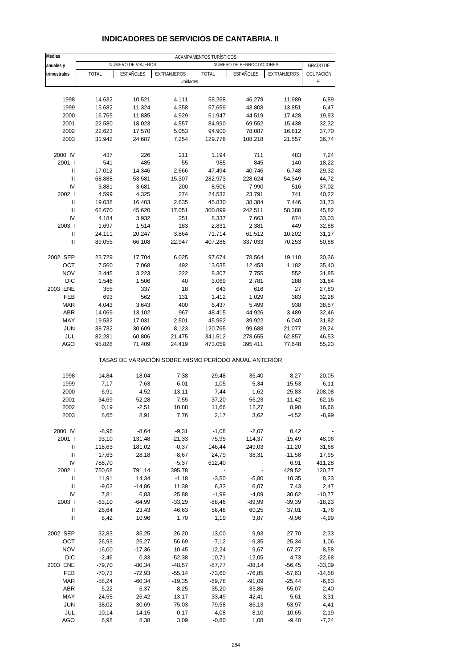| Medias                               |                   |                          |                     | ACAMPAMENTOS TURÍSTICOS                               |                          |                   |                     |
|--------------------------------------|-------------------|--------------------------|---------------------|-------------------------------------------------------|--------------------------|-------------------|---------------------|
| anuales y                            |                   | NÚMERO DE VIAJEROS       |                     |                                                       | NÚMERO DE PERNOCTACIONES |                   | <b>GRADO DE</b>     |
| trimestrales                         | <b>TOTAL</b>      | <b>ESPAÑOLES</b>         | <b>EXTRANJEROS</b>  | <b>TOTAL</b>                                          | <b>ESPAÑOLES</b>         | EXTRANJEROS       | OCUPACIÓN           |
|                                      |                   |                          | Unidades            |                                                       |                          |                   | %                   |
|                                      |                   |                          |                     |                                                       |                          |                   |                     |
| 1998                                 | 14.632            | 10.521                   | 4.111               | 58.268                                                | 46.279                   | 11.989            | 6,89                |
| 1999                                 | 15.682            | 11.324                   | 4.358               | 57.659                                                | 43.808                   | 13.851            | 6,47                |
| 2000                                 | 16.765            | 11.835                   | 4.929               | 61.947                                                | 44.519                   | 17.428            | 19,93               |
| 2001                                 | 22.580            | 18.023                   | 4.557               | 84.990                                                | 69.552                   | 15.438            | 32,32               |
| 2002                                 | 22.623            | 17.570                   | 5.053               | 94.900                                                | 78.087                   | 16.812            | 37,70               |
| 2003                                 | 31.942            | 24.687                   | 7.254               | 129.776                                               | 108.218                  | 21.557            | 36,74               |
| 2000 IV                              | 437               | 226                      | 211                 | 1.194                                                 | 711                      | 483               | 7,24                |
| 2001 l                               | 541               | 485                      | 55                  | 985                                                   | 845                      | 140               | 18,22               |
| Ш                                    | 17.012            | 14.346                   | 2.666               | 47.494                                                | 40.746                   | 6.748             | 29,32               |
| Ш                                    | 68.888            | 53.581                   | 15.307              | 282.973                                               | 228.624                  | 54.349            | 44,72               |
| IV                                   | 3.881             | 3.681                    | 200                 | 8.506                                                 | 7.990                    | 516               | 37,02               |
| 2002  <br>$\ensuremath{\mathsf{II}}$ | 4.599<br>19.038   | 4.325<br>16.403          | 274<br>2.635        | 24.532<br>45.830                                      | 23.791<br>38.384         | 741<br>7.446      | 40,22<br>31,73      |
| Ш                                    | 62.670            | 45.620                   | 17.051              | 300.899                                               | 242.511                  | 58.388            | 45,82               |
| IV                                   | 4.184             | 3.932                    | 251                 | 8.337                                                 | 7.663                    | 674               | 33,03               |
| 2003                                 | 1.697             | 1.514                    | 183                 | 2.831                                                 | 2.381                    | 449               | 32,88               |
| Ш                                    | 24.111            | 20.247                   | 3.864               | 71.714                                                | 61.512                   | 10.202            | 31,17               |
| III                                  | 89.055            | 66.108                   | 22.947              | 407.286                                               | 337.033                  | 70.253            | 50,88               |
|                                      |                   |                          |                     |                                                       |                          |                   |                     |
| 2002 SEP                             | 23.729            | 17.704                   | 6.025               | 97.674                                                | 78.564                   | 19.110            | 30,36               |
| OCT                                  | 7.560             | 7.068                    | 492                 | 13.635                                                | 12.453                   | 1.182             | 35,40               |
| <b>NOV</b><br><b>DIC</b>             | 3.445<br>1.546    | 3.223<br>1.506           | 222<br>40           | 8.307<br>3.069                                        | 7.755<br>2.781           | 552<br>288        | 31,85<br>31,84      |
| 2003 ENE                             | 355               | 337                      | 18                  | 643                                                   | 616                      | 27                | 27,80               |
| <b>FEB</b>                           | 693               | 562                      | 131                 | 1.412                                                 | 1.029                    | 383               | 32,28               |
| <b>MAR</b>                           | 4.043             | 3.643                    | 400                 | 6.437                                                 | 5.499                    | 938               | 38,57               |
| <b>ABR</b>                           | 14.069            | 13.102                   | 967                 | 48.415                                                | 44.926                   | 3.489             | 32,46               |
| MAY                                  | 19.532            | 17.031                   | 2.501               | 45.962                                                | 39.922                   | 6.040             | 31,82               |
| <b>JUN</b>                           | 38.732            | 30.609                   | 8.123               | 120.765                                               | 99.688                   | 21.077            | 29,24               |
| JUL                                  | 82.281            | 60.806                   | 21.475              | 341.512                                               | 278.655                  | 62.857            | 46,53               |
| AGO                                  | 95.828            | 71.409                   | 24.419              | 473.059                                               | 395.411                  | 77.648            | 55,23               |
|                                      |                   |                          |                     | TASAS DE VARIACIÓN SOBRE MISMO PERÍODO ANUAL ANTERIOR |                          |                   |                     |
| 1998                                 | 14,84             | 18,04                    | 7,38                | 29,48                                                 | 36,40                    | 8,27              | 20,05               |
| 1999                                 | 7,17              | 7,63                     | 6,01                | $-1,05$                                               | $-5,34$                  | 15,53             | -6,11               |
| 2000                                 | 6,91              | 4,52                     | 13,11               | 7,44                                                  | 1,62                     | 25,83             | 208,08              |
| 2001                                 | 34,69             | 52,28                    | $-7,55$             | 37,20                                                 | 56,23                    | $-11,42$          | 62,16               |
| 2002                                 | 0,19              | -2,51                    | 10,88               | 11,66                                                 | 12,27                    | 8,90              | 16,66               |
| 2003                                 | 8,65              | 8,91                     | 7,76                | 2,17                                                  | 3,62                     | $-4,52$           | $-8,99$             |
| 2000 IV                              | $-8,96$           | $-8,64$                  | $-9,31$             | $-1,08$                                               | $-2,07$                  | 0,42              |                     |
| 2001 l                               | 93,10             | 131,48                   | $-21,33$            | 75,95                                                 | 114,37                   | $-15,49$          | 48,06               |
| Ш                                    | 118,63            | 181,02                   | $-0,37$             | 146,44                                                | 249,03                   | $-11,20$          | 31,68               |
| $\ensuremath{\mathsf{III}}\xspace$   | 17,63             | 28,18                    | $-8,67$             | 24,79                                                 | 38,31                    | $-11,58$          | 17,95               |
| IV                                   | 788,70            | $\overline{\phantom{a}}$ | $-5,37$             | 612,40                                                |                          | 6,91              | 411,28              |
| 2002 l                               | 750,68            | 791,14                   | 395,78              |                                                       |                          | 429,52            | 120,77              |
| Ш                                    | 11,91             | 14,34                    | $-1,18$             | $-3,50$                                               | $-5,80$                  | 10,35             | 8,23                |
| $\mathbf{III}$                       | $-9,03$           | $-14,86$                 | 11,39               | 6,33                                                  | 6,07                     | 7,43              | 2,47                |
| IV                                   | 7,81              | 6,83                     | 25,88               | $-1,99$                                               | $-4,09$                  | 30,62             | $-10,77$            |
| 2003  <br>Ш                          | $-63,10$<br>26,64 | $-64,99$                 | $-33,29$<br>46,63   | $-88,46$                                              | $-89,99$                 | $-39,39$          | $-18,23$<br>$-1,76$ |
| $\ensuremath{\mathsf{III}}\xspace$   | 8,42              | 23,43<br>10,96           | 1,70                | 56,48<br>1,19                                         | 60,25<br>3,87            | 37,01<br>$-9,96$  | $-4,99$             |
|                                      |                   |                          |                     |                                                       |                          |                   |                     |
| 2002 SEP                             | 32,83             | 35,25                    | 26,20               | 13,00                                                 | 9,93                     | 27,70             | 2,33                |
| OCT                                  | 26,93             | 25,27                    | 56,69               | $-7,12$                                               | $-9,35$                  | 25,34             | 1,06                |
| <b>NOV</b>                           | $-16,00$          | $-17,36$                 | 10,45               | 12,24                                                 | 9,67                     | 67,27             | $-8,58$             |
| DIC                                  | $-2,46$           | 0,33                     | $-52,38$            | $-10,71$                                              | $-12,05$                 | 4,73              | $-22,68$            |
| 2003 ENE                             | $-79,70$          | $-80,34$                 | $-48,57$            | $-87,77$                                              | $-88,14$                 | $-56,45$          | $-33,09$            |
| FEB<br>$\sf{MAR}$                    | $-70,73$          | $-72,93$                 | $-55,14$            | $-73,60$                                              | $-76,85$                 | $-57,63$          | $-14,58$            |
| <b>ABR</b>                           | $-58,24$<br>5,22  | $-60,34$<br>6,37         | $-19,35$<br>$-8,25$ | $-89,78$<br>35,20                                     | $-91,09$<br>33,86        | $-25,44$<br>55,07 | $-6,63$<br>2,40     |
| MAY                                  | 24,55             | 26,42                    | 13,17               | 33,49                                                 | 42,41                    | $-5,61$           | $-3,31$             |
| <b>JUN</b>                           | 38,02             | 30,69                    | 75,03               | 79,58                                                 | 86,13                    | 53,97             | $-4,41$             |
| JUL                                  | 10,14             | 14,15                    | 0,17                | 4,08                                                  | 8,10                     | $-10,65$          | $-2,19$             |
| AGO                                  | 6,98              | 8,38                     | 3,09                | $-0,80$                                               | 1,08                     | $-9,40$           | $-7,24$             |

### **INDICADORES DE SERVICIOS DE CANTABRIA. II**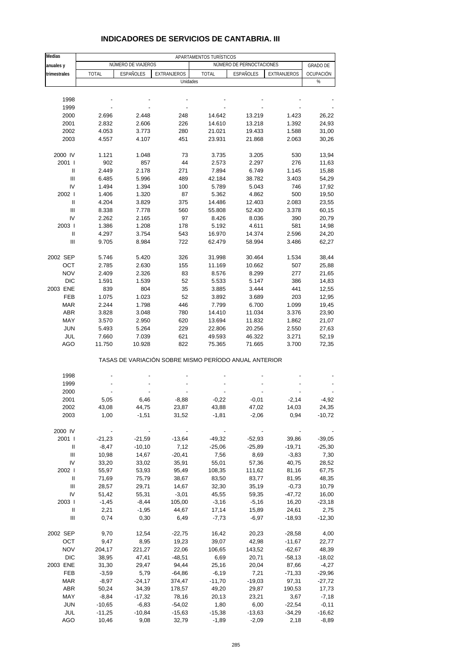| Medias         | APARTAMENTOS TURÍSTICOS |                    |                                                       |              |                          |             |                 |  |  |  |  |
|----------------|-------------------------|--------------------|-------------------------------------------------------|--------------|--------------------------|-------------|-----------------|--|--|--|--|
| anuales y      |                         | NÚMERO DE VIAJEROS |                                                       |              | NÚMERO DE PERNOCTACIONES |             | <b>GRADO DE</b> |  |  |  |  |
| trimestrales   | <b>TOTAL</b>            | ESPAÑOLES          | EXTRANJEROS                                           | <b>TOTAL</b> | <b>ESPAÑOLES</b>         | EXTRANJEROS | OCUPACIÓN       |  |  |  |  |
|                |                         |                    | Unidades                                              |              |                          |             | %               |  |  |  |  |
|                |                         |                    |                                                       |              |                          |             |                 |  |  |  |  |
| 1998           |                         |                    |                                                       |              |                          |             |                 |  |  |  |  |
| 1999           |                         |                    |                                                       |              |                          |             |                 |  |  |  |  |
| 2000           | 2.696                   | 2.448              | 248                                                   | 14.642       | 13.219                   | 1.423       | 26,22           |  |  |  |  |
| 2001           | 2.832                   | 2.606              | 226                                                   | 14.610       | 13.218                   | 1.392       | 24,93           |  |  |  |  |
| 2002           | 4.053                   | 3.773              | 280                                                   | 21.021       | 19.433                   | 1.588       | 31,00           |  |  |  |  |
| 2003           | 4.557                   | 4.107              | 451                                                   | 23.931       | 21.868                   | 2.063       | 30,26           |  |  |  |  |
| 2000 IV        | 1.121                   | 1.048              | 73                                                    | 3.735        | 3.205                    | 530         | 13,94           |  |  |  |  |
| 2001 l         | 902                     | 857                | 44                                                    | 2.573        | 2.297                    | 276         | 11,63           |  |  |  |  |
| Ш              | 2.449                   | 2.178              | 271                                                   | 7.894        | 6.749                    | 1.145       | 15,88           |  |  |  |  |
| $\mathbf{III}$ | 6.485                   | 5.996              | 489                                                   | 42.184       | 38.782                   | 3.403       | 54,29           |  |  |  |  |
| IV             | 1.494                   | 1.394              | 100                                                   | 5.789        | 5.043                    | 746         | 17,92           |  |  |  |  |
| 2002 l         | 1.406                   | 1.320              | 87                                                    | 5.362        | 4.862                    | 500         | 19,50           |  |  |  |  |
| Ш              | 4.204                   | 3.829              | 375                                                   | 14.486       | 12.403                   | 2.083       | 23,55           |  |  |  |  |
| Ш              | 8.338                   | 7.778              | 560                                                   | 55.808       | 52.430                   | 3.378       | 60,15           |  |  |  |  |
| IV             | 2.262                   | 2.165              | 97                                                    | 8.426        | 8.036                    | 390         | 20,79           |  |  |  |  |
| 2003           | 1.386                   | 1.208              | 178                                                   | 5.192        | 4.611                    | 581         | 14,98           |  |  |  |  |
| Ш<br>Ш         | 4.297                   | 3.754              | 543<br>722                                            | 16.970       | 14.374                   | 2.596       | 24,20           |  |  |  |  |
|                | 9.705                   | 8.984              |                                                       | 62.479       | 58.994                   | 3.486       | 62,27           |  |  |  |  |
| 2002 SEP       | 5.746                   | 5.420              | 326                                                   | 31.998       | 30.464                   | 1.534       | 38,44           |  |  |  |  |
| OCT            | 2.785                   | 2.630              | 155                                                   | 11.169       | 10.662                   | 507         | 25,88           |  |  |  |  |
| <b>NOV</b>     | 2.409                   | 2.326              | 83                                                    | 8.576        | 8.299                    | 277         | 21,65           |  |  |  |  |
| <b>DIC</b>     | 1.591                   | 1.539              | 52                                                    | 5.533        | 5.147                    | 386         | 14,83           |  |  |  |  |
| 2003 ENE       | 839                     | 804                | 35                                                    | 3.885        | 3.444                    | 441         | 12,55           |  |  |  |  |
| FEB            | 1.075                   | 1.023              | 52                                                    | 3.892        | 3.689                    | 203         | 12,95           |  |  |  |  |
| <b>MAR</b>     | 2.244                   | 1.798              | 446                                                   | 7.799        | 6.700                    | 1.099       | 19,45           |  |  |  |  |
| <b>ABR</b>     | 3.828                   | 3.048              | 780                                                   | 14.410       | 11.034                   | 3.376       | 23,90           |  |  |  |  |
| MAY            | 3.570                   | 2.950              | 620                                                   | 13.694       | 11.832                   | 1.862       | 21,07           |  |  |  |  |
| <b>JUN</b>     | 5.493                   | 5.264              | 229                                                   | 22.806       | 20.256                   | 2.550       | 27,63           |  |  |  |  |
| JUL            | 7.660                   | 7.039              | 621                                                   | 49.593       | 46.322                   | 3.271       | 52,19           |  |  |  |  |
| AGO            | 11.750                  | 10.928             | 822                                                   | 75.365       | 71.665                   | 3.700       | 72,35           |  |  |  |  |
|                |                         |                    | TASAS DE VARIACIÓN SOBRE MISMO PERÍODO ANUAL ANTERIOR |              |                          |             |                 |  |  |  |  |
| 1998           |                         |                    |                                                       |              |                          |             |                 |  |  |  |  |
| 1999           |                         |                    |                                                       |              |                          |             |                 |  |  |  |  |
| 2000           |                         |                    |                                                       |              |                          |             |                 |  |  |  |  |
| 2001           | 5,05                    | 6,46               | $-8,88$                                               | $-0,22$      | $-0,01$                  | $-2,14$     | $-4,92$         |  |  |  |  |
| 2002           | 43,08                   | 44,75              | 23,87                                                 | 43,88        | 47,02                    | 14,03       | 24,35           |  |  |  |  |
| 2003           | 1,00                    | $-1,51$            | 31,52                                                 | $-1,81$      | $-2,06$                  | 0,94        | $-10,72$        |  |  |  |  |
| 2000 IV        |                         |                    |                                                       |              |                          |             |                 |  |  |  |  |
| 2001 l         | $-21,23$                | $-21,59$           | $-13,64$                                              | $-49,32$     | $-52,93$                 | 39,86       | $-39,05$        |  |  |  |  |
| Ш              | $-8,47$                 | $-10,10$           | 7,12                                                  | $-25,06$     | $-25,89$                 | $-19,71$    | $-25,30$        |  |  |  |  |
| Ш              | 10,98                   | 14,67              | $-20,41$                                              | 7,56         | 8,69                     | $-3,83$     | 7,30            |  |  |  |  |
| IV             | 33,20                   | 33,02              | 35,91                                                 | 55,01        | 57,36                    | 40,75       | 28,52           |  |  |  |  |
| 2002           | 55,97                   | 53,93              | 95,49                                                 | 108,35       | 111,62                   | 81,16       | 67,75           |  |  |  |  |
| Ш              | 71,69                   | 75,79              | 38,67                                                 | 83,50        | 83,77                    | 81,95       | 48,35           |  |  |  |  |
| Ш              | 28,57                   | 29,71              | 14,67                                                 | 32,30        | 35,19                    | $-0,73$     | 10,79           |  |  |  |  |
| IV             | 51,42                   | 55,31              | $-3,01$                                               | 45,55        | 59,35                    | $-47,72$    | 16,00           |  |  |  |  |
| 2003           | $-1,45$                 | $-8,44$            | 105,00                                                | $-3,16$      | $-5,16$                  | 16,20       | $-23,18$        |  |  |  |  |
| Ш              | 2,21                    | $-1,95$            | 44,67                                                 | 17,14        | 15,89                    | 24,61       | 2,75            |  |  |  |  |
| Ш              | 0,74                    | 0,30               | 6,49                                                  | $-7,73$      | $-6,97$                  | $-18,93$    | $-12,30$        |  |  |  |  |
| 2002 SEP       | 9,70                    | 12,54              | $-22,75$                                              | 16,42        | 20,23                    | $-28,58$    | 4,00            |  |  |  |  |
| OCT            | 9,47                    | 8,95               | 19,23                                                 | 39,07        | 42,98                    | $-11,67$    | 22,77           |  |  |  |  |
| <b>NOV</b>     | 204,17                  | 221,27             | 22,06                                                 | 106,65       | 143,52                   | $-62,67$    | 48,39           |  |  |  |  |
| <b>DIC</b>     | 38,95                   | 47,41              | $-48,51$                                              | 6,69         | 20,71                    | $-58,13$    | $-18,02$        |  |  |  |  |
| 2003 ENE       | 31,30                   | 29,47              | 94,44                                                 | 25,16        | 20,04                    | 87,66       | $-4,27$         |  |  |  |  |
| FEB            | $-3,59$                 | 5,79               | $-64,86$                                              | $-6,19$      | 7,21                     | $-71,33$    | $-29,96$        |  |  |  |  |
| <b>MAR</b>     | $-8,97$                 | $-24,17$           | 374,47                                                | $-11,70$     | $-19,03$                 | 97,31       | $-27,72$        |  |  |  |  |
| ABR            | 50,24                   | 34,39              | 178,57                                                | 49,20        | 29,87                    | 190,53      | 17,73           |  |  |  |  |
| MAY            | $-8,84$                 | $-17,32$           | 78,16                                                 | 20,13        | 23,21                    | 3,67        | $-7,18$         |  |  |  |  |
| <b>JUN</b>     | $-10,65$                | $-6,83$            | $-54,02$                                              | 1,80         | 6,00                     | $-22,54$    | $-0,11$         |  |  |  |  |
| JUL            | $-11,25$                | $-10,84$           | $-15,63$                                              | $-15,38$     | $-13,63$                 | $-34,29$    | $-16,62$        |  |  |  |  |
| AGO            | 10,46                   | 9,08               | 32,79                                                 | $-1,89$      | $-2,09$                  | 2,18        | $-8,89$         |  |  |  |  |

#### **INDICADORES DE SERVICIOS DE CANTABRIA. III**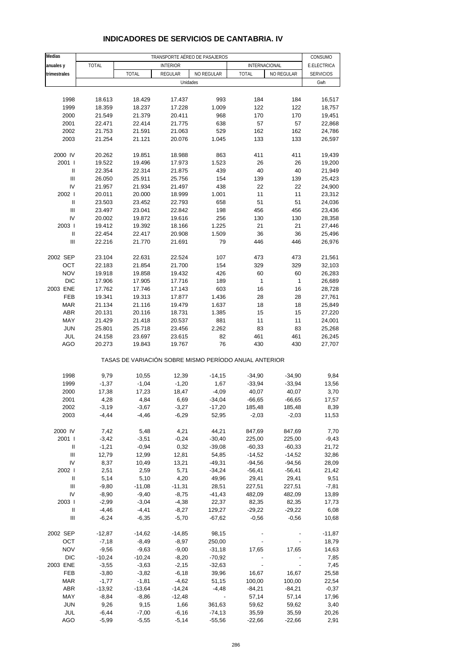| Medias            | TRANSPORTE AÉREO DE PASAJEROS |                                                       |                  |                    |                      |                      |                        |  |  |  |
|-------------------|-------------------------------|-------------------------------------------------------|------------------|--------------------|----------------------|----------------------|------------------------|--|--|--|
| anuales y         | <b>TOTAL</b>                  |                                                       | <b>INTERIOR</b>  |                    | INTERNACIONAL        |                      | CONSUMO<br>E.ELECTRICA |  |  |  |
| trimestrales      |                               | <b>TOTAL</b>                                          | <b>REGULAR</b>   | NO REGULAR         | <b>TOTAL</b>         | NO REGULAR           | <b>SERVICIOS</b>       |  |  |  |
|                   |                               |                                                       | Unidades         |                    |                      |                      | Gwh                    |  |  |  |
|                   |                               |                                                       |                  |                    |                      |                      |                        |  |  |  |
| 1998              | 18.613                        | 18.429                                                | 17.437           | 993                | 184                  | 184                  | 16,517                 |  |  |  |
| 1999              | 18.359                        | 18.237                                                | 17.228           | 1.009              | 122                  | 122                  | 18,757                 |  |  |  |
| 2000              | 21.549                        | 21.379                                                | 20.411           | 968                | 170                  | 170                  | 19,451                 |  |  |  |
| 2001              | 22.471                        | 22.414                                                | 21.775           | 638                | 57                   | 57                   | 22,868                 |  |  |  |
| 2002              | 21.753                        | 21.591                                                | 21.063           | 529                | 162                  | 162                  | 24,786                 |  |  |  |
| 2003              | 21.254                        | 21.121                                                | 20.076           | 1.045              | 133                  | 133                  | 26,597                 |  |  |  |
| 2000 IV           | 20.262                        | 19.851                                                | 18.988           | 863                | 411                  | 411                  | 19,439                 |  |  |  |
| 2001 l            | 19.522                        | 19.496                                                | 17.973           | 1.523              | 26                   | 26                   | 19,200                 |  |  |  |
| Ш                 | 22.354                        | 22.314                                                | 21.875           | 439                | 40                   | 40                   | 21,949                 |  |  |  |
| $\mathbf{III}$    | 26.050                        | 25.911                                                | 25.756           | 154                | 139                  | 139                  | 25,423                 |  |  |  |
| IV                | 21.957                        | 21.934                                                | 21.497           | 438                | 22                   | 22                   | 24,900                 |  |  |  |
| 2002              | 20.011                        | 20.000                                                | 18.999           | 1.001              | 11                   | 11                   | 23,312                 |  |  |  |
| Ш                 | 23.503                        | 23.452                                                | 22.793           | 658                | 51                   | 51                   | 24,036                 |  |  |  |
| $\mathbf{III}$    | 23.497                        | 23.041                                                | 22.842           | 198                | 456                  | 456                  | 23,436                 |  |  |  |
| IV                | 20.002                        | 19.872                                                | 19.616           | 256                | 130                  | 130                  | 28,358                 |  |  |  |
| 2003              | 19.412                        | 19.392                                                | 18.166           | 1.225              | 21                   | 21                   | 27,446                 |  |  |  |
| Ш                 | 22.454                        | 22.417                                                | 20.908           | 1.509              | 36                   | 36                   | 25,496                 |  |  |  |
| Ш                 | 22.216                        | 21.770                                                | 21.691           | 79                 | 446                  | 446                  | 26,976                 |  |  |  |
|                   |                               |                                                       |                  | 107                |                      |                      |                        |  |  |  |
| 2002 SEP<br>OCT   | 23.104<br>22.183              | 22.631<br>21.854                                      | 22.524<br>21.700 | 154                | 473<br>329           | 473<br>329           | 21,561<br>32,103       |  |  |  |
| <b>NOV</b>        | 19.918                        | 19.858                                                | 19.432           | 426                | 60                   | 60                   | 26,283                 |  |  |  |
| <b>DIC</b>        | 17.906                        | 17.905                                                | 17.716           | 189                | 1                    | $\mathbf{1}$         | 26,689                 |  |  |  |
| 2003 ENE          | 17.762                        | 17.746                                                | 17.143           | 603                | 16                   | 16                   | 28,728                 |  |  |  |
| <b>FEB</b>        | 19.341                        | 19.313                                                | 17.877           | 1.436              | 28                   | 28                   | 27,761                 |  |  |  |
| <b>MAR</b>        | 21.134                        | 21.116                                                | 19.479           | 1.637              | 18                   | 18                   | 25,849                 |  |  |  |
| <b>ABR</b>        | 20.131                        | 20.116                                                | 18.731           | 1.385              | 15                   | 15                   | 27,220                 |  |  |  |
| MAY               | 21.429                        | 21.418                                                | 20.537           | 881                | 11                   | 11                   | 24,001                 |  |  |  |
| <b>JUN</b>        | 25.801                        | 25.718                                                | 23.456           | 2.262              | 83                   | 83                   | 25,268                 |  |  |  |
| JUL               | 24.158                        | 23.697                                                | 23.615           | 82                 | 461                  | 461                  | 26,245                 |  |  |  |
| AGO               | 20.273                        | 19.843                                                | 19.767           | 76                 | 430                  | 430                  | 27,707                 |  |  |  |
|                   |                               | TASAS DE VARIACIÓN SOBRE MISMO PERÍODO ANUAL ANTERIOR |                  |                    |                      |                      |                        |  |  |  |
| 1998              | 9,79                          | 10,55                                                 | 12,39            | $-14,15$           | $-34,90$             | $-34,90$             | 9,84                   |  |  |  |
| 1999              | $-1,37$                       | $-1,04$                                               | $-1,20$          | 1,67               | $-33,94$             | $-33,94$             | 13,56                  |  |  |  |
| 2000              | 17,38                         | 17,23                                                 | 18,47            | $-4,09$            | 40,07                | 40,07                | 3,70                   |  |  |  |
| 2001              | 4,28                          | 4,84                                                  | 6,69             | $-34,04$           | $-66,65$             | $-66,65$             | 17,57                  |  |  |  |
| 2002              | $-3,19$                       | $-3,67$                                               | $-3,27$          | $-17,20$           | 185,48               | 185,48               | 8,39                   |  |  |  |
| 2003              | $-4,44$                       | $-4,46$                                               | $-6,29$          | 52,95              | $-2,03$              | $-2,03$              | 11,53                  |  |  |  |
|                   |                               |                                                       |                  |                    |                      |                      |                        |  |  |  |
| 2000 IV           | 7,42                          | 5,48                                                  | 4,21             | 44,21              | 847,69               | 847,69               | 7,70                   |  |  |  |
| 2001 l            | $-3,42$                       | $-3,51$                                               | $-0,24$          | $-30,40$           | 225,00               | 225,00               | $-9,43$                |  |  |  |
| Ш<br>Ш            | $-1,21$<br>12,79              | $-0,94$<br>12,99                                      | 0,32<br>12,81    | $-39,08$<br>54,85  | $-60,33$<br>$-14,52$ | $-60,33$<br>$-14,52$ | 21,72<br>32,86         |  |  |  |
| IV                | 8,37                          | 10,49                                                 | 13,21            | $-49,31$           | $-94,56$             | $-94,56$             | 28,09                  |  |  |  |
| 2002 l            | 2,51                          | 2,59                                                  | 5,71             | $-34,24$           | $-56,41$             | $-56,41$             | 21,42                  |  |  |  |
| Ш                 | 5,14                          | 5,10                                                  | 4,20             | 49,96              | 29,41                | 29,41                | 9,51                   |  |  |  |
| Ш                 | $-9,80$                       | $-11,08$                                              | $-11,31$         | 28,51              | 227,51               | 227,51               | $-7,81$                |  |  |  |
| IV                | $-8,90$                       | $-9,40$                                               | $-8,75$          | $-41,43$           | 482,09               | 482,09               | 13,89                  |  |  |  |
| 2003              | $-2,99$                       | $-3,04$                                               | $-4,38$          | 22,37              | 82,35                | 82,35                | 17,73                  |  |  |  |
| Ш                 | $-4,46$                       | $-4,41$                                               | $-8,27$          | 129,27             | $-29,22$             | $-29,22$             | 6,08                   |  |  |  |
| Ш                 | $-6,24$                       | $-6,35$                                               | $-5,70$          | $-67,62$           | $-0,56$              | $-0,56$              | 10,68                  |  |  |  |
| 2002 SEP          | $-12,87$                      | $-14,62$                                              | $-14,85$         | 98,15              |                      |                      | $-11,87$               |  |  |  |
| OCT               | $-7,18$                       | $-8,49$                                               | $-8,97$          | 250,00             |                      |                      | 18,79                  |  |  |  |
| <b>NOV</b>        | $-9,56$                       | $-9,63$                                               | $-9,00$          | $-31,18$           | 17,65                | 17,65                | 14,63                  |  |  |  |
| <b>DIC</b>        | $-10,24$                      | $-10,24$                                              | $-8,20$          | $-70,92$           |                      |                      | 7,85                   |  |  |  |
| 2003 ENE          | $-3,55$                       | $-3,63$                                               | $-2,15$          | $-32,63$           |                      | $\frac{1}{2}$        | 7,45                   |  |  |  |
| FEB               | $-3,80$                       | $-3,82$                                               | $-6,18$          | 39,96              | 16,67                | 16,67                | 25,58                  |  |  |  |
| <b>MAR</b>        | $-1,77$                       | $-1,81$                                               | $-4,62$          | 51,15              | 100,00               | 100,00               | 22,54                  |  |  |  |
| <b>ABR</b>        | $-13,92$                      | $-13,64$                                              | $-14,24$         | $-4,48$            | $-84,21$             | $-84,21$             | $-0,37$                |  |  |  |
| MAY<br><b>JUN</b> | $-8,84$<br>9,26               | $-8,86$                                               | $-12,48$<br>1,66 | ÷                  | 57,14                | 57,14<br>59,62       | 17,96                  |  |  |  |
| JUL               | $-6,44$                       | 9,15<br>$-7,00$                                       | $-6,16$          | 361,63<br>$-74,13$ | 59,62<br>35,59       | 35,59                | 3,40<br>20,26          |  |  |  |
| AGO               | $-5,99$                       | $-5,55$                                               | $-5,14$          | $-55,56$           | $-22,66$             | $-22,66$             | 2,91                   |  |  |  |
|                   |                               |                                                       |                  |                    |                      |                      |                        |  |  |  |

## **INDICADORES DE SERVICIOS DE CANTABRIA. IV**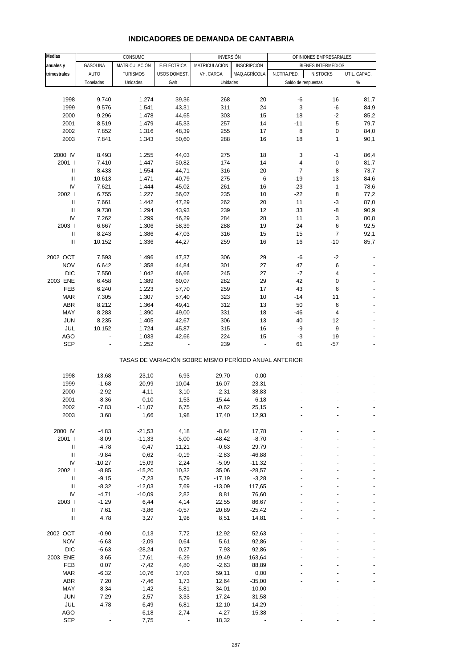| Medias                             |                |                 |              |                                                       |              |                     |                           |              |
|------------------------------------|----------------|-----------------|--------------|-------------------------------------------------------|--------------|---------------------|---------------------------|--------------|
|                                    |                | CONSUMO         |              | <b>INVERSIÓN</b>                                      |              |                     | OPINIONES EMPRESARIALES   |              |
| anuales y                          | GASOLINA       | MATRICULACIÓN   | E.ELÉCTRICA  | MATRICULACIÓN                                         | INSCRIPCIÓN  |                     | <b>BIENES INTERMEDIOS</b> |              |
| trimestrales                       | <b>AUTO</b>    | <b>TURISMOS</b> | USOS DOMEST. | VH. CARGA                                             | MAQ.AGRÍCOLA | N.CTRA.PED.         | N.STOCKS                  | UTIL. CAPAC. |
|                                    | Toneladas      | Unidades        | Gwh          | Unidades                                              |              | Saldo de respuestas |                           | $\%$         |
|                                    |                |                 |              |                                                       |              |                     |                           |              |
| 1998                               | 9.740          | 1.274           | 39,36        | 268                                                   | 20           | -6                  | 16                        | 81,7         |
| 1999                               | 9.576          | 1.541           | 43,31        | 311                                                   | 24           | $\mathsf 3$         | -6                        | 84,9         |
| 2000                               | 9.296          | 1.478           | 44,65        | 303                                                   | 15           | 18                  | $-2$                      | 85,2         |
| 2001                               | 8.519          | 1.479           | 45,33        | 257                                                   | 14           | $-11$               | 5                         | 79,7         |
| 2002                               | 7.852          | 1.316           | 48,39        | 255                                                   | 17           | 8                   | 0                         | 84,0         |
| 2003                               | 7.841          | 1.343           | 50,60        | 288                                                   | 16           | 18                  | 1                         | 90,1         |
|                                    |                |                 |              |                                                       |              |                     |                           |              |
| 2000 IV                            | 8.493          | 1.255           | 44,03        | 275                                                   | 18           | 3                   | $-1$                      | 86,4         |
| 2001 l                             | 7.410          | 1.447           | 50,82        | 174                                                   | 14           | 4                   | $\pmb{0}$                 | 81,7         |
| Ш                                  | 8.433          | 1.554           | 44,71        | 316                                                   | 20           | $-7$                | 8                         | 73,7         |
| Ш                                  | 10.613         | 1.471           |              | 275                                                   | 6            | $-19$               | 13                        | 84,6         |
|                                    |                |                 | 40,79        |                                                       |              |                     |                           |              |
| IV                                 | 7.621          | 1.444           | 45,02        | 261                                                   | 16           | $-23$               | $-1$                      | 78,6         |
| 2002 l                             | 6.755          | 1.227           | 56,07        | 235                                                   | 10           | $-22$               | 8                         | 77,2         |
| Ш                                  | 7.661          | 1.442           | 47,29        | 262                                                   | 20           | 11                  | -3                        | 87,0         |
| Ш                                  | 9.730          | 1.294           | 43,93        | 239                                                   | 12           | 33                  | -8                        | 90,9         |
| IV                                 | 7.262          | 1.299           | 46,29        | 284                                                   | 28           | 11                  | 3                         | 80,8         |
| 2003                               | 6.667          | 1.306           | 58,39        | 288                                                   | 19           | 24                  | 6                         | 92,5         |
| $\ensuremath{\mathsf{II}}$         | 8.243          | 1.386           | 47,03        | 316                                                   | 15           | 15                  | $\overline{7}$            | 92,1         |
| III                                | 10.152         | 1.336           | 44,27        | 259                                                   | 16           | 16                  | $-10$                     | 85,7         |
|                                    |                |                 |              |                                                       |              |                     |                           |              |
| 2002 OCT                           | 7.593          | 1.496           | 47,37        | 306                                                   | 29           | -6                  | $-2$                      |              |
| <b>NOV</b>                         | 6.642          | 1.358           | 44,84        | 301                                                   | 27           | 47                  | 6                         |              |
| <b>DIC</b>                         | 7.550          | 1.042           | 46,66        | 245                                                   | 27           | $-7$                | 4                         |              |
| 2003 ENE                           | 6.458          | 1.389           | 60,07        | 282                                                   | 29           | 42                  | 0                         |              |
| FEB                                | 6.240          | 1.223           | 57,70        | 259                                                   | 17           | 43                  | 6                         |              |
| <b>MAR</b>                         | 7.305          | 1.307           | 57,40        | 323                                                   | 10           | $-14$               | 11                        |              |
|                                    |                |                 |              |                                                       |              |                     |                           |              |
| ABR                                | 8.212          | 1.364           | 49,41        | 312                                                   | 13           | 50                  | 6                         |              |
| MAY                                | 8.283          | 1.390           | 49,00        | 331                                                   | 18           | $-46$               | $\overline{4}$            |              |
| <b>JUN</b>                         | 8.235          | 1.405           | 42,67        | 306                                                   | 13           | 40                  | 12                        |              |
| JUL                                | 10.152         | 1.724           | 45,87        | 315                                                   | 16           | -9                  | 9                         |              |
| <b>AGO</b>                         | $\overline{a}$ | 1.033           | 42,66        | 224                                                   | 15           | -3                  | 19                        |              |
| <b>SEP</b>                         |                | 1.252           |              | 239                                                   |              | 61                  | $-57$                     |              |
|                                    |                |                 |              | TASAS DE VARIACIÓN SOBRE MISMO PERÍODO ANUAL ANTERIOR |              |                     |                           |              |
| 1998                               | 13,68          | 23,10           | 6,93         | 29,70                                                 | 0,00         |                     |                           |              |
|                                    |                |                 |              |                                                       |              |                     |                           |              |
| 1999                               | $-1,68$        | 20,99           | 10,04        | 16,07                                                 | 23,31        |                     |                           |              |
| 2000                               | $-2,92$        | $-4, 11$        | 3,10         | $-2,31$                                               | $-38,83$     |                     |                           |              |
| 2001                               | $-8,36$        | 0,10            | 1,53         | $-15,44$                                              | $-6,18$      |                     |                           |              |
| 2002                               | $-7,83$        | $-11,07$        | 6,75         | $-0,62$                                               | 25,15        |                     |                           |              |
| 2003                               | 3,68           | 1,66            | 1,98         | 17,40                                                 | 12,93        |                     |                           |              |
|                                    |                |                 |              |                                                       |              |                     |                           |              |
| 2000 IV                            | $-4,83$        | $-21,53$        | 4,18         | $-8,64$                                               | 17,78        |                     |                           |              |
| 2001 l                             | $-8,09$        | $-11,33$        | $-5,00$      | $-48,42$                                              | $-8,70$      |                     |                           |              |
| Ш                                  | $-4,78$        | $-0,47$         | 11,21        | $-0,63$                                               | 29,79        |                     |                           |              |
| $\ensuremath{\mathsf{III}}\xspace$ | $-9,84$        | 0,62            | $-0,19$      | $-2,83$                                               | $-46,88$     |                     |                           |              |
| ${\sf IV}$                         | $-10,27$       | 15,09           | 2,24         | $-5,09$                                               | $-11,32$     |                     |                           |              |
| 2002                               | $-8,85$        | $-15,20$        | 10,32        | 35,06                                                 | $-28,57$     |                     |                           |              |
| $\ensuremath{\mathsf{II}}$         | $-9,15$        | $-7,23$         | 5,79         | $-17,19$                                              | $-3,28$      |                     |                           |              |
| $\ensuremath{\mathsf{III}}\xspace$ | $-8,32$        | $-12,03$        | 7,69         | $-13,09$                                              | 117,65       |                     |                           |              |
| ${\sf IV}$                         | $-4,71$        | $-10,09$        | 2,82         | 8,81                                                  | 76,60        |                     |                           |              |
| 2003                               | $-1,29$        | 6,44            | 4,14         | 22,55                                                 | 86,67        |                     |                           |              |
| $\ensuremath{\mathsf{II}}$         |                |                 |              |                                                       |              |                     |                           |              |
|                                    | 7,61           | $-3,86$         | $-0,57$      | 20,89                                                 | $-25,42$     |                     |                           |              |
| $\ensuremath{\mathsf{III}}\xspace$ | 4,78           | 3,27            | 1,98         | 8,51                                                  | 14,81        |                     |                           |              |
| 2002 OCT                           | $-0,90$        | 0,13            | 7,72         | 12,92                                                 | 52,63        |                     |                           |              |
| <b>NOV</b>                         | $-6,63$        | $-2,09$         | 0,64         | 5,61                                                  | 92,86        |                     |                           |              |
| <b>DIC</b>                         | $-6,63$        | $-28,24$        | 0,27         | 7,93                                                  | 92,86        |                     |                           |              |
| 2003 ENE                           | 3,65           | 17,61           | $-6,29$      | 19,49                                                 | 163,64       |                     |                           |              |
| FEB                                | 0,07           | $-7,42$         | 4,80         | $-2,63$                                               | 88,89        |                     |                           |              |
| <b>MAR</b>                         | $-6,32$        | 10,76           | 17,03        | 59,11                                                 | 0,00         |                     |                           |              |
| ABR                                | 7,20           | $-7,46$         | 1,73         |                                                       | $-35,00$     |                     |                           |              |
|                                    |                |                 |              | 12,64                                                 |              |                     |                           |              |
| MAY                                | 8,34           | $-1,42$         | $-5,81$      | 34,01                                                 | $-10,00$     |                     |                           |              |
| <b>JUN</b>                         | 7,29           | $-2,57$         | 3,33         | 17,24                                                 | $-31,58$     |                     |                           |              |
| JUL                                | 4,78           | 6,49            | 6,81         | 12,10                                                 | 14,29        |                     |                           |              |
| AGO                                |                | $-6,18$         | $-2,74$      | $-4,27$                                               | 15,38        |                     |                           |              |
| <b>SEP</b>                         |                | 7,75            |              | 18,32                                                 |              |                     |                           |              |

# **INDICADORES DE DEMANDA DE CANTABRIA**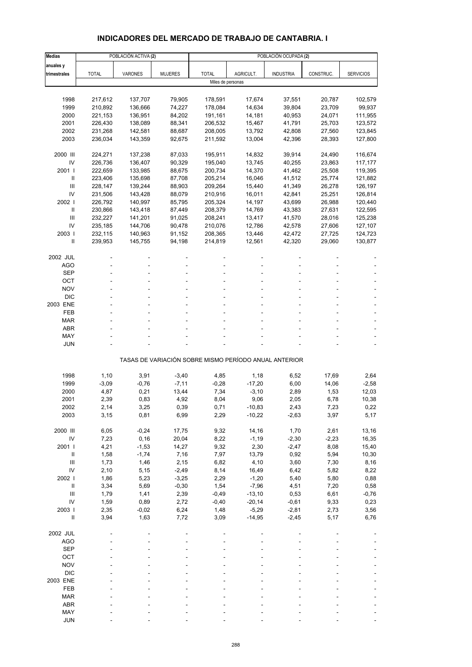# **INDICADORES DEL MERCADO DE TRABAJO DE CANTABRIA. I**

| <b>Medias</b>          |                    | POBLACIÓN ACTIVA (2) |                  | POBLACIÓN OCUPADA (2) |                  |                                                       |                  |                    |  |  |
|------------------------|--------------------|----------------------|------------------|-----------------------|------------------|-------------------------------------------------------|------------------|--------------------|--|--|
| anuales y              |                    |                      |                  |                       |                  |                                                       |                  |                    |  |  |
| trimestrales           | <b>TOTAL</b>       | <b>VARONES</b>       | <b>MUJERES</b>   | <b>TOTAL</b>          | AGRICULT.        | <b>INDUSTRIA</b>                                      | CONSTRUC.        | <b>SERVICIOS</b>   |  |  |
|                        |                    |                      |                  | Miles de personas     |                  |                                                       |                  |                    |  |  |
| 1998                   | 217,612            | 137,707              | 79,905           | 178,591               | 17,674           | 37,551                                                | 20,787           | 102,579            |  |  |
| 1999                   | 210,892            | 136,666              | 74,227           | 178,084               | 14,634           | 39,804                                                | 23,709           | 99,937             |  |  |
| 2000                   | 221,153            | 136,951              | 84,202           | 191,161               | 14,181           | 40,953                                                | 24,071           | 111,955            |  |  |
| 2001                   | 226,430            | 138,089              | 88,341           | 206,532               | 15,467           | 41,791                                                | 25,703           | 123,572            |  |  |
| 2002                   | 231,268            | 142,581              | 88,687           | 208,005               | 13,792           | 42,808                                                | 27,560           | 123,845            |  |  |
| 2003                   | 236,034            | 143,359              | 92,675           | 211,592               | 13,004           | 42,396                                                | 28,393           | 127,800            |  |  |
|                        |                    |                      |                  |                       |                  |                                                       |                  |                    |  |  |
| 2000 III<br>IV         | 224,271<br>226,736 | 137,238<br>136,407   | 87,033<br>90,329 | 195,911<br>195,040    | 14,832<br>13,745 | 39,914<br>40,255                                      | 24,490<br>23,863 | 116,674<br>117,177 |  |  |
| 2001                   | 222,659            | 133,985              | 88,675           | 200,734               | 14,370           | 41,462                                                | 25,508           | 119,395            |  |  |
| $\mathbf{I}$           | 223,406            | 135,698              | 87,708           | 205,214               | 16,046           | 41,512                                                | 25,774           | 121,882            |  |  |
| Ш                      | 228,147            | 139,244              | 88,903           | 209,264               | 15,440           | 41,349                                                | 26,278           | 126,197            |  |  |
| IV                     | 231,506            | 143,428              | 88,079           | 210,916               | 16,011           | 42,841                                                | 25,251           | 126,814            |  |  |
| 2002                   | 226,792            | 140,997              | 85,795           | 205,324               | 14,197           | 43,699                                                | 26,988           | 120,440            |  |  |
| Ш                      | 230,866            | 143,418              | 87,449           | 208,379               | 14,769           | 43,383                                                | 27,631           | 122,595            |  |  |
| Ш                      | 232,227            | 141,201              | 91,025           | 208,241               | 13,417           | 41,570                                                | 28,016           | 125,238            |  |  |
| IV                     | 235,185            | 144,706              | 90,478           | 210,076               | 12,786           | 42,578                                                | 27,606           | 127,107            |  |  |
| 2003  <br>$\mathbf{I}$ | 232,115<br>239,953 | 140,963<br>145,755   | 91,152<br>94,198 | 208,365<br>214,819    | 13,446<br>12,561 | 42,472<br>42,320                                      | 27,725<br>29,060 | 124,723<br>130,877 |  |  |
|                        |                    |                      |                  |                       |                  |                                                       |                  |                    |  |  |
| 2002 JUL               |                    |                      |                  |                       |                  |                                                       |                  |                    |  |  |
| <b>AGO</b>             |                    |                      |                  |                       |                  |                                                       |                  |                    |  |  |
| <b>SEP</b>             |                    |                      |                  |                       |                  |                                                       |                  |                    |  |  |
| OCT                    |                    |                      |                  |                       |                  |                                                       |                  |                    |  |  |
| <b>NOV</b>             |                    |                      |                  |                       |                  |                                                       |                  |                    |  |  |
| <b>DIC</b><br>2003 ENE |                    |                      |                  |                       |                  |                                                       |                  |                    |  |  |
| FEB                    |                    |                      |                  |                       |                  |                                                       |                  |                    |  |  |
| <b>MAR</b>             |                    |                      |                  |                       |                  |                                                       |                  |                    |  |  |
| <b>ABR</b>             |                    |                      |                  |                       |                  |                                                       |                  |                    |  |  |
| MAY                    |                    |                      |                  |                       |                  |                                                       |                  |                    |  |  |
| JUN                    |                    |                      |                  |                       |                  |                                                       |                  |                    |  |  |
|                        |                    |                      |                  |                       |                  | TASAS DE VARIACIÓN SOBRE MISMO PERÍODO ANUAL ANTERIOR |                  |                    |  |  |
| 1998                   | 1,10               | 3,91                 | $-3,40$          | 4,85                  | 1,18             | 6,52                                                  | 17,69            | 2,64               |  |  |
| 1999                   | $-3,09$            | $-0,76$              | $-7,11$          | $-0,28$               | $-17,20$         | 6,00                                                  | 14,06            | $-2,58$            |  |  |
| 2000                   | 4,87               | 0,21                 | 13,44            | 7,34                  | $-3,10$          | 2,89                                                  | 1,53             | 12,03              |  |  |
| 2001                   | 2,39               | 0,83                 | 4,92             | 8,04                  | 9,06             | 2,05                                                  | 6,78             | 10,38              |  |  |
| 2002                   | 2,14               | 3,25                 | 0,39             | 0,71                  | $-10,83$         | 2,43                                                  | 7,23             | 0,22               |  |  |
| 2003                   | 3,15               | 0,81                 | 6,99             | 2,29                  | $-10,22$         | $-2,63$                                               | 3,97             | 5,17               |  |  |
|                        |                    |                      |                  |                       |                  |                                                       |                  |                    |  |  |
| 2000 III<br>IV         | 6,05<br>7,23       | $-0,24$<br>0, 16     | 17,75            | 9,32                  | 14,16            | 1,70                                                  | 2,61             | 13,16              |  |  |
| 2001 l                 | 4,21               | $-1,53$              | 20,04<br>14,27   | 8,22<br>9,32          | $-1,19$<br>2,30  | $-2,30$<br>$-2,47$                                    | $-2,23$<br>8,08  | 16,35<br>15,40     |  |  |
| $\, \parallel$         | 1,58               | $-1,74$              | 7,16             | 7,97                  | 13,79            | 0,92                                                  | 5,94             | 10,30              |  |  |
| III                    | 1,73               | 1,46                 | 2,15             | 6,82                  | 4,10             | 3,60                                                  | 7,30             | 8,16               |  |  |
| IV                     | 2,10               | 5,15                 | $-2,49$          | 8,14                  | 16,49            | 6,42                                                  | 5,82             | 8,22               |  |  |
| 2002 l                 | 1,86               | 5,23                 | $-3,25$          | 2,29                  | $-1,20$          | 5,40                                                  | 5,80             | 0,88               |  |  |
| $\, \parallel$         | 3,34               | 5,69                 | $-0,30$          | 1,54                  | $-7,96$          | 4,51                                                  | 7,20             | 0,58               |  |  |
| $\mathbf{III}$         | 1,79               | 1,41                 | 2,39             | $-0,49$               | $-13,10$         | 0,53                                                  | 6,61             | $-0,76$            |  |  |
| IV                     | 1,59               | 0,89                 | 2,72             | $-0,40$               | $-20,14$         | $-0,61$                                               | 9,33             | 0,23               |  |  |
| 2003                   | 2,35               | $-0,02$              | 6,24             | 1,48                  | $-5,29$          | $-2,81$                                               | 2,73             | 3,56               |  |  |
| $\sf II$               | 3,94               | 1,63                 | 7,72             | 3,09                  | $-14,95$         | $-2,45$                                               | 5,17             | 6,76               |  |  |
| 2002 JUL               |                    |                      |                  |                       |                  |                                                       |                  |                    |  |  |
| <b>AGO</b>             |                    |                      |                  |                       |                  |                                                       |                  |                    |  |  |
| <b>SEP</b>             |                    |                      |                  |                       |                  |                                                       |                  |                    |  |  |
| OCT                    |                    |                      |                  |                       |                  |                                                       |                  |                    |  |  |
| <b>NOV</b>             |                    |                      |                  |                       |                  |                                                       |                  |                    |  |  |
| <b>DIC</b>             |                    |                      |                  |                       |                  |                                                       |                  |                    |  |  |
| 2003 ENE<br>FEB        |                    |                      |                  |                       |                  |                                                       |                  |                    |  |  |
| <b>MAR</b>             |                    |                      |                  |                       |                  |                                                       |                  |                    |  |  |
| ABR                    |                    |                      |                  |                       |                  |                                                       |                  |                    |  |  |
| MAY                    |                    |                      |                  |                       |                  |                                                       |                  |                    |  |  |
| <b>JUN</b>             |                    |                      |                  |                       |                  |                                                       |                  |                    |  |  |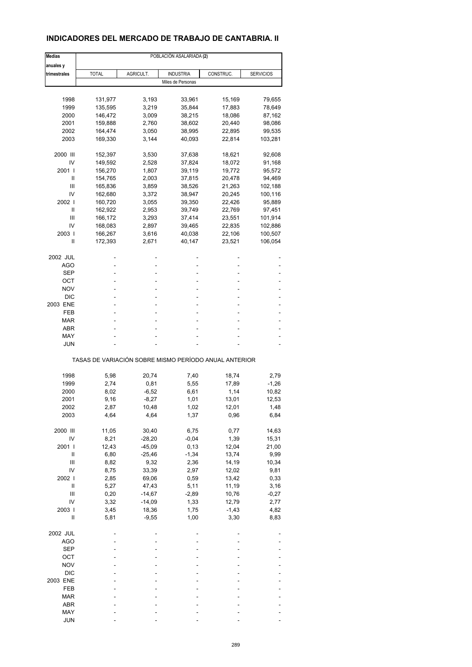## **INDICADORES DEL MERCADO DE TRABAJO DE CANTABRIA. II**

| <b>Medias</b> | POBLACIÓN ASALARIADA (2) |                |                                                       |                |                   |  |  |
|---------------|--------------------------|----------------|-------------------------------------------------------|----------------|-------------------|--|--|
| anuales y     |                          |                |                                                       |                |                   |  |  |
| trimestrales  | <b>TOTAL</b>             | AGRICULT.      | <b>INDUSTRIA</b>                                      | CONSTRUC.      | <b>SERVICIOS</b>  |  |  |
|               |                          |                | Miles de Personas                                     |                |                   |  |  |
|               |                          |                |                                                       |                |                   |  |  |
| 1998          | 131,977                  | 3,193          | 33,961                                                | 15,169         | 79,655            |  |  |
| 1999          | 135,595                  | 3,219          | 35,844                                                | 17,883         | 78,649            |  |  |
| 2000          | 146,472                  | 3,009          | 38,215                                                | 18,086         | 87,162            |  |  |
| 2001<br>2002  | 159,888                  | 2,760          | 38,602                                                | 20,440         | 98,086            |  |  |
| 2003          | 164,474                  | 3,050<br>3,144 | 38,995                                                | 22,895         | 99,535<br>103,281 |  |  |
|               | 169,330                  |                | 40,093                                                | 22,814         |                   |  |  |
| 2000 III      | 152,397                  | 3,530          | 37,638                                                | 18,621         | 92,608            |  |  |
| IV            | 149,592                  | 2,528          | 37,824                                                | 18,072         | 91,168            |  |  |
| 2001 l        | 156,270                  | 1,807          | 39,119                                                | 19,772         | 95,572            |  |  |
| Ш             | 154,765                  | 2,003          | 37,815                                                | 20,478         | 94,469            |  |  |
| Ш             | 165,836                  | 3,859          | 38,526                                                | 21,263         | 102,188           |  |  |
| IV            | 162,680                  | 3,372          | 38,947                                                | 20,245         | 100,116           |  |  |
| 2002          | 160,720                  | 3,055          | 39,350                                                | 22,426         | 95,889            |  |  |
| Ш             | 162,922                  | 2,953          | 39,749                                                | 22,769         | 97,451            |  |  |
| Ш             | 166,172                  | 3,293          | 37,414                                                | 23,551         | 101,914           |  |  |
| IV            | 168,083                  | 2,897          | 39,465                                                | 22,835         | 102,886           |  |  |
| 2003          | 166,267                  | 3,616          | 40,038                                                | 22,106         | 100,507           |  |  |
| Ш             | 172,393                  | 2,671          | 40,147                                                | 23,521         | 106,054           |  |  |
| 2002 JUL      |                          |                |                                                       |                |                   |  |  |
| AGO           |                          |                |                                                       |                |                   |  |  |
| SEP           |                          |                | ٠                                                     |                |                   |  |  |
| ОСТ           |                          |                |                                                       |                |                   |  |  |
| NOV           |                          |                |                                                       |                |                   |  |  |
| DIC           |                          |                |                                                       |                |                   |  |  |
| 2003 ENE      |                          |                |                                                       |                |                   |  |  |
| FEB           |                          |                |                                                       |                |                   |  |  |
| MAR           |                          |                |                                                       |                |                   |  |  |
| ABR           |                          |                |                                                       |                |                   |  |  |
| MAY           |                          |                |                                                       |                |                   |  |  |
| JUN           |                          |                |                                                       |                |                   |  |  |
|               |                          |                | TASAS DE VARIACIÓN SOBRE MISMO PERÍODO ANUAL ANTERIOR |                |                   |  |  |
|               |                          |                |                                                       |                |                   |  |  |
| 1998<br>1999  | 5,98<br>2,74             | 20,74<br>0,81  | 7,40<br>5,55                                          | 18,74<br>17,89 | 2,79<br>$-1,26$   |  |  |
|               |                          |                |                                                       |                |                   |  |  |
| 2000          | 8,02                     | $-6,52$        | 6,61                                                  | 1,14           | 10,82             |  |  |
| 2001          | 9,16                     | $-8,27$        | 1,01                                                  | 13,01          | 12,53             |  |  |
| 2002          | 2,87                     | 10,48          | 1,02                                                  | 12,01          | 1,48              |  |  |
| 2003          | 4,64                     | 4,64           | 1,37                                                  | 0,96           | 6,84              |  |  |
| 2000 III      | 11,05                    | 30,40          | 6,75                                                  | 0,77           | 14,63             |  |  |
| IV            | 8,21                     | $-28,20$       | $-0,04$                                               | 1,39           | 15,31             |  |  |
| 2001 l        | 12,43                    | $-45,09$       | 0, 13                                                 | 12,04          | 21,00             |  |  |
| Ш             | 6,80                     | $-25,46$       | $-1,34$                                               | 13,74          | 9,99              |  |  |
| Ш             | 8,82                     | 9,32           | 2,36                                                  | 14,19          | 10,34             |  |  |
| IV            | 8,75                     | 33,39          | 2,97                                                  | 12,02          | 9,81              |  |  |
| 2002          | 2,85                     | 69,06          | 0,59                                                  | 13,42          | 0,33              |  |  |
| Ш             | 5,27                     | 47,43          | 5,11                                                  | 11,19          | 3,16              |  |  |
| Ш             | 0,20                     | $-14,67$       | $-2,89$                                               | 10,76          | $-0,27$           |  |  |
| IV            | 3,32                     | $-14,09$       | 1,33                                                  | 12,79          | 2,77              |  |  |
| 2003          | 3,45                     | 18,36          | 1,75                                                  | $-1,43$        | 4,82              |  |  |
| $\mathsf{I}$  | 5,81                     | $-9,55$        | 1,00                                                  | 3,30           | 8,83              |  |  |
| 2002 JUL      |                          |                |                                                       |                |                   |  |  |
| AGO           |                          |                |                                                       |                |                   |  |  |
| <b>SEP</b>    |                          |                |                                                       |                |                   |  |  |
| OCT           |                          |                |                                                       |                |                   |  |  |
| <b>NOV</b>    |                          |                |                                                       |                |                   |  |  |
| $DIC$         |                          |                |                                                       |                |                   |  |  |
| 2003 ENE      |                          |                |                                                       |                |                   |  |  |
| FEB           |                          |                |                                                       |                |                   |  |  |
| <b>MAR</b>    |                          |                |                                                       |                |                   |  |  |
| ABR           |                          |                |                                                       |                |                   |  |  |
| MAY           |                          |                |                                                       |                |                   |  |  |
| <b>JUN</b>    |                          |                |                                                       |                |                   |  |  |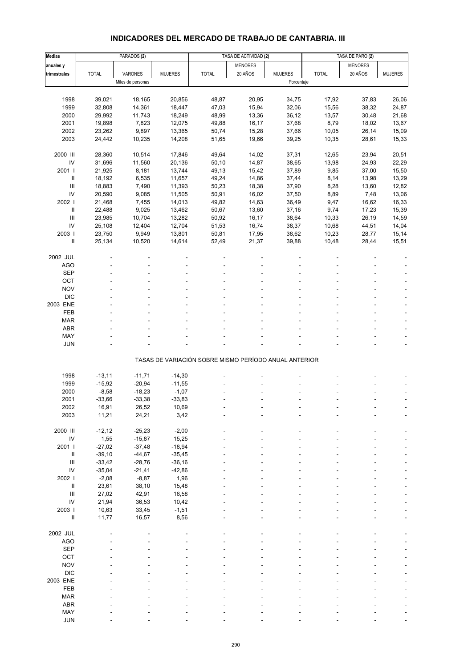# **INDICADORES DEL MERCADO DE TRABAJO DE CANTABRIA. III**

| <b>Medias</b>       |              | PARADOS <sub>(2)</sub> |                |              | TASA DE ACTIVIDAD (2)                                 |                |              | TASA DE PARO (2) |                |
|---------------------|--------------|------------------------|----------------|--------------|-------------------------------------------------------|----------------|--------------|------------------|----------------|
| anuales y           |              |                        |                |              | <b>MENORES</b>                                        |                |              | <b>MENORES</b>   |                |
| trimestrales        | <b>TOTAL</b> | VARONES                | <b>MUJERES</b> | <b>TOTAL</b> | 20 AÑOS                                               | <b>MUJERES</b> | <b>TOTAL</b> | 20 AÑOS          | <b>MUJERES</b> |
|                     |              | Miles de personas      |                |              |                                                       | Porcentaje     |              |                  |                |
|                     |              |                        |                |              |                                                       |                |              |                  |                |
| 1998                | 39,021       | 18,165                 | 20,856         | 48,87        | 20,95                                                 | 34,75          | 17,92        | 37,83            | 26,06          |
| 1999                | 32,808       | 14,361                 | 18,447         | 47,03        | 15,94                                                 | 32,06          | 15,56        | 38,32            | 24,87          |
| 2000                | 29,992       | 11,743                 | 18,249         | 48,99        | 13,36                                                 | 36,12          | 13,57        | 30,48            | 21,68          |
| 2001                | 19,898       | 7,823                  | 12,075         | 49,88        | 16,17                                                 | 37,68          | 8,79         | 18,02            | 13,67          |
| 2002                | 23,262       | 9,897                  | 13,365         | 50,74        | 15,28                                                 | 37,66          | 10,05        | 26,14            | 15,09          |
| 2003                | 24,442       | 10,235                 | 14,208         | 51,65        | 19,66                                                 | 39,25          | 10,35        | 28,61            | 15,33          |
|                     |              |                        |                |              |                                                       |                |              |                  |                |
| 2000 III            | 28,360       | 10,514                 | 17,846         | 49,64        | 14,02                                                 | 37,31          | 12,65        | 23,94            | 20,51          |
|                     |              |                        |                |              |                                                       |                |              |                  |                |
| IV                  | 31,696       | 11,560                 | 20,136         | 50,10        | 14,87                                                 | 38,65          | 13,98        | 24,93            | 22,29          |
| 2001 l              | 21,925       | 8,181                  | 13,744         | 49,13        | 15,42                                                 | 37,89          | 9,85         | 37,00            | 15,50          |
| $\sf II$            | 18,192       | 6,535                  | 11,657         | 49,24        | 14,86                                                 | 37,44          | 8,14         | 13,98            | 13,29          |
| III                 | 18,883       | 7,490                  | 11,393         | 50,23        | 18,38                                                 | 37,90          | 8,28         | 13,60            | 12,82          |
| IV                  | 20,590       | 9,085                  | 11,505         | 50,91        | 16,02                                                 | 37,50          | 8,89         | 7,48             | 13,06          |
| 2002                | 21,468       | 7,455                  | 14,013         | 49,82        | 14,63                                                 | 36,49          | 9,47         | 16,62            | 16,33          |
| Ш                   | 22,488       | 9,025                  | 13,462         | 50,67        | 13,60                                                 | 37,16          | 9,74         | 17,23            | 15,39          |
| $\mathsf{III}$      | 23,985       | 10,704                 | 13,282         | 50,92        | 16,17                                                 | 38,64          | 10,33        | 26,19            | 14,59          |
| IV                  | 25,108       | 12,404                 | 12,704         | 51,53        | 16,74                                                 | 38,37          | 10,68        | 44,51            | 14,04          |
| 2003                | 23,750       | 9,949                  | 13,801         | 50,81        | 17,95                                                 | 38,62          | 10,23        | 28,77            | 15,14          |
| Ш                   | 25,134       | 10,520                 | 14,614         | 52,49        | 21,37                                                 | 39,88          | 10,48        | 28,44            | 15,51          |
|                     |              |                        |                |              |                                                       |                |              |                  |                |
| 2002 JUL            |              |                        |                |              |                                                       |                |              |                  |                |
| <b>AGO</b>          |              |                        |                |              |                                                       |                |              |                  |                |
| <b>SEP</b>          |              |                        |                |              |                                                       |                |              |                  |                |
| OCT                 |              |                        |                |              |                                                       |                |              |                  |                |
| <b>NOV</b>          |              |                        |                |              |                                                       |                |              |                  |                |
| <b>DIC</b>          |              |                        |                |              |                                                       |                |              |                  |                |
| 2003 ENE            |              |                        |                |              |                                                       |                |              |                  |                |
| <b>FEB</b>          |              |                        |                |              |                                                       |                |              |                  |                |
| <b>MAR</b>          |              |                        |                |              |                                                       |                |              |                  |                |
| <b>ABR</b>          |              |                        |                |              |                                                       |                |              |                  |                |
| MAY                 |              |                        |                |              |                                                       |                |              |                  |                |
| <b>JUN</b>          |              |                        |                |              |                                                       |                |              |                  |                |
|                     |              |                        |                |              |                                                       |                |              |                  |                |
|                     |              |                        |                |              | TASAS DE VARIACIÓN SOBRE MISMO PERÍODO ANUAL ANTERIOR |                |              |                  |                |
|                     |              |                        |                |              |                                                       |                |              |                  |                |
| 1998                | $-13,11$     | $-11,71$               | $-14,30$       |              |                                                       |                |              |                  |                |
| 1999                | $-15,92$     | $-20,94$               | $-11,55$       |              |                                                       |                |              |                  |                |
| 2000                | $-8,58$      | $-18,23$               | $-1,07$        |              |                                                       |                |              |                  |                |
| 2001                | $-33,66$     | $-33,38$               | $-33,83$       |              |                                                       |                |              |                  | ÷              |
| 2002                | 16,91        | 26,52                  | 10,69          |              |                                                       |                |              |                  |                |
| 2003                | 11,21        | 24,21                  | 3,42           |              |                                                       |                |              |                  |                |
|                     |              |                        |                |              |                                                       |                |              |                  |                |
| 2000 III            | $-12,12$     | $-25,23$               | $-2,00$        |              |                                                       |                |              |                  |                |
| IV                  | 1,55         | $-15,87$               | 15,25          |              |                                                       |                |              |                  |                |
| 2001                | $-27,02$     | $-37,48$               | $-18,94$       |              |                                                       |                |              |                  |                |
|                     |              |                        |                |              |                                                       |                |              |                  |                |
| Ш<br>$\mathbf{III}$ | $-39,10$     | $-44,67$               | $-35,45$       |              |                                                       |                |              |                  |                |
|                     | $-33,42$     | $-28,76$               | $-36,16$       |              |                                                       |                |              |                  |                |
| IV                  | $-35,04$     | $-21,41$               | $-42,86$       |              |                                                       |                |              |                  |                |
| 2002                | $-2,08$      | $-8,87$                | 1,96           |              |                                                       |                |              |                  |                |
| $\,$ II             | 23,61        | 38,10                  | 15,48          |              |                                                       |                |              |                  |                |
| $\mathbf{III}$      | 27,02        | 42,91                  | 16,58          |              |                                                       |                |              |                  |                |
| IV                  | 21,94        | 36,53                  | 10,42          |              |                                                       |                |              |                  |                |
| 2003 l              | 10,63        | 33,45                  | $-1,51$        |              |                                                       |                |              |                  |                |
| $\,$ II             | 11,77        | 16,57                  | 8,56           |              |                                                       |                |              |                  |                |
|                     |              |                        |                |              |                                                       |                |              |                  |                |
| 2002 JUL            |              |                        |                |              |                                                       |                |              |                  |                |
| <b>AGO</b>          |              |                        |                |              |                                                       |                |              |                  |                |
| <b>SEP</b>          |              |                        |                |              |                                                       |                |              |                  |                |
| OCT                 |              |                        |                |              |                                                       |                |              |                  |                |
| <b>NOV</b>          |              |                        |                |              |                                                       |                |              |                  |                |
| <b>DIC</b>          |              |                        |                |              |                                                       |                |              |                  |                |
| 2003 ENE            |              |                        |                |              |                                                       |                |              |                  |                |
| FEB                 |              |                        |                |              |                                                       |                |              |                  |                |
| <b>MAR</b>          |              |                        |                |              |                                                       |                |              |                  |                |
| <b>ABR</b>          |              |                        |                |              |                                                       |                |              |                  |                |
| MAY                 |              |                        |                |              |                                                       |                |              |                  |                |
| <b>JUN</b>          |              |                        |                |              |                                                       |                |              |                  |                |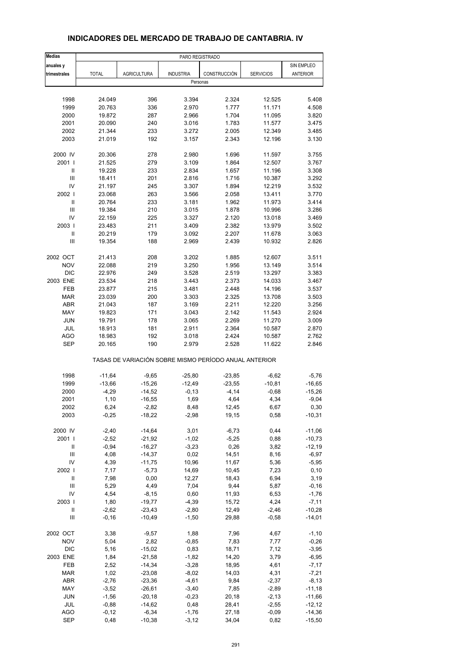| <b>Medias</b>              | PARO REGISTRADO |                                                       |                  |              |                  |                 |
|----------------------------|-----------------|-------------------------------------------------------|------------------|--------------|------------------|-----------------|
| anuales y                  |                 |                                                       |                  |              |                  | SIN EMPLEO      |
| trimestrales               | <b>TOTAL</b>    | <b>AGRICULTURA</b>                                    | <b>INDUSTRIA</b> | CONSTRUCCIÓN | <b>SERVICIOS</b> | <b>ANTERIOR</b> |
|                            |                 |                                                       | Personas         |              |                  |                 |
|                            |                 |                                                       |                  |              |                  |                 |
| 1998                       | 24.049          | 396                                                   | 3.394            | 2.324        | 12.525           | 5.408           |
| 1999                       | 20.763          | 336                                                   | 2.970            | 1.777        | 11.171           | 4.508           |
| 2000                       | 19.872          | 287                                                   | 2.966            | 1.704        | 11.095           | 3.820           |
| 2001                       | 20.090          | 240                                                   | 3.016            | 1.783        | 11.577           | 3.475           |
| 2002                       | 21.344          | 233                                                   | 3.272            | 2.005        | 12.349           | 3.485           |
| 2003                       | 21.019          | 192                                                   | 3.157            | 2.343        | 12.196           | 3.130           |
| 2000 IV                    | 20.306          | 278                                                   | 2.980            | 1.696        | 11.597           | 3.755           |
| 2001                       | 21.525          | 279                                                   | 3.109            | 1.864        | 12.507           | 3.767           |
| $\ensuremath{\mathsf{II}}$ | 19.228          | 233                                                   | 2.834            | 1.657        | 11.196           | 3.308           |
| Ш                          | 18.411          | 201                                                   | 2.816            | 1.716        | 10.387           | 3.292           |
| IV                         | 21.197          | 245                                                   | 3.307            | 1.894        | 12.219           | 3.532           |
| 2002                       | 23.068          | 263                                                   | 3.566            | 2.058        | 13.411           | 3.770           |
| $\ensuremath{\mathsf{II}}$ | 20.764          | 233                                                   | 3.181            | 1.962        | 11.973           | 3.414           |
| Ш                          | 19.384          | 210                                                   | 3.015            | 1.878        | 10.996           | 3.286           |
| IV                         | 22.159          | 225                                                   | 3.327            | 2.120        | 13.018           | 3.469           |
| 2003                       | 23.483          | 211                                                   | 3.409            | 2.382        | 13.979           | 3.502           |
| Ш                          | 20.219          | 179                                                   | 3.092            | 2.207        | 11.678           | 3.063           |
| Ш                          | 19.354          | 188                                                   | 2.969            | 2.439        | 10.932           | 2.826           |
| 2002 OCT                   | 21.413          | 208                                                   | 3.202            | 1.885        | 12.607           | 3.511           |
| <b>NOV</b>                 | 22.088          | 219                                                   | 3.250            | 1.956        | 13.149           | 3.514           |
| <b>DIC</b>                 | 22.976          | 249                                                   | 3.528            | 2.519        | 13.297           | 3.383           |
| 2003 ENE                   | 23.534          | 218                                                   | 3.443            | 2.373        | 14.033           | 3.467           |
| FEB                        | 23.877          | 215                                                   | 3.481            | 2.448        | 14.196           | 3.537           |
| <b>MAR</b>                 | 23.039          | 200                                                   | 3.303            | 2.325        | 13.708           | 3.503           |
| <b>ABR</b>                 | 21.043          | 187                                                   | 3.169            | 2.211        | 12.220           | 3.256           |
| MAY                        | 19.823          | 171                                                   | 3.043            | 2.142        | 11.543           | 2.924           |
| <b>JUN</b>                 | 19.791          | 178                                                   | 3.065            | 2.269        | 11.270           | 3.009           |
| <b>JUL</b>                 | 18.913          | 181                                                   | 2.911            | 2.364        | 10.587           | 2.870           |
| <b>AGO</b>                 | 18.983          | 192                                                   | 3.018            | 2.424        | 10.587           | 2.762           |
| <b>SEP</b>                 | 20.165          | 190                                                   | 2.979            | 2.528        | 11.622           | 2.846           |
|                            |                 | TASAS DE VARIACIÓN SOBRE MISMO PERÍODO ANUAL ANTERIOR |                  |              |                  |                 |
| 1998                       | $-11,64$        | $-9,65$                                               | $-25,80$         | $-23,85$     | $-6,62$          | $-5,76$         |
| 1999                       | $-13,66$        | $-15,26$                                              | $-12,49$         | $-23,55$     | $-10,81$         | $-16,65$        |
| 2000                       | $-4,29$         | $-14,52$                                              | $-0,13$          | $-4, 14$     | $-0,68$          | $-15,26$        |
| 2001                       | 1,10            | $-16,55$                                              | 1,69             | 4,64         | 4,34             | $-9,04$         |
| 2002                       | 6,24            | $-2,82$                                               | 8,48             | 12,45        | 6,67             | 0,30            |
| 2003                       | $-0,25$         | $-18,22$                                              | $-2,98$          | 19,15        | 0,58             | $-10,31$        |
| 2000 IV                    | $-2,40$         | $-14,64$                                              | 3,01             | $-6,73$      | 0,44             | $-11,06$        |
| 2001 l                     | $-2,52$         | $-21,92$                                              | $-1,02$          | $-5,25$      | 0,88             | $-10,73$        |
| $\, \parallel$             | $-0,94$         | $-16,27$                                              | $-3,23$          | 0,26         | 3,82             | $-12,19$        |
| Ш                          | 4,08            | $-14,37$                                              | 0,02             | 14,51        | 8,16             | $-6,97$         |
| IV                         | 4,39            | $-11,75$                                              | 10,96            | 11,67        | 5,36             | $-5,95$         |
| 2002                       | 7,17            | $-5,73$                                               | 14,69            | 10,45        | 7,23             | 0, 10           |
| $\sf II$                   | 7,98            | 0,00                                                  | 12,27            | 18,43        | 6,94             | 3,19            |
| Ш                          | 5,29            | 4,49                                                  | 7,04             | 9,44         | 5,87             | $-0, 16$        |
| IV                         | 4,54            | $-8,15$                                               | 0,60             | 11,93        | 6,53             | $-1,76$         |
| 2003                       | 1,80            | $-19,77$                                              | $-4,39$          | 15,72        | 4,24             | $-7,11$         |
| Ш                          | $-2,62$         | $-23,43$                                              | $-2,80$          | 12,49        | $-2,46$          | $-10,28$        |
| Ш                          | $-0,16$         | $-10,49$                                              | $-1,50$          | 29,88        | $-0,58$          | $-14,01$        |
|                            |                 |                                                       |                  |              |                  |                 |
| 2002 OCT                   | 3,38            | $-9,57$                                               | 1,88             | 7,96         | 4,67             | $-1,10$         |
| <b>NOV</b>                 | 5,04            | 2,82                                                  | $-0,85$          | 7,83         | 7,77             | $-0,26$         |
| <b>DIC</b>                 | 5,16            | $-15,02$                                              | 0,83             | 18,71        | 7,12             | $-3,95$         |
| 2003 ENE                   | 1,84            | $-21,58$                                              | $-1,82$          | 14,20        | 3,79             | $-6,95$         |
| FEB                        | 2,52            | $-14,34$                                              | $-3,28$          | 18,95        | 4,61             | $-7,17$         |
| <b>MAR</b>                 | 1,02            | $-23,08$                                              | $-8,02$          | 14,03        | 4,31             | $-7,21$         |
| ABR                        | $-2,76$         | $-23,36$                                              | $-4,61$          | 9,84         | $-2,37$          | $-8,13$         |
| MAY                        | $-3,52$         | $-26,61$                                              | $-3,40$          | 7,85         | $-2,89$          | $-11,18$        |
| JUN                        | $-1,56$         | $-20,18$                                              | $-0,23$          | 20,18        | $-2,13$          | $-11,66$        |
| <b>JUL</b>                 | $-0,88$         | $-14,62$                                              | 0,48             | 28,41        | $-2,55$          | $-12,12$        |
| <b>AGO</b>                 | $-0, 12$        | $-6,34$                                               | $-1,76$          | 27,18        | $-0,09$          | $-14,36$        |
| <b>SEP</b>                 | 0,48            | $-10,38$                                              | $-3,12$          | 34,04        | 0,82             | $-15,50$        |

#### **INDICADORES DEL MERCADO DE TRABAJO DE CANTABRIA. IV**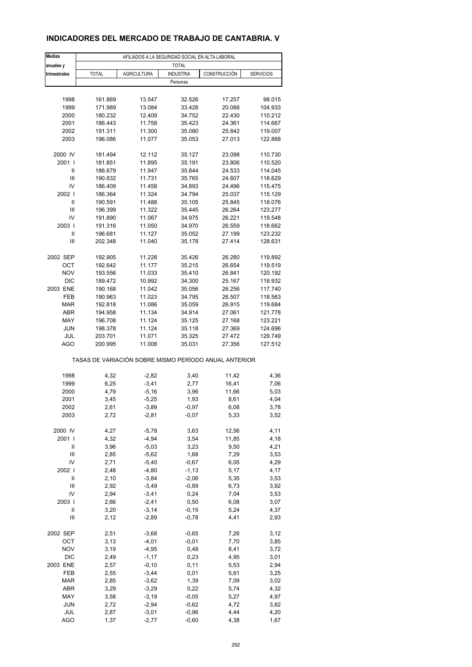### **INDICADORES DEL MERCADO DE TRABAJO DE CANTABRIA. V**

| <b>Medias</b>     | AFILIADOS A LA SEGURIDAD SOCIAL EN ALTA LABORAL |                     |                    |                                                       |                  |  |  |  |
|-------------------|-------------------------------------------------|---------------------|--------------------|-------------------------------------------------------|------------------|--|--|--|
| anuales y         |                                                 |                     | <b>TOTAL</b>       |                                                       |                  |  |  |  |
| trimestrales      | <b>TOTAL</b>                                    | <b>AGRICULTURA</b>  | <b>INDUSTRIA</b>   | CONSTRUCCIÓN                                          | <b>SERVICIOS</b> |  |  |  |
|                   |                                                 |                     | Personas           |                                                       |                  |  |  |  |
|                   |                                                 |                     |                    |                                                       |                  |  |  |  |
| 1998              | 161.869                                         | 13.547              | 32.526             | 17.257                                                | 98.015           |  |  |  |
| 1999              | 171.989                                         | 13.084              | 33.428             | 20.088                                                | 104.933          |  |  |  |
| 2000              | 180.232                                         | 12.409              | 34.752             | 22.430                                                | 110.212          |  |  |  |
| 2001              | 186.443                                         | 11.758              | 35.423             | 24.361                                                | 114.667          |  |  |  |
| 2002              | 191.311                                         | 11.300              | 35.080             | 25.842                                                | 119.007          |  |  |  |
| 2003              | 196.086                                         | 11.077              | 35.053             | 27.013                                                | 122.868          |  |  |  |
| 2000 IV           | 181.494                                         | 12.112              | 35.127             | 23.098                                                | 110.730          |  |  |  |
| 2001 l            | 181.851                                         | 11.895              | 35.191             | 23.806                                                | 110.520          |  |  |  |
| Ш                 | 186.679                                         | 11.947              | 35.844             | 24.533                                                | 114.045          |  |  |  |
| Ш                 | 190.832                                         | 11.731              | 35.765             | 24.607                                                | 118.629          |  |  |  |
| IV                | 186.409                                         | 11.458              | 34.893             | 24.496                                                | 115.475          |  |  |  |
| 2002              | 186.364                                         | 11.324              | 34.794             | 25.037                                                | 115.129          |  |  |  |
| Ш                 | 190.591                                         | 11.488              | 35.105             | 25.845                                                | 118.076          |  |  |  |
| Ш                 | 196.399                                         | 11.322              | 35.445             | 26.264                                                | 123.277          |  |  |  |
| IV                | 191.890                                         | 11.067              | 34.975             | 26.221                                                | 119.548          |  |  |  |
| 2003              | 191.316                                         | 11.050              | 34.970             | 26.559                                                | 118.662          |  |  |  |
| Ш                 | 196.681                                         | 11.127              | 35.052             | 27.199                                                | 123.232          |  |  |  |
| Ш                 | 202.348                                         | 11.040              | 35.178             | 27.414                                                | 128.631          |  |  |  |
| 2002 SEP          | 192.905                                         | 11.228              | 35.426             | 26.280                                                | 119.892          |  |  |  |
| OCT               | 192.642                                         | 11.177              | 35.215             | 26.654                                                | 119.519          |  |  |  |
| <b>NOV</b>        | 193.556                                         | 11.033              | 35.410             | 26.841                                                | 120.192          |  |  |  |
| <b>DIC</b>        | 189.472                                         | 10.992              | 34.300             | 25.167                                                | 118.932          |  |  |  |
| 2003 ENE          | 190.168                                         | 11.042              | 35.056             | 26.256                                                | 117.740          |  |  |  |
| FEB               | 190.963                                         | 11.023              | 34.795             | 26.507                                                | 118.563          |  |  |  |
| <b>MAR</b>        | 192.818                                         | 11.086              | 35.059             | 26.915                                                | 119.684          |  |  |  |
| ABR               | 194.958                                         | 11.134              | 34.914             | 27.061                                                | 121.778          |  |  |  |
| MAY               | 196.708                                         | 11.124              | 35.125             | 27.168                                                | 123.221          |  |  |  |
| <b>JUN</b>        | 198.378                                         | 11.124              | 35.118             | 27.369                                                | 124.696          |  |  |  |
| JUL               | 203.701                                         | 11.071              | 35.325             | 27.472                                                | 129.749          |  |  |  |
| AGO               | 200.995                                         | 11.008              | 35.031             | 27.356                                                | 127.512          |  |  |  |
|                   |                                                 |                     |                    | TASAS DE VARIACIÓN SOBRE MISMO PERÍODO ANUAL ANTERIOR |                  |  |  |  |
|                   |                                                 |                     |                    |                                                       |                  |  |  |  |
| 1998              | 4,32                                            | $-2,82$             | 3,40               | 11,42                                                 | 4,36             |  |  |  |
| 1999              | 6,25                                            | $-3,41$             | 2,77               | 16,41                                                 | 7,06             |  |  |  |
| 2000              | 4,79                                            | $-5,16$             | 3,96               | 11,66                                                 | 5,03             |  |  |  |
| 2001              | 3,45                                            | $-5,25$             | 1,93               | 8,61                                                  | 4,04             |  |  |  |
| 2002              | 2,61                                            | -3,89               | $-0,97$            | 6,08                                                  | 3,78             |  |  |  |
| 2003              | 2,72                                            | $-2,81$             | $-0,07$            | 5,33                                                  | 3,52             |  |  |  |
| 2000 IV           | 4,27                                            | $-5,78$             | 3,63               | 12,56                                                 | 4,11             |  |  |  |
| 2001 l            | 4,32                                            | $-4,94$             | 3,54               | 11,85                                                 | 4,18             |  |  |  |
| Ш                 | 3,96                                            | $-5,03$             | 3,23               | 9,50                                                  | 4,21             |  |  |  |
| Ш                 | 2,85                                            | $-5,62$             | 1,68               | 7,29                                                  | 3,53             |  |  |  |
| IV                | 2,71                                            | $-5,40$             | $-0,67$            | 6,05                                                  | 4,29             |  |  |  |
| 2002              | 2,48                                            | $-4,80$             | $-1, 13$           | 5,17                                                  | 4,17             |  |  |  |
| $\sf II$          | 2,10                                            | $-3,84$             | $-2,06$            | 5,35                                                  | 3,53             |  |  |  |
| Ш                 | 2,92                                            | $-3,49$             | $-0,89$            | 6,73                                                  | 3,92             |  |  |  |
| IV                | 2,94                                            | $-3,41$             | 0,24               | 7,04                                                  | 3,53             |  |  |  |
| 2003              | 2,66                                            | $-2,41$             | 0,50               | 6,08                                                  | 3,07             |  |  |  |
| Ш                 | 3,20                                            | $-3, 14$            | $-0,15$            | 5,24                                                  | 4,37             |  |  |  |
| Ш                 | 2,12                                            | $-2,89$             | $-0,78$            | 4,41                                                  | 2,93             |  |  |  |
| 2002 SEP          | 2,51                                            |                     |                    |                                                       |                  |  |  |  |
| OCT               | 3,13                                            | $-3,68$<br>$-4,01$  | $-0,65$<br>$-0,01$ | 7,26<br>7,70                                          | 3,12<br>3,85     |  |  |  |
| <b>NOV</b>        | 3,19                                            | $-4,95$             |                    | 8,41                                                  |                  |  |  |  |
| DIC               | 2,49                                            | $-1,17$             | 0,48<br>0,23       | 4,95                                                  | 3,72<br>3,01     |  |  |  |
|                   |                                                 |                     |                    |                                                       |                  |  |  |  |
| 2003 ENE<br>FEB   | 2,57                                            | $-0, 10$<br>$-3,44$ | 0,11               | 5,53                                                  | 2,94             |  |  |  |
|                   | 2,55                                            |                     | 0,01               | 5,61                                                  | 3,25             |  |  |  |
| <b>MAR</b>        | 2,85                                            | $-3,62$             | 1,39               | 7,09                                                  | 3,02             |  |  |  |
| ABR               | 3,29                                            | $-3,29$             | 0,22               | 5,74                                                  | 4,32             |  |  |  |
| MAY               | 3,58                                            | $-3,19$             | $-0,05$            | 5,27                                                  | 4,97             |  |  |  |
| <b>JUN</b>        | 2,72                                            | $-2,94$             | $-0,62$            | 4,72                                                  | 3,82             |  |  |  |
| JUL<br><b>AGO</b> | 2,87<br>1,37                                    | $-3,01$<br>$-2,77$  | $-0,96$<br>$-0,60$ | 4,44<br>4,38                                          | 4,20<br>1,67     |  |  |  |
|                   |                                                 |                     |                    |                                                       |                  |  |  |  |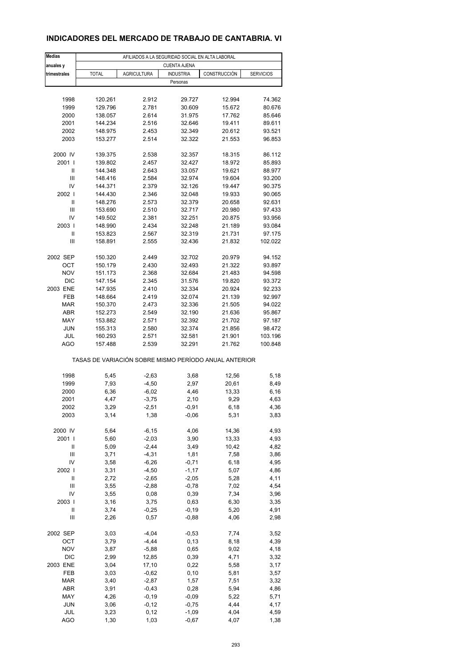### **INDICADORES DEL MERCADO DE TRABAJO DE CANTABRIA. VI**

| <b>Medias</b> |                                                       | AFILIADOS A LA SEGURIDAD SOCIAL EN ALTA LABORAL |                     |              |                  |
|---------------|-------------------------------------------------------|-------------------------------------------------|---------------------|--------------|------------------|
| anuales y     |                                                       |                                                 | <b>CUENTA AJENA</b> |              |                  |
| trimestrales  | <b>TOTAL</b>                                          | <b>AGRICULTURA</b>                              | <b>INDUSTRIA</b>    | CONSTRUCCIÓN | <b>SERVICIOS</b> |
|               |                                                       |                                                 | Personas            |              |                  |
| 1998          | 120.261                                               | 2.912                                           | 29.727              | 12.994       | 74.362           |
| 1999          | 129.796                                               | 2.781                                           | 30.609              | 15.672       | 80.676           |
| 2000          | 138.057                                               | 2.614                                           | 31.975              | 17.762       | 85.646           |
| 2001          | 144.234                                               | 2.516                                           | 32.646              | 19.411       | 89.611           |
| 2002          | 148.975                                               | 2.453                                           | 32.349              | 20.612       | 93.521           |
| 2003          | 153.277                                               | 2.514                                           | 32.322              | 21.553       | 96.853           |
|               |                                                       |                                                 |                     |              |                  |
| 2000 IV       | 139.375                                               | 2.538                                           | 32.357              | 18.315       | 86.112           |
| 2001 l        | 139.802                                               | 2.457                                           | 32.427              | 18.972       | 85.893           |
| Ш             | 144.348                                               | 2.643                                           | 33.057              | 19.621       | 88.977           |
| Ш             | 148.416                                               | 2.584                                           | 32.974              | 19.604       | 93.200           |
| IV            | 144.371                                               | 2.379                                           | 32.126              | 19.447       | 90.375           |
| 2002          | 144.430                                               | 2.346                                           | 32.048              | 19.933       | 90.065           |
| Ш             | 148.276                                               | 2.573                                           | 32.379              | 20.658       | 92.631           |
| Ш             | 153.690                                               | 2.510                                           | 32.717              | 20.980       | 97.433           |
| IV            | 149.502                                               | 2.381                                           | 32.251              | 20.875       | 93.956           |
| 2003          | 148.990                                               | 2.434                                           | 32.248              | 21.189       | 93.084           |
| Ш             | 153.823                                               | 2.567                                           | 32.319              | 21.731       | 97.175           |
| Ш             | 158.891                                               | 2.555                                           | 32.436              | 21.832       | 102.022          |
| 2002 SEP      | 150.320                                               | 2.449                                           | 32.702              | 20.979       | 94.152           |
| OCT           | 150.179                                               | 2.430                                           | 32.493              | 21.322       | 93.897           |
| <b>NOV</b>    | 151.173                                               | 2.368                                           | 32.684              | 21.483       | 94.598           |
| <b>DIC</b>    | 147.154                                               | 2.345                                           | 31.576              | 19.820       | 93.372           |
| 2003 ENE      | 147.935                                               | 2.410                                           | 32.334              | 20.924       | 92.233           |
| FEB           | 148.664                                               | 2.419                                           | 32.074              | 21.139       | 92.997           |
| <b>MAR</b>    | 150.370                                               | 2.473                                           | 32.336              | 21.505       | 94.022           |
| <b>ABR</b>    | 152.273                                               | 2.549                                           | 32.190              | 21.636       | 95.867           |
| MAY           | 153.882                                               | 2.571                                           | 32.392              | 21.702       | 97.187           |
| <b>JUN</b>    | 155.313                                               | 2.580                                           | 32.374              | 21.856       | 98.472           |
| JUL           | 160.293                                               | 2.571                                           | 32.581              | 21.901       | 103.196          |
| AGO           | 157.488                                               | 2.539                                           | 32.291              | 21.762       | 100.848          |
|               | TASAS DE VARIACIÓN SOBRE MISMO PERÍODO ANUAL ANTERIOR |                                                 |                     |              |                  |
|               |                                                       |                                                 |                     |              |                  |
| 1998          | 5,45                                                  | $-2,63$                                         | 3,68                | 12,56        | 5,18             |
| 1999          | 7,93                                                  | $-4,50$                                         | 2,97                | 20,61        | 8,49             |
| 2000          | 6,36                                                  | $-6,02$                                         | 4,46                | 13,33        | 6,16             |
| 2001          | 4,47                                                  | $-3,75$                                         | 2,10                | 9,29         | 4,63             |
| 2002<br>2003  | 3,29<br>3,14                                          | -2,51<br>1,38                                   | -0,91<br>$-0,06$    | 6,18<br>5,31 | 4,36<br>3,83     |
|               |                                                       |                                                 |                     |              |                  |
| 2000 IV       | 5,64                                                  | $-6, 15$                                        | 4,06                | 14,36        | 4,93             |
| 2001 l        | 5,60                                                  | $-2,03$                                         | 3,90                | 13,33        | 4,93             |
| Ш             | 5,09                                                  | $-2,44$                                         | 3,49                | 10,42        | 4,82             |
| Ш             | 3,71                                                  | $-4,31$                                         | 1,81                | 7,58         | 3,86             |
| IV            | 3,58                                                  | $-6,26$                                         | $-0,71$             | 6,18         | 4,95             |
| 2002          | 3,31                                                  | $-4,50$                                         | $-1,17$             | 5,07         | 4,86             |
| Ш             | 2,72                                                  | $-2,65$                                         | $-2,05$             | 5,28         | 4,11             |
| Ш             | 3,55                                                  | $-2,88$                                         | $-0,78$             | 7,02         | 4,54             |
| IV            | 3,55                                                  | 0,08                                            | 0,39                | 7,34         | 3,96             |
| 2003          | 3,16                                                  | 3,75                                            | 0,63                | 6,30         | 3,35             |
| Ш             | 3,74                                                  | $-0,25$                                         | $-0,19$             | 5,20         | 4,91             |
| Ш             | 2,26                                                  | 0,57                                            | $-0,88$             | 4,06         | 2,98             |
| 2002 SEP      | 3,03                                                  | $-4,04$                                         | $-0,53$             | 7,74         | 3,52             |
| OCT           | 3,79                                                  | $-4,44$                                         | 0, 13               | 8,18         | 4,39             |
| <b>NOV</b>    | 3,87                                                  | $-5,88$                                         | 0,65                | 9,02         | 4,18             |
| DIC           | 2,99                                                  | 12,85                                           | 0,39                | 4,71         | 3,32             |
| 2003 ENE      | 3,04                                                  | 17,10                                           | 0,22                | 5,58         | 3,17             |
| FEB           | 3,03                                                  | $-0,62$                                         | 0,10                | 5,81         | 3,57             |
| <b>MAR</b>    | 3,40                                                  | $-2,87$                                         | 1,57                | 7,51         | 3,32             |
| ABR           | 3,91                                                  | $-0,43$                                         | 0,28                | 5,94         | 4,86             |
| MAY           | 4,26                                                  | $-0,19$                                         | $-0,09$             | 5,22         | 5,71             |
| <b>JUN</b>    | 3,06                                                  | $-0,12$                                         | $-0,75$             | 4,44         | 4,17             |
| JUL           | 3,23                                                  | 0,12                                            | $-1,09$             | 4,04         | 4,59             |
| <b>AGO</b>    | 1,30                                                  | 1,03                                            | $-0,67$             | 4,07         | 1,38             |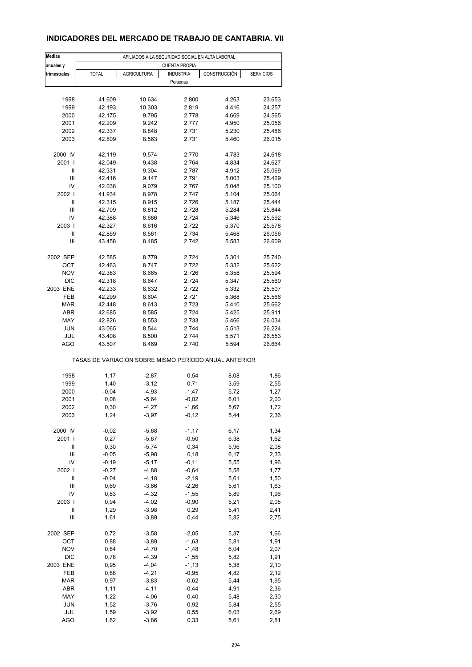### **INDICADORES DEL MERCADO DE TRABAJO DE CANTABRIA. VII**

| <b>Medias</b>     |                                                       | AFILIADOS A LA SEGURIDAD SOCIAL EN ALTA LABORAL |                      |                |                  |
|-------------------|-------------------------------------------------------|-------------------------------------------------|----------------------|----------------|------------------|
| anuales y         |                                                       |                                                 | <b>CUENTA PROPIA</b> |                |                  |
| trimestrales      | <b>TOTAL</b>                                          | <b>AGRICULTURA</b>                              | <b>INDUSTRIA</b>     | CONSTRUCCIÓN   | <b>SERVICIOS</b> |
|                   |                                                       |                                                 | Personas             |                |                  |
|                   |                                                       |                                                 |                      |                |                  |
| 1998              | 41.609                                                | 10.634                                          | 2.800                | 4.263          | 23.653           |
| 1999              | 42.193                                                | 10.303                                          | 2.819                | 4.416          | 24.257           |
| 2000              | 42.175                                                | 9.795                                           | 2.778                | 4.669          | 24.565           |
| 2001<br>2002      | 42.209<br>42.337                                      | 9.242<br>8.848                                  | 2.777<br>2.731       | 4.950<br>5.230 | 25.056<br>25.486 |
| 2003              | 42.809                                                | 8.563                                           | 2.731                | 5.460          | 26.015           |
|                   |                                                       |                                                 |                      |                |                  |
| 2000 IV           | 42.119                                                | 9.574                                           | 2.770                | 4.783          | 24.618           |
| 2001 l            | 42.049                                                | 9.438                                           | 2.764                | 4.834          | 24.627           |
| Ш                 | 42.331                                                | 9.304                                           | 2.787                | 4.912          | 25.069           |
| Ш                 | 42.416                                                | 9.147                                           | 2.791                | 5.003          | 25.429           |
| IV<br>2002        | 42.038                                                | 9.079                                           | 2.767                | 5.048          | 25.100           |
| Ш                 | 41.934<br>42.315                                      | 8.978<br>8.915                                  | 2.747<br>2.726       | 5.104<br>5.187 | 25.064<br>25.444 |
| Ш                 | 42.709                                                | 8.812                                           | 2.728                | 5.284          | 25.844           |
| IV                | 42.388                                                | 8.686                                           | 2.724                | 5.346          | 25.592           |
| 2003              | 42.327                                                | 8.616                                           | 2.722                | 5.370          | 25.578           |
| Ш                 | 42.859                                                | 8.561                                           | 2.734                | 5.468          | 26.056           |
| Ш                 | 43.458                                                | 8.485                                           | 2.742                | 5.583          | 26.609           |
|                   |                                                       |                                                 |                      |                |                  |
| 2002 SEP          | 42.585                                                | 8.779                                           | 2.724                | 5.301          | 25.740           |
| OCT<br><b>NOV</b> | 42.463<br>42.383                                      | 8.747<br>8.665                                  | 2.722<br>2.726       | 5.332<br>5.358 | 25.622<br>25.594 |
| <b>DIC</b>        | 42.318                                                | 8.647                                           | 2.724                | 5.347          | 25.560           |
| 2003 ENE          | 42.233                                                | 8.632                                           | 2.722                | 5.332          | 25.507           |
| FEB               | 42.299                                                | 8.604                                           | 2.721                | 5.368          | 25.566           |
| <b>MAR</b>        | 42.448                                                | 8.613                                           | 2.723                | 5.410          | 25.662           |
| <b>ABR</b>        | 42.685                                                | 8.585                                           | 2.724                | 5.425          | 25.911           |
| MAY               | 42.826                                                | 8.553                                           | 2.733                | 5.466          | 26.034           |
| <b>JUN</b>        | 43.065                                                | 8.544                                           | 2.744                | 5.513          | 26.224           |
| JUL               | 43.408                                                | 8.500                                           | 2.744                | 5.571          | 26.553           |
| AGO               | 43.507                                                | 8.469                                           | 2.740                | 5.594          | 26.664           |
|                   | TASAS DE VARIACIÓN SOBRE MISMO PERÍODO ANUAL ANTERIOR |                                                 |                      |                |                  |
|                   |                                                       |                                                 |                      |                |                  |
| 1998              | 1,17                                                  | $-2,87$                                         | 0,54                 | 8,08           | 1,86             |
| 1999              | 1,40                                                  | $-3,12$                                         | 0,71                 | 3,59           | 2,55             |
| 2000<br>2001      | $-0,04$<br>0,08                                       | $-4,93$<br>$-5,64$                              | $-1,47$              | 5,72<br>6,01   | 1,27             |
| 2002              | 0,30                                                  | -4,27                                           | $-0,02$<br>-1,66     | 5,67           | 2,00<br>1,72     |
| 2003              | 1,24                                                  | $-3,97$                                         | $-0, 12$             | 5,44           | 2,36             |
|                   |                                                       |                                                 |                      |                |                  |
| 2000 IV           | $-0,02$                                               | $-5,68$                                         | $-1,17$              | 6,17           | 1,34             |
| 2001 l            | 0,27                                                  | $-5,67$                                         | $-0,50$              | 6,38           | 1,62             |
| Ш                 | 0,30                                                  | $-5,74$                                         | 0,34                 | 5,96           | 2,08             |
| Ш<br>IV           | $-0,05$<br>$-0,19$                                    | $-5,98$<br>$-5,17$                              | 0,18<br>$-0, 11$     | 6,17<br>5,55   | 2,33<br>1,96     |
| 2002              | $-0,27$                                               | $-4,88$                                         | $-0,64$              | 5,58           | 1,77             |
| $\mathsf{II}$     | $-0,04$                                               | $-4,18$                                         | $-2,19$              | 5,61           | 1,50             |
| Ш                 | 0,69                                                  | $-3,66$                                         | $-2,26$              | 5,61           | 1,63             |
| IV                | 0,83                                                  | $-4,32$                                         | $-1,55$              | 5,89           | 1,96             |
| 2003              | 0,94                                                  | $-4,02$                                         | $-0,90$              | 5,21           | 2,05             |
| Ш                 | 1,29                                                  | $-3,98$                                         | 0,29                 | 5,41           | 2,41             |
| Ш                 | 1,61                                                  | $-3,89$                                         | 0,44                 | 5,82           | 2,75             |
| 2002 SEP          | 0,72                                                  | $-3,58$                                         | $-2,05$              | 5,37           | 1,66             |
| OCT               | 0,88                                                  | $-3,89$                                         | $-1,63$              | 5,81           | 1,91             |
| <b>NOV</b>        | 0,84                                                  | $-4,70$                                         | $-1,48$              | 6,04           | 2,07             |
| DIC               | 0,78                                                  | $-4,39$                                         | $-1,55$              | 5,82           | 1,91             |
| 2003 ENE          | 0,95                                                  | $-4,04$                                         | $-1, 13$             | 5,38           | 2,10             |
| FEB               | 0,88                                                  | $-4,21$                                         | $-0,95$              | 4,82           | 2,12             |
| <b>MAR</b>        | 0,97                                                  | $-3,83$                                         | $-0,62$              | 5,44           | 1,95             |
| ABR               | 1,11                                                  | $-4, 11$                                        | $-0,44$              | 4,91           | 2,36             |
| MAY<br><b>JUN</b> | 1,22                                                  | $-4,06$                                         | 0,40                 | 5,48           | 2,30             |
| JUL               | 1,52<br>1,59                                          | $-3,76$<br>$-3,92$                              | 0,92<br>0,55         | 5,84<br>6,03   | 2,55<br>2,69     |
| <b>AGO</b>        | 1,62                                                  | $-3,86$                                         | 0,33                 | 5,61           | 2,81             |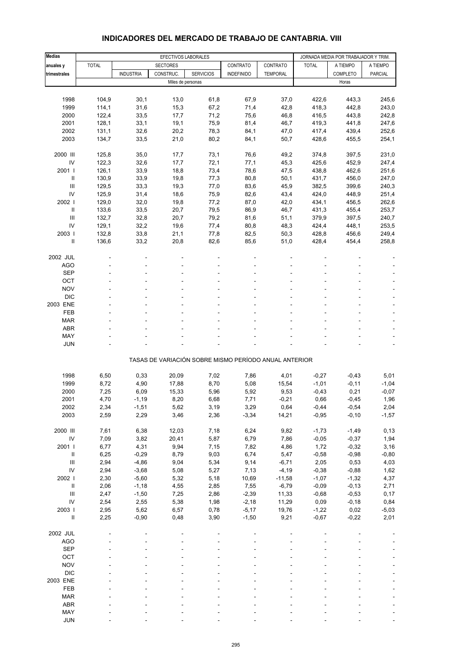| <b>Medias</b>                      |                | EFECTIVOS LABORALES |                   |                                                       |                   |                     |                    | JORNADA MEDIA POR TRABAJADOR Y TRIM. |                 |
|------------------------------------|----------------|---------------------|-------------------|-------------------------------------------------------|-------------------|---------------------|--------------------|--------------------------------------|-----------------|
| anuales y                          | <b>TOTAL</b>   |                     | <b>SECTORES</b>   |                                                       | CONTRATO          | CONTRATO            | <b>TOTAL</b>       | A TIEMPO                             | A TIEMPO        |
| trimestrales                       |                | <b>INDUSTRIA</b>    | CONSTRUC.         | <b>SERVICIOS</b>                                      | <b>INDEFINIDO</b> | <b>TEMPORAL</b>     |                    | <b>COMPLETO</b>                      | <b>PARCIAL</b>  |
|                                    |                |                     | Miles de personas |                                                       |                   |                     |                    | Horas                                |                 |
|                                    |                |                     |                   |                                                       |                   |                     |                    |                                      |                 |
| 1998                               | 104,9          | 30,1                | 13,0              | 61,8                                                  | 67,9              | 37,0                | 422,6              | 443,3                                | 245,6           |
| 1999                               | 114,1          | 31,6                | 15,3              | 67,2                                                  | 71,4              | 42,8                | 418,3              | 442,8                                | 243,0           |
| 2000                               | 122,4          | 33,5                | 17,7              | 71,2                                                  | 75,6              | 46,8                | 416,5              | 443,8                                | 242,8           |
| 2001                               | 128,1          | 33,1                | 19,1              | 75,9                                                  | 81,4              | 46,7                | 419,3              | 441,8                                | 247,6           |
| 2002                               | 131,1          | 32,6                | 20,2              | 78,3                                                  | 84,1              | 47,0                | 417,4              | 439,4                                | 252,6           |
| 2003                               | 134,7          | 33,5                | 21,0              | 80,2                                                  | 84,1              | 50,7                | 428,6              | 455,5                                | 254,1           |
| 2000 III                           | 125,8          | 35,0                | 17,7              | 73,1                                                  | 76,6              | 49,2                | 374,8              | 397,5                                | 231,0           |
| $\mathsf{IV}$                      | 122,3          | 32,6                | 17,7              | 72,1                                                  | 77,1              | 45,3                | 425,6              | 452,9                                | 247,4           |
| 2001 l                             | 126,1          | 33,9                | 18,8              | 73,4                                                  | 78,6              | 47,5                | 438,8              | 462,6                                | 251,6           |
| $\ensuremath{\mathsf{II}}$         | 130,9          | 33,9                | 19,8              | 77,3                                                  | 80,8              | 50,1                | 431,7              | 456,0                                | 247,0           |
| $\ensuremath{\mathsf{III}}\xspace$ | 129,5          | 33,3                | 19,3              | 77,0                                                  | 83,6              | 45,9                | 382,5              | 399,6                                | 240,3           |
| IV                                 | 125,9          | 31,4                | 18,6              | 75,9                                                  | 82,6              | 43,4                | 424,0              | 448,9                                | 251,4           |
| 2002                               | 129,0          | 32,0                | 19,8              | 77,2                                                  | 87,0              | 42,0                | 434,1              | 456,5                                | 262,6           |
| Ш                                  | 133,6          | 33,5                | 20,7              | 79,5                                                  | 86,9              | 46,7                | 431,3              | 455,4                                | 253,7           |
| Ш<br>IV                            | 132,7<br>129,1 | 32,8<br>32,2        | 20,7<br>19,6      | 79,2<br>77,4                                          | 81,6<br>80,8      | 51,1<br>48,3        | 379,9<br>424,4     | 397,5<br>448,1                       | 240,7<br>253,5  |
| 2003                               | 132,8          | 33,8                | 21,1              | 77,8                                                  | 82,5              | 50,3                | 428,8              | 456,6                                | 249,4           |
| Ш                                  | 136,6          | 33,2                | 20,8              | 82,6                                                  | 85,6              | 51,0                | 428,4              | 454,4                                | 258,8           |
|                                    |                |                     |                   |                                                       |                   |                     |                    |                                      |                 |
| 2002 JUL                           |                |                     |                   |                                                       |                   |                     |                    |                                      |                 |
| <b>AGO</b>                         |                |                     |                   |                                                       |                   |                     |                    |                                      |                 |
| <b>SEP</b>                         |                |                     |                   |                                                       |                   |                     |                    |                                      |                 |
| OCT                                |                |                     |                   |                                                       |                   |                     |                    |                                      |                 |
| <b>NOV</b>                         |                |                     |                   |                                                       |                   |                     |                    |                                      |                 |
| <b>DIC</b><br>2003 ENE             |                |                     |                   |                                                       |                   |                     |                    |                                      |                 |
| FEB                                |                |                     |                   |                                                       |                   |                     |                    |                                      |                 |
| <b>MAR</b>                         |                |                     |                   |                                                       |                   |                     |                    |                                      |                 |
| <b>ABR</b>                         |                |                     |                   |                                                       |                   |                     |                    |                                      |                 |
| MAY                                |                |                     |                   |                                                       |                   |                     |                    |                                      |                 |
| <b>JUN</b>                         |                |                     |                   |                                                       |                   |                     |                    |                                      |                 |
|                                    |                |                     |                   | TASAS DE VARIACIÓN SOBRE MISMO PERÍODO ANUAL ANTERIOR |                   |                     |                    |                                      |                 |
|                                    |                |                     |                   |                                                       |                   |                     |                    |                                      |                 |
| 1998                               | 6,50           | 0,33                | 20,09             | 7,02                                                  | 7,86              | 4,01                | $-0,27$            | $-0,43$                              | 5,01            |
| 1999                               | 8,72           | 4,90                | 17,88             | 8,70                                                  | 5,08              | 15,54               | $-1,01$            | $-0,11$                              | $-1,04$         |
| 2000                               | 7,25           | 6,09                | 15,33             | 5,96                                                  | 5,92              | 9,53                | $-0,43$            | 0,21                                 | $-0,07$         |
| 2001                               | 4,70           | $-1,19$             | 8,20              | 6,68                                                  | 7,71              | $-0,21$             | 0,66               | $-0,45$                              | 1,96            |
| 2002<br>2003                       | 2,34<br>2,59   | $-1,51$<br>2,29     | 5,62<br>3,46      | 3,19<br>2,36                                          | 3,29<br>$-3,34$   | 0,64<br>14,21       | $-0,44$<br>$-0,95$ | $-0,54$<br>$-0, 10$                  | 2,04<br>$-1,57$ |
|                                    |                |                     |                   |                                                       |                   |                     |                    |                                      |                 |
| 2000 III                           | 7,61           | 6,38                | 12,03             | 7,18                                                  | 6,24              | 9,82                | $-1,73$            | $-1,49$                              | 0, 13           |
| ${\sf IV}$                         | 7,09           | 3,82                | 20,41             | 5,87                                                  | 6,79              | 7,86                | $-0,05$            | $-0,37$                              | 1,94            |
| 2001 l                             | 6,77           | 4,31                | 9,94              | 7,15                                                  | 7,82              | 4,86                | 1,72               | $-0,32$                              | 3,16            |
| $\ensuremath{\mathsf{II}}$         | 6,25           | $-0,29$             | 8,79              | 9,03                                                  | 6,74              | 5,47                | $-0,58$            | $-0,98$                              | $-0,80$         |
| Ш                                  | 2,94           | $-4,86$             | 9,04              | 5,34                                                  | 9,14              | $-6,71$             | 2,05               | 0,53                                 | 4,03            |
| ${\sf IV}$<br>2002 l               | 2,94<br>2,30   | $-3,68$<br>$-5,60$  | 5,08<br>5,32      | 5,27<br>5,18                                          | 7,13<br>10,69     | $-4,19$<br>$-11,58$ | $-0,38$<br>$-1,07$ | $-0,88$<br>$-1,32$                   | 1,62<br>4,37    |
| $\ensuremath{\mathsf{II}}$         | 2,06           | $-1,18$             | 4,55              | 2,85                                                  | 7,55              | $-6,79$             | $-0,09$            | $-0,13$                              | 2,71            |
| $\ensuremath{\mathsf{III}}\xspace$ | 2,47           | $-1,50$             | 7,25              | 2,86                                                  | $-2,39$           | 11,33               | $-0,68$            | $-0,53$                              | 0,17            |
| ${\sf IV}$                         | 2,54           | 2,55                | 5,38              | 1,98                                                  | $-2,18$           | 11,29               | 0,09               | $-0,18$                              | 0,84            |
| 2003                               | 2,95           | 5,62                | 6,57              | 0,78                                                  | $-5,17$           | 19,76               | $-1,22$            | 0,02                                 | $-5,03$         |
| $\ensuremath{\mathsf{II}}$         | 2,25           | $-0,90$             | 0,48              | 3,90                                                  | $-1,50$           | 9,21                | $-0,67$            | $-0,22$                              | 2,01            |
| 2002 JUL                           |                |                     |                   |                                                       |                   |                     |                    |                                      |                 |
| AGO                                |                |                     |                   |                                                       |                   |                     |                    |                                      |                 |
| <b>SEP</b>                         |                |                     |                   |                                                       |                   |                     |                    |                                      |                 |
| OCT                                |                |                     |                   |                                                       |                   |                     |                    |                                      |                 |
| <b>NOV</b>                         |                |                     |                   |                                                       |                   |                     |                    |                                      |                 |
| <b>DIC</b>                         |                |                     |                   |                                                       |                   |                     |                    |                                      |                 |
| 2003 ENE                           |                |                     |                   |                                                       |                   |                     |                    |                                      |                 |
| FEB                                |                |                     |                   |                                                       |                   |                     |                    |                                      |                 |
| <b>MAR</b>                         |                |                     |                   |                                                       |                   |                     |                    |                                      |                 |
| <b>ABR</b><br>MAY                  |                |                     |                   |                                                       |                   |                     |                    |                                      |                 |
| <b>JUN</b>                         |                |                     |                   |                                                       |                   |                     |                    |                                      |                 |

### **INDICADORES DEL MERCADO DE TRABAJO DE CANTABRIA. VIII**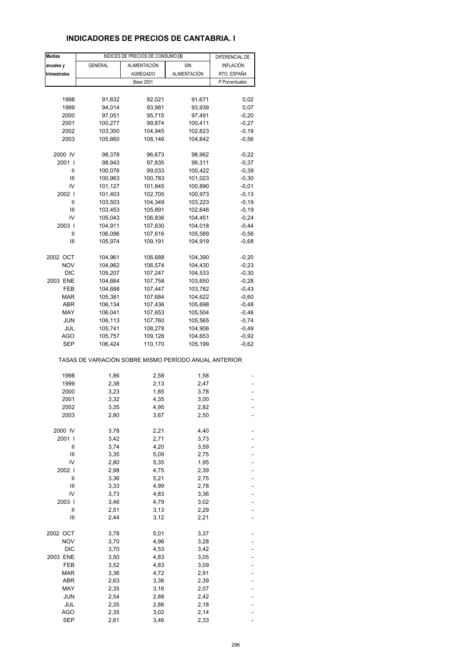### **INDICADORES DE PRECIOS DE CANTABRIA. I**

| <b>Medias</b> |                                                       | INDICES DE PRECIOS DE CONSUMO (3) |              | DIFERENCIAL DE |
|---------------|-------------------------------------------------------|-----------------------------------|--------------|----------------|
| anuales y     | <b>GENERAL</b>                                        | ALIMENTACIÓN                      | <b>SIN</b>   | INFLACIÓN      |
| trimestrales  |                                                       | <b>AGREGADO</b>                   | ALIMENTACIÓN | RTO. ESPAÑA    |
|               |                                                       | <b>Base 2001</b>                  |              | P.Porcentuales |
|               |                                                       |                                   |              |                |
| 1998          | 91,832                                                | 92,021                            | 91,671       | 0,02           |
| 1999          | 94,014                                                | 93,981                            | 93,939       | 0,07           |
| 2000          | 97,051                                                | 95,715                            | 97,491       | $-0,20$        |
| 2001          | 100,277                                               | 99,874                            | 100,411      | $-0,27$        |
| 2002          | 103,350                                               | 104,945                           | 102,823      | $-0,19$        |
| 2003          | 105,660                                               | 108,146                           | 104,842      | $-0,56$        |
|               |                                                       |                                   |              |                |
| 2000 IV       | 98,378                                                | 96,673                            | 98,962       | $-0,22$        |
| 2001 l        | 98,943                                                | 97,835                            | 99,311       | $-0,37$        |
| Ш             | 100,076                                               | 99,033                            | 100,422      | $-0,39$        |
| Ш             | 100,963                                               | 100,783                           | 101,023      | $-0,30$        |
| IV            | 101,127                                               | 101,845                           | 100,890      | $-0,01$        |
| 2002 l        | 101,403                                               | 102,705                           | 100,973      | $-0, 13$       |
| Ш             | 103,503                                               | 104,349                           | 103,223      | $-0,19$        |
| Ш             | 103,453                                               | 105,891                           | 102,646      | $-0,19$        |
| IV            | 105,043                                               | 106,836                           | 104,451      | $-0,24$        |
| 2003          | 104,911                                               | 107,630                           | 104,018      | $-0,44$        |
| Ш             | 106,096                                               | 107,616                           | 105,589      | $-0,56$        |
| Ш             | 105,974                                               | 109,191                           | 104,919      | $-0,68$        |
|               |                                                       |                                   |              |                |
| 2002 OCT      | 104,961                                               | 106,688                           | 104,390      | $-0,20$        |
| <b>NOV</b>    | 104,962                                               | 106,574                           | 104,430      | $-0,23$        |
| <b>DIC</b>    | 105,207                                               | 107,247                           | 104,533      | $-0,30$        |
| 2003 ENE      | 104,664                                               | 107,758                           | 103,650      | $-0,28$        |
| FEB           | 104,688                                               | 107,447                           | 103,782      | $-0,43$        |
| MAR           | 105,381                                               | 107,684                           | 104,622      | $-0,60$        |
| ABR           | 106,134                                               | 107,436                           | 105,698      | $-0,48$        |
| MAY           | 106,041                                               | 107,653                           | 105,504      | $-0,46$        |
| <b>JUN</b>    | 106,113                                               | 107,760                           | 105,565      | $-0,74$        |
| JUL           | 105,741                                               | 108,278                           | 104,906      | $-0,49$        |
| AGO           | 105,757                                               | 109,126                           | 104,653      | $-0,92$        |
| <b>SEP</b>    | 106,424                                               | 110,170                           | 105,199      | $-0,62$        |
|               | TASAS DE VARIACIÓN SOBRE MISMO PERÍODO ANUAL ANTERIOR |                                   |              |                |
| 1998          |                                                       |                                   |              |                |
|               | 1,86                                                  | 2,58<br>2,13                      | 1,58<br>2,47 |                |
| 1999<br>2000  | 2,38<br>3,23                                          | 1,85                              | 3,78         |                |
| 2001          | 3,32                                                  | 4,35                              | 3,00         |                |
|               |                                                       |                                   |              |                |
| 2002<br>2003  | 3,35<br>2,80                                          | 4,95<br>3,67                      | 2,82<br>2,50 |                |
|               |                                                       |                                   |              |                |
| 2000 IV       | 3,78                                                  | 2,21                              | 4,40         |                |
| 2001 l        | 3,42                                                  | 2,71                              | 3,73         |                |
| Ш             | 3,74                                                  | 4,20                              | 3,59         |                |
| Ш             | 3,35                                                  | 5,09                              | 2,75         |                |
| IV            | 2,80                                                  | 5,35                              | 1,95         |                |
| 2002          | 2,98                                                  | 4,75                              | 2,39         |                |
| Ш             | 3,36                                                  | 5,21                              | 2,75         |                |
| Ш             | 3,33                                                  | 4,99                              | 2,78         |                |
| IV            | 3,73                                                  | 4,83                              | 3,36         |                |
| 2003          | 3,46                                                  | 4,79                              | 3,02         |                |
| Ш             | 2,51                                                  | 3,13                              | 2,29         |                |
| Ш             | 2,44                                                  | 3,12                              | 2,21         |                |
|               |                                                       |                                   |              |                |
| 2002 OCT      | 3,78                                                  | 5,01                              | 3,37         |                |
| <b>NOV</b>    | 3,70                                                  | 4,96                              | 3,28         |                |
| <b>DIC</b>    | 3,70                                                  | 4,53                              | 3,42         |                |
| 2003 ENE      | 3,50                                                  | 4,83                              | 3,05         |                |
| FEB           | 3,52                                                  | 4,83                              | 3,09         |                |
| <b>MAR</b>    | 3,36                                                  | 4,72                              | 2,91         |                |
| ABR           | 2,63                                                  | 3,36                              | 2,39         |                |
| MAY           | 2,35                                                  | 3,16                              | 2,07         |                |
| JUN           | 2,54                                                  | 2,88                              | 2,42         |                |
| JUL           | 2,35                                                  | 2,86                              | 2,18         |                |
| <b>AGO</b>    | 2,35                                                  | 3,02                              | 2,14         |                |
| <b>SEP</b>    | 2,61                                                  | 3,46                              | 2,33         |                |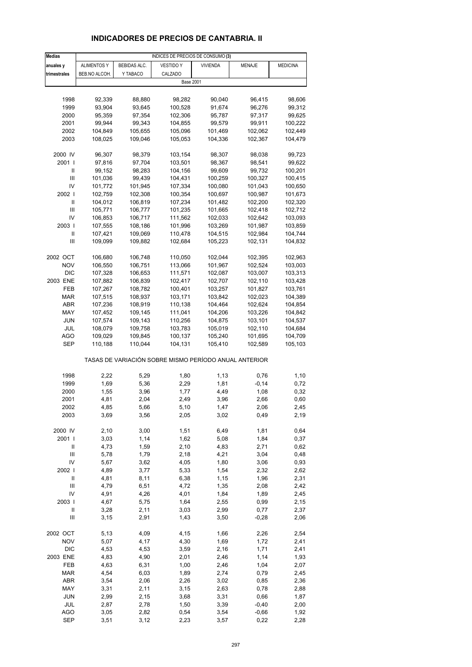# **INDICADORES DE PRECIOS DE CANTABRIA. II**

| <b>Medias</b>                                         | INDICES DE PRECIOS DE CONSUMO (3) |                     |                    |                    |                    |                    |  |  |
|-------------------------------------------------------|-----------------------------------|---------------------|--------------------|--------------------|--------------------|--------------------|--|--|
| anuales y                                             | <b>ALIMENTOS Y</b>                | <b>BEBIDAS ALC.</b> | <b>VESTIDO Y</b>   | <b>VIVIENDA</b>    | MENAJE             | <b>MEDICINA</b>    |  |  |
| trimestrales                                          | BEB.NO ALCOH.                     | Y TABACO            | CALZADO            |                    |                    |                    |  |  |
|                                                       |                                   |                     | <b>Base 2001</b>   |                    |                    |                    |  |  |
|                                                       |                                   |                     |                    |                    |                    |                    |  |  |
| 1998                                                  | 92,339                            | 88,880              | 98,282             | 90,040             | 96,415             | 98,606             |  |  |
| 1999                                                  | 93,904                            | 93,645              | 100,528            | 91,674             | 96,276             | 99,312             |  |  |
| 2000                                                  | 95,359                            | 97,354              | 102,306            | 95,787             | 97,317             | 99,625             |  |  |
| 2001                                                  | 99,944                            | 99,343              | 104,855            | 99,579             | 99,911             | 100,222            |  |  |
| 2002                                                  | 104,849                           | 105,655             | 105,096            | 101,469            | 102,062            | 102,449            |  |  |
| 2003                                                  | 108,025                           | 109,046             | 105,053            | 104,336            | 102,367            | 104,479            |  |  |
|                                                       |                                   |                     |                    |                    |                    |                    |  |  |
| 2000 IV                                               | 96,307                            | 98,379              | 103,154            | 98,307             | 98,038             | 99,723             |  |  |
| 2001 l<br>Ш                                           | 97,816                            | 97,704              | 103,501            | 98,367             | 98,541             | 99,622             |  |  |
| Ш                                                     | 99,152<br>101,036                 | 98,283<br>99,439    | 104,156<br>104,431 | 99,609<br>100,259  | 99,732<br>100,327  | 100,201<br>100,415 |  |  |
| IV                                                    | 101,772                           | 101,945             | 107,334            | 100,080            | 101,043            | 100,650            |  |  |
| 2002                                                  | 102,759                           | 102,308             | 100,354            | 100,697            | 100,987            | 101,673            |  |  |
| Ш                                                     | 104,012                           | 106,819             | 107,234            | 101,482            | 102,200            | 102,320            |  |  |
| Ш                                                     | 105,771                           | 106,777             | 101,235            | 101,665            | 102,418            | 102,712            |  |  |
| IV                                                    | 106,853                           | 106,717             | 111,562            | 102,033            | 102,642            | 103,093            |  |  |
| 2003                                                  | 107,555                           | 108,186             | 101,996            | 103,269            | 101,987            | 103,859            |  |  |
| Ш                                                     | 107,421                           | 109,069             | 110,478            | 104,515            | 102,984            | 104,744            |  |  |
| Ш                                                     | 109,099                           | 109,882             | 102,684            | 105,223            | 102,131            | 104,832            |  |  |
|                                                       |                                   |                     |                    |                    |                    |                    |  |  |
| 2002 OCT                                              | 106,680                           | 106,748             | 110,050            | 102,044            | 102,395            | 102,963            |  |  |
| <b>NOV</b>                                            | 106,550                           | 106,751             | 113,066            | 101,967            | 102,524            | 103,003            |  |  |
| <b>DIC</b>                                            | 107,328                           | 106,653             | 111,571            | 102,087            | 103,007            | 103,313            |  |  |
| 2003 ENE                                              | 107,882                           | 106,839             | 102,417            | 102,707            | 102,110            | 103,428            |  |  |
| FEB<br><b>MAR</b>                                     | 107,267                           | 108,782             | 100,401            | 103,257            | 101,827            | 103,761            |  |  |
| ABR                                                   | 107,515<br>107,236                | 108,937<br>108,919  | 103,171<br>110,138 | 103,842<br>104,464 | 102,023<br>102,624 | 104,389<br>104,854 |  |  |
| MAY                                                   | 107,452                           | 109,145             | 111,041            | 104,206            | 103,226            | 104,842            |  |  |
| JUN                                                   | 107,574                           | 109,143             | 110,256            | 104,875            | 103,101            | 104,537            |  |  |
| JUL                                                   | 108,079                           | 109,758             | 103,783            | 105,019            | 102,110            | 104,684            |  |  |
| <b>AGO</b>                                            | 109,029                           | 109,845             | 100,137            | 105,240            | 101,695            | 104,709            |  |  |
| SEP                                                   | 110,188                           | 110,044             | 104,131            | 105,410            | 102,589            | 105,103            |  |  |
| TASAS DE VARIACIÓN SOBRE MISMO PERÍODO ANUAL ANTERIOR |                                   |                     |                    |                    |                    |                    |  |  |
|                                                       |                                   |                     |                    |                    |                    |                    |  |  |
| 1998<br>1999                                          | 2,22<br>1,69                      | 5,29<br>5,36        | 1,80<br>2,29       | 1,13<br>1,81       | 0,76<br>$-0,14$    | 1,10<br>0,72       |  |  |
| 2000                                                  | 1,55                              | 3,96                | 1,77               | 4,49               | 1,08               | 0,32               |  |  |
| 2001                                                  | 4,81                              | 2,04                | 2,49               | 3,96               | 2,66               | 0,60               |  |  |
| 2002                                                  | 4,85                              | 5,66                | 5,10               | 1,47               | 2,06               | 2,45               |  |  |
| 2003                                                  | 3,69                              | 3,56                | 2,05               | 3,02               | 0,49               | 2,19               |  |  |
|                                                       |                                   |                     |                    |                    |                    |                    |  |  |
| 2000 IV                                               | 2,10                              | 3,00                | 1,51               | 6,49               | 1,81               | 0,64               |  |  |
| 2001 l                                                | 3,03                              | 1,14                | 1,62               | 5,08               | 1,84               | 0,37               |  |  |
| Ш                                                     | 4,73                              | 1,59                | 2,10               | 4,83               | 2,71               | 0,62               |  |  |
| $\mathsf{III}$                                        | 5,78                              | 1,79                | 2,18               | 4,21               | 3,04               | 0,48               |  |  |
| IV                                                    | 5,67                              | 3,62                | 4,05               | 1,80               | 3,06               | 0,93               |  |  |
| 2002                                                  | 4,89                              | 3,77                | 5,33               | 1,54               | 2,32               | 2,62               |  |  |
| $\label{eq:1} \mathsf{I}\mathsf{I}$<br>$\mathsf{III}$ | 4,81<br>4,79                      | 8,11<br>6,51        | 6,38<br>4,72       | 1,15<br>1,35       | 1,96<br>2,08       | 2,31<br>2,42       |  |  |
| IV                                                    | 4,91                              | 4,26                | 4,01               | 1,84               | 1,89               | 2,45               |  |  |
| 2003                                                  | 4,67                              | 5,75                | 1,64               | 2,55               | 0,99               | 2,15               |  |  |
| $\sf II$                                              | 3,28                              | 2,11                | 3,03               | 2,99               | 0,77               | 2,37               |  |  |
| Ш                                                     | 3,15                              | 2,91                | 1,43               | 3,50               | $-0,28$            | 2,06               |  |  |
| 2002 OCT                                              | 5,13                              | 4,09                | 4,15               | 1,66               | 2,26               | 2,54               |  |  |
| <b>NOV</b>                                            | 5,07                              | 4,17                | 4,30               | 1,69               | 1,72               | 2,41               |  |  |
| <b>DIC</b>                                            | 4,53                              | 4,53                | 3,59               | 2,16               | 1,71               | 2,41               |  |  |
| 2003 ENE                                              | 4,83                              | 4,90                | 2,01               | 2,46               | 1,14               | 1,93               |  |  |
| FEB                                                   | 4,63                              | 6,31                | 1,00               | 2,46               | 1,04               | 2,07               |  |  |
| <b>MAR</b>                                            | 4,54                              | 6,03                | 1,89               | 2,74               | 0,79               | 2,45               |  |  |
| ABR                                                   | 3,54                              | 2,06                | 2,26               | 3,02               | 0,85               | 2,36               |  |  |
| MAY                                                   | 3,31                              | 2,11                | 3,15               | 2,63               | 0,78               | 2,88               |  |  |
| <b>JUN</b>                                            | 2,99                              | 2,15                | 3,68               | 3,31               | 0,66               | 1,87               |  |  |
| JUL                                                   | 2,87                              | 2,78                | 1,50               | 3,39               | $-0,40$            | 2,00               |  |  |
| <b>AGO</b>                                            | 3,05                              | 2,82                | 0,54               | 3,54               | $-0,66$            | 1,92               |  |  |
| <b>SEP</b>                                            | 3,51                              | 3,12                | 2,23               | 3,57               | 0,22               | 2,28               |  |  |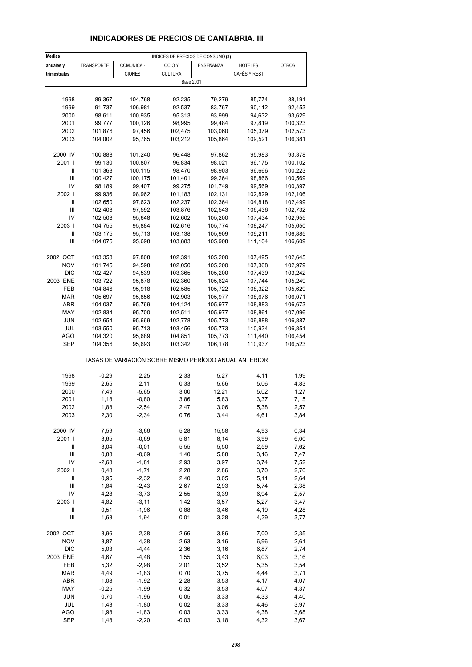# **INDICADORES DE PRECIOS DE CANTABRIA. III**

| <b>Medias</b>                      | INDICES DE PRECIOS DE CONSUMO (3) |               |                                                       |           |               |              |  |  |
|------------------------------------|-----------------------------------|---------------|-------------------------------------------------------|-----------|---------------|--------------|--|--|
| anuales y                          | <b>TRANSPORTE</b>                 | COMUNICA -    | OCIO <sub>Y</sub>                                     | ENSEÑANZA | HOTELES,      | <b>OTROS</b> |  |  |
| trimestrales                       |                                   | <b>CIONES</b> | <b>CULTURA</b>                                        |           | CAFÉS Y REST. |              |  |  |
|                                    |                                   |               | <b>Base 2001</b>                                      |           |               |              |  |  |
|                                    |                                   |               |                                                       |           |               |              |  |  |
| 1998                               | 89,367                            | 104,768       | 92,235                                                | 79,279    | 85,774        | 88,191       |  |  |
| 1999                               | 91,737                            | 106,981       | 92,537                                                | 83,767    | 90,112        | 92,453       |  |  |
| 2000                               | 98,611                            | 100,935       | 95,313                                                | 93,999    | 94,632        | 93,629       |  |  |
| 2001                               | 99,777                            | 100,126       | 98,995                                                | 99,484    | 97,819        | 100,323      |  |  |
| 2002                               | 101,876                           | 97,456        | 102,475                                               | 103,060   | 105,379       | 102,573      |  |  |
| 2003                               | 104,002                           | 95,765        | 103,212                                               | 105,864   | 109,521       | 106,381      |  |  |
|                                    |                                   |               |                                                       |           |               |              |  |  |
| 2000 IV                            | 100,888                           | 101,240       | 96,448                                                | 97,862    | 95,983        | 93,378       |  |  |
| 2001                               | 99,130                            | 100,807       | 96,834                                                | 98,021    | 96,175        | 100,102      |  |  |
| Ш                                  | 101,363                           | 100,115       | 98,470                                                | 98,903    | 96,666        | 100,223      |  |  |
| Ш                                  | 100,427                           | 100,175       | 101,401                                               | 99,264    | 98,866        | 100,569      |  |  |
| IV                                 | 98,189                            | 99,407        | 99,275                                                | 101,749   | 99,569        | 100,397      |  |  |
| 2002                               | 99,936                            | 98,962        | 101,183                                               | 102,131   | 102,829       | 102,106      |  |  |
| Ш                                  | 102,650                           | 97,623        | 102,237                                               | 102,364   | 104,818       | 102,499      |  |  |
| Ш                                  | 102,408                           | 97,592        | 103,876                                               | 102,543   | 106,436       | 102,732      |  |  |
| IV                                 | 102,508                           | 95,648        | 102,602                                               | 105,200   | 107,434       | 102,955      |  |  |
| 2003                               | 104,755                           | 95,884        | 102,616                                               | 105,774   | 108,247       | 105,650      |  |  |
| Ш                                  | 103,175                           | 95,713        | 103,138                                               | 105,909   | 109,211       | 106,885      |  |  |
| Ш                                  | 104,075                           | 95,698        | 103,883                                               | 105,908   | 111,104       | 106,609      |  |  |
|                                    |                                   |               |                                                       |           |               |              |  |  |
| 2002 OCT                           | 103,353                           | 97,808        | 102,391                                               | 105,200   | 107,495       | 102,645      |  |  |
| <b>NOV</b>                         | 101,745                           | 94,598        | 102,050                                               | 105,200   | 107,368       | 102,979      |  |  |
| <b>DIC</b>                         | 102,427                           | 94,539        | 103,365                                               | 105,200   | 107,439       | 103,242      |  |  |
| 2003 ENE                           | 103,722                           | 95,878        | 102,360                                               | 105,624   | 107,744       | 105,249      |  |  |
| FEB                                | 104,846                           | 95,918        | 102,585                                               | 105,722   | 108,322       | 105,629      |  |  |
| <b>MAR</b>                         | 105,697                           | 95,856        | 102,903                                               | 105,977   | 108,676       | 106,071      |  |  |
| ABR                                | 104,037                           | 95,769        | 104,124                                               | 105,977   | 108,883       | 106,673      |  |  |
| MAY                                | 102,834                           | 95,700        | 102,511                                               | 105,977   | 108,861       | 107,096      |  |  |
| JUN                                | 102,654                           | 95,669        | 102,778                                               | 105,773   | 109,888       | 106,887      |  |  |
| JUL                                | 103,550                           | 95,713        | 103,456                                               | 105,773   | 110,934       | 106,851      |  |  |
| AGO                                | 104,320                           | 95,689        | 104,851                                               | 105,773   | 111,440       | 106,454      |  |  |
| <b>SEP</b>                         | 104,356                           | 95,693        | 103,342                                               | 106,178   | 110,937       | 106,523      |  |  |
|                                    |                                   |               | TASAS DE VARIACIÓN SOBRE MISMO PERÍODO ANUAL ANTERIOR |           |               |              |  |  |
| 1998                               | $-0,29$                           | 2,25          | 2,33                                                  | 5,27      | 4,11          | 1,99         |  |  |
| 1999                               | 2,65                              | 2,11          | 0,33                                                  | 5,66      | 5,06          | 4,83         |  |  |
| 2000                               | 7,49                              | $-5,65$       | 3,00                                                  | 12,21     | 5,02          | 1,27         |  |  |
| 2001                               | 1,18                              | $-0,80$       | 3,86                                                  | 5,83      | 3,37          | 7,15         |  |  |
| 2002                               | 1,88                              | $-2,54$       | 2,47                                                  | 3,06      | 5,38          | 2,57         |  |  |
| 2003                               | 2,30                              | $-2,34$       | 0,76                                                  | 3,44      | 4,61          | 3,84         |  |  |
|                                    |                                   |               |                                                       |           |               |              |  |  |
| 2000 IV                            | 7,59                              | $-3,66$       | 5,28                                                  | 15,58     | 4,93          | 0,34         |  |  |
| 2001 l                             | 3,65                              | $-0,69$       | 5,81                                                  | 8,14      | 3,99          | 6,00         |  |  |
| Ш                                  | 3,04                              | $-0,01$       | 5,55                                                  | 5,50      | 2,59          | 7,62         |  |  |
| $\ensuremath{\mathsf{III}}\xspace$ | 0,88                              | $-0,69$       | 1,40                                                  | 5,88      | 3,16          | 7,47         |  |  |
| IV                                 | $-2,68$                           | $-1,81$       | 2,93                                                  | 3,97      | 3,74          | 7,52         |  |  |
| 2002                               | 0,48                              | $-1,71$       | 2,28                                                  | 2,86      | 3,70          | 2,70         |  |  |
| $\ensuremath{\mathsf{II}}$         | 0,95                              | $-2,32$       | 2,40                                                  | 3,05      | 5,11          | 2,64         |  |  |
| Ш                                  | 1,84                              | $-2,43$       | 2,67                                                  | 2,93      | 5,74          | 2,38         |  |  |
| IV                                 | 4,28                              | $-3,73$       | 2,55                                                  | 3,39      | 6,94          | 2,57         |  |  |
| 2003                               | 4,82                              | $-3,11$       | 1,42                                                  | 3,57      | 5,27          | 3,47         |  |  |
| Ш                                  | 0,51                              | $-1,96$       | 0,88                                                  | 3,46      | 4,19          | 4,28         |  |  |
| Ш                                  | 1,63                              | $-1,94$       | 0,01                                                  | 3,28      | 4,39          | 3,77         |  |  |
| 2002 OCT                           | 3,96                              | $-2,38$       | 2,66                                                  | 3,86      | 7,00          | 2,35         |  |  |
| <b>NOV</b>                         | 3,87                              | $-4,38$       | 2,63                                                  | 3,16      | 6,96          | 2,61         |  |  |
| <b>DIC</b>                         | 5,03                              | $-4,44$       | 2,36                                                  | 3,16      | 6,87          | 2,74         |  |  |
| 2003 ENE                           | 4,67                              | $-4,48$       | 1,55                                                  | 3,43      | 6,03          | 3,16         |  |  |
| FEB                                | 5,32                              | $-2,98$       | 2,01                                                  | 3,52      | 5,35          | 3,54         |  |  |
| <b>MAR</b>                         | 4,49                              | $-1,83$       | 0,70                                                  | 3,75      | 4,44          | 3,71         |  |  |
| ABR                                | 1,08                              | $-1,92$       | 2,28                                                  | 3,53      | 4,17          | 4,07         |  |  |
| MAY                                | $-0,25$                           | $-1,99$       | 0,32                                                  | 3,53      | 4,07          | 4,37         |  |  |
| <b>JUN</b>                         | 0,70                              | $-1,96$       | 0,05                                                  | 3,33      | 4,33          | 4,40         |  |  |
| JUL                                | 1,43                              | $-1,80$       | 0,02                                                  | 3,33      | 4,46          | 3,97         |  |  |
| <b>AGO</b>                         | 1,98                              | $-1,83$       | 0,03                                                  | 3,33      | 4,38          | 3,68         |  |  |
| <b>SEP</b>                         | 1,48                              | $-2,20$       | $-0,03$                                               | 3,18      | 4,32          | 3,67         |  |  |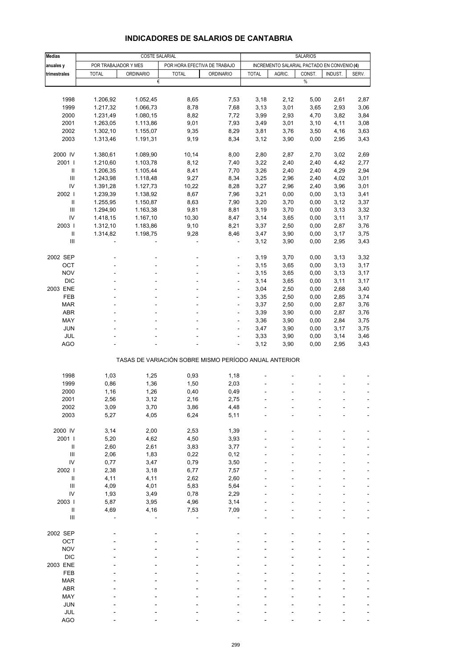| <b>Medias</b>                      |                      | <b>COSTE SALARIAL</b> |                                                       | <b>SALARIOS</b>  |              |        |                                             |         |       |
|------------------------------------|----------------------|-----------------------|-------------------------------------------------------|------------------|--------------|--------|---------------------------------------------|---------|-------|
| anuales y                          | POR TRABAJADOR Y MES |                       | POR HORA EFECTIVA DE TRABAJO                          |                  |              |        | INCREMENTO SALARIAL PACTADO EN CONVENIO (4) |         |       |
| trimestrales                       | <b>TOTAL</b>         | <b>ORDINARIO</b>      | <b>TOTAL</b>                                          | <b>ORDINARIO</b> | <b>TOTAL</b> | AGRIC. | CONST.                                      | INDUST. | SERV. |
|                                    |                      | €                     |                                                       |                  |              |        | $\%$                                        |         |       |
|                                    |                      |                       |                                                       |                  |              |        |                                             |         |       |
| 1998                               | 1.206,92             | 1.052,45              | 8,65                                                  | 7,53             | 3,18         | 2,12   | 5,00                                        | 2,61    | 2,87  |
| 1999                               | 1.217,32             | 1.066,73              | 8,78                                                  | 7,68             | 3,13         | 3,01   | 3,65                                        | 2,93    | 3,06  |
| 2000                               | 1.231,49             | 1.080,15              | 8,82                                                  | 7,72             | 3,99         | 2,93   | 4,70                                        | 3,82    | 3,84  |
| 2001                               | 1.263,05             | 1.113,86              | 9,01                                                  | 7,93             | 3,49         | 3,01   | 3,10                                        | 4,11    | 3,08  |
| 2002                               | 1.302,10             | 1.155,07              | 9,35                                                  | 8,29             | 3,81         | 3,76   | 3,50                                        | 4,16    | 3,63  |
| 2003                               | 1.313,46             | 1.191,31              | 9,19                                                  | 8,34             | 3,12         | 3,90   | 0,00                                        | 2,95    | 3,43  |
|                                    |                      |                       |                                                       |                  |              |        |                                             |         |       |
| 2000 IV                            | 1.380,61             | 1.089,90              | 10,14                                                 | 8,00             | 2,80         | 2,87   | 2,70                                        | 3,02    | 2,69  |
| 2001 l                             | 1.210,60             | 1.103,78              | 8,12                                                  | 7,40             | 3,22         | 2,40   | 2,40                                        | 4,42    | 2,77  |
| Ш                                  | 1.206,35             | 1.105,44              | 8,41                                                  | 7,70             | 3,26         | 2,40   | 2,40                                        | 4,29    | 2,94  |
| Ш                                  | 1.243,98             | 1.118,48              | 9,27                                                  | 8,34             | 3,25         | 2,96   | 2,40                                        | 4,02    | 3,01  |
| IV                                 | 1.391,28             | 1.127,73              | 10,22                                                 | 8,28             | 3,27         | 2,96   | 2,40                                        | 3,96    | 3,01  |
| 2002                               | 1.239,39             | 1.138,92              | 8,67                                                  | 7,96             | 3,21         | 0,00   | 0,00                                        | 3,13    | 3,41  |
| Ш                                  | 1.255,95             | 1.150,87              | 8,63                                                  | 7,90             | 3,20         | 3,70   | 0,00                                        | 3,12    | 3,37  |
| Ш                                  | 1.294,90             | 1.163,38              | 9,81                                                  | 8,81             | 3,19         | 3,70   | 0,00                                        | 3,13    | 3,32  |
| IV                                 | 1.418,15             | 1.167,10              | 10,30                                                 | 8,47             | 3,14         | 3,65   | 0,00                                        | 3,11    | 3,17  |
| 2003                               | 1.312,10             | 1.183,86              | 9,10                                                  | 8,21             | 3,37         | 2,50   | 0,00                                        | 2,87    | 3,76  |
| $\mathbf{II}$                      | 1.314,82             | 1.198,75              | 9,28                                                  | 8,46             | 3,47         | 3,90   | 0,00                                        | 3,17    | 3,75  |
| III                                |                      |                       |                                                       |                  | 3,12         | 3,90   | 0,00                                        | 2,95    | 3,43  |
|                                    |                      |                       |                                                       |                  |              |        |                                             |         |       |
| 2002 SEP                           |                      |                       |                                                       | ÷,               | 3,19         | 3,70   | 0,00                                        | 3,13    | 3,32  |
| OCT                                |                      |                       |                                                       |                  | 3,15         | 3,65   | 0,00                                        | 3,13    | 3,17  |
| <b>NOV</b>                         |                      |                       | ÷.                                                    | $\overline{a}$   | 3,15         | 3,65   | 0,00                                        | 3,13    | 3,17  |
| <b>DIC</b>                         |                      |                       |                                                       | ÷,               | 3,14         | 3,65   | 0,00                                        | 3,11    | 3,17  |
| 2003 ENE                           |                      |                       |                                                       |                  | 3,04         | 2,50   | 0,00                                        | 2,68    | 3,40  |
| FEB                                |                      |                       | ä,                                                    | ÷                | 3,35         | 2,50   | 0,00                                        | 2,85    | 3,74  |
| <b>MAR</b>                         |                      |                       |                                                       | ä,               | 3,37         | 2,50   | 0,00                                        | 2,87    | 3,76  |
| ABR                                |                      |                       |                                                       |                  | 3,39         | 3,90   | 0,00                                        | 2,87    | 3,76  |
| MAY                                |                      |                       | ä,                                                    | ÷,               | 3,36         | 3,90   | 0,00                                        | 2,84    | 3,75  |
| <b>JUN</b>                         |                      |                       |                                                       | ä,               | 3,47         | 3,90   | 0,00                                        | 3,17    | 3,75  |
| JUL                                |                      |                       |                                                       | ÷,               | 3,33         | 3,90   | 0,00                                        | 3,14    | 3,46  |
| AGO                                |                      |                       |                                                       | ÷,               | 3,12         | 3,90   | 0,00                                        | 2,95    | 3,43  |
|                                    |                      |                       | TASAS DE VARIACIÓN SOBRE MISMO PERÍODO ANUAL ANTERIOR |                  |              |        |                                             |         |       |
|                                    |                      |                       |                                                       |                  |              |        |                                             |         |       |
| 1998                               | 1,03                 | 1,25                  | 0,93                                                  | 1,18             |              |        |                                             |         |       |
| 1999                               | 0,86                 | 1,36                  | 1,50                                                  | 2,03             |              |        |                                             |         |       |
| 2000                               | 1,16                 | 1,26                  | 0,40                                                  | 0,49             |              |        |                                             |         |       |
| 2001                               | 2,56                 | 3,12                  | 2,16                                                  | 2,75             |              |        |                                             |         |       |
| 2002                               | 3,09                 | 3,70                  | 3,86                                                  | 4,48             |              |        |                                             |         |       |
| 2003                               | 5,27                 | 4,05                  | 6,24                                                  | 5,11             |              |        |                                             |         |       |
|                                    |                      |                       |                                                       |                  |              |        |                                             |         |       |
| 2000 IV                            | 3,14                 | 2,00                  | 2,53                                                  | 1,39             |              |        |                                             |         |       |
| 2001                               | 5,20                 | 4,62                  | 4,50                                                  | 3,93             |              |        |                                             |         |       |
| $\ensuremath{\mathsf{II}}$         | 2,60                 | 2,61                  | 3,83                                                  | 3,77             |              |        |                                             |         |       |
| $\ensuremath{\mathsf{III}}\xspace$ | 2,06                 | 1,83                  | 0,22                                                  | 0,12             |              |        |                                             |         |       |
| IV                                 | 0,77                 | 3,47                  | 0,79                                                  | 3,50             |              |        |                                             |         |       |
| 2002                               | 2,38                 | 3,18                  | 6,77                                                  | 7,57             |              |        |                                             |         |       |
| $\ensuremath{\mathsf{II}}$         | 4,11                 | 4,11                  | 2,62                                                  | 2,60             |              |        |                                             |         |       |
| Ш                                  | 4,09                 | 4,01                  | 5,83                                                  | 5,64             |              |        |                                             |         |       |
| IV                                 | 1,93                 | 3,49                  | 0,78                                                  | 2,29             |              |        |                                             |         |       |
| 2003                               | 5,87                 | 3,95                  | 4,96                                                  | 3,14             |              |        |                                             |         |       |
| Ш                                  | 4,69                 | 4,16                  | 7,53                                                  | 7,09             |              |        |                                             |         |       |
| $\ensuremath{\mathsf{III}}\xspace$ |                      |                       |                                                       |                  |              |        |                                             |         |       |
| 2002 SEP                           |                      |                       |                                                       |                  |              |        |                                             |         |       |
| OCT                                |                      |                       |                                                       |                  |              |        |                                             |         |       |
| <b>NOV</b>                         |                      |                       |                                                       |                  |              |        |                                             |         |       |
| <b>DIC</b>                         |                      |                       |                                                       |                  |              |        |                                             |         |       |
| 2003 ENE                           |                      |                       |                                                       |                  |              |        |                                             |         |       |
| FEB                                |                      |                       |                                                       |                  |              |        |                                             |         |       |
| <b>MAR</b>                         |                      |                       |                                                       |                  |              |        |                                             |         |       |
| ABR                                |                      |                       |                                                       |                  |              |        |                                             |         |       |
| MAY                                |                      |                       |                                                       |                  |              |        |                                             |         |       |
| JUN                                |                      |                       |                                                       |                  |              |        |                                             |         |       |
| JUL                                |                      |                       |                                                       |                  |              |        |                                             |         |       |
| <b>AGO</b>                         |                      |                       |                                                       |                  |              |        |                                             |         |       |

# **INDICADORES DE SALARIOS DE CANTABRIA**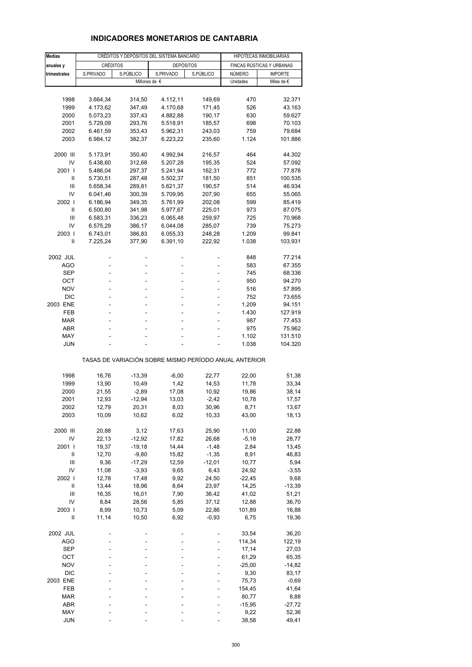# **INDICADORES MONETARIOS DE CANTABRIA**

| <b>Medias</b>  | CRÉDITOS Y DEPÓSITOS DEL SISTEMA BANCARIO |                  |                                                       |           | HIPOTECAS INMOBILIARIAS |                           |  |
|----------------|-------------------------------------------|------------------|-------------------------------------------------------|-----------|-------------------------|---------------------------|--|
| anuales y      | <b>CRÉDITOS</b>                           |                  | <b>DEPÓSITOS</b>                                      |           |                         | FINCAS RÚSTICAS Y URBANAS |  |
| trimestrales   | S.PRIVADO                                 | S.PÚBLICO        | S.PRIVADO                                             | S.PÚBLICO | NÚMERO                  | <b>IMPORTE</b>            |  |
|                |                                           |                  | Millones de €                                         |           | Unidades                | Miles de $\epsilon$       |  |
|                |                                           |                  |                                                       |           |                         |                           |  |
| 1998           | 3.664,34                                  | 314,50           | 4.112,11                                              | 149,69    | 470                     | 32.371                    |  |
| 1999           | 4.173,62                                  | 347,49           | 4.170,68                                              | 171,45    | 526                     | 43.163                    |  |
| 2000           | 5.073,23                                  | 337,43           | 4.882,88                                              | 190,17    | 630                     | 59.627                    |  |
| 2001           | 5.729,09                                  | 293,76           | 5.518,91                                              | 185,57    | 698                     | 70.103                    |  |
| 2002           | 6.461,59                                  | 353,43           | 5.962,31                                              | 243,03    | 759                     | 79.684                    |  |
| 2003           | 6.984,12                                  | 382,37           | 6.223,22                                              | 235,60    | 1.124                   | 101.886                   |  |
|                |                                           |                  |                                                       |           |                         |                           |  |
| 2000 III       | 5.173,91                                  | 350,40           | 4.992,94                                              | 216,57    | 464                     | 44.302                    |  |
| IV             | 5.438,60                                  | 312,68           | 5.207,28                                              | 195,35    | 524                     | 57.092                    |  |
| 2001 l         | 5.486,04                                  | 297,37           | 5.241,94                                              | 162,31    | 772                     | 77.878                    |  |
| Ш              | 5.730,51                                  | 287,48           | 5.502,37                                              | 181,50    | 851                     | 100.535                   |  |
| Ш              | 5.658,34                                  | 289,81           | 5.621,37                                              | 190,57    | 514                     | 46.934                    |  |
| IV             | 6.041,46                                  | 300,39           | 5.709,95                                              | 207,90    | 655                     | 55.065                    |  |
| 2002           | 6.186,94                                  | 349,35           | 5.761,99                                              | 202,08    | 599                     | 85.419                    |  |
| Ш              | 6.500,80                                  | 341,98           | 5.977,67                                              | 225,01    | 973                     | 87.075                    |  |
| Ш<br>IV        | 6.583,31                                  | 336,23           | 6.065,48                                              | 259,97    | 725                     | 70.968                    |  |
| 2003           | 6.575,29                                  | 386,17           | 6.044,08                                              | 285,07    | 739<br>1.209            | 75.273                    |  |
| Ш              | 6.743,01                                  | 386,83<br>377,90 | 6.055,33                                              | 248,28    | 1.038                   | 99.841                    |  |
|                | 7.225,24                                  |                  | 6.391,10                                              | 222,92    |                         | 103.931                   |  |
| 2002 JUL       |                                           |                  |                                                       |           | 848                     | 77.214                    |  |
| AGO            |                                           | L,               |                                                       |           | 583                     | 67.355                    |  |
| <b>SEP</b>     |                                           |                  |                                                       |           | 745                     | 68.336                    |  |
| ОСТ            | ÷.                                        | ÷.               | ÷.                                                    |           | 950                     | 94.270                    |  |
| <b>NOV</b>     |                                           |                  |                                                       |           | 516                     | 57.895                    |  |
| <b>DIC</b>     |                                           |                  |                                                       |           | 752                     | 73.655                    |  |
| 2003 ENE       | ÷.                                        | ÷.               | ä,                                                    | ä,        | 1.209                   | 94.151                    |  |
| FEB            |                                           | ä,               |                                                       |           | 1.430                   | 127.919                   |  |
| <b>MAR</b>     |                                           |                  |                                                       |           | 987                     | 77.453                    |  |
| ABR            |                                           | ÷.               |                                                       |           | 975                     | 75.962                    |  |
| MAY            |                                           |                  |                                                       |           | 1.102                   | 131.510                   |  |
| JUN            |                                           |                  |                                                       |           | 1.038                   | 104.320                   |  |
|                |                                           |                  | TASAS DE VARIACIÓN SOBRE MISMO PERÍODO ANUAL ANTERIOR |           |                         |                           |  |
|                |                                           |                  |                                                       |           |                         |                           |  |
| 1998           | 16,76                                     | $-13,39$         | $-6,00$                                               | 22,77     | 22,00                   | 51,38                     |  |
| 1999           | 13,90                                     | 10,49            | 1,42                                                  | 14,53     | 11,78                   | 33,34                     |  |
| 2000           | 21,55                                     | $-2,89$          | 17,08                                                 | 10,92     | 19,86                   | 38,14                     |  |
| 2001           | 12,93                                     | $-12,94$         | 13,03                                                 | $-2,42$   | 10,78                   | 17,57                     |  |
| 2002           | 12,79                                     | 20,31            | 8,03                                                  | 30,96     | 8,71                    | 13,67                     |  |
| 2003           | 10,09                                     | 10,62            | 6,02                                                  | 10,33     | 43,00                   | 18,13                     |  |
| 2000 III       | 20,88                                     | 3,12             | 17,63                                                 | 25,90     | 11,00                   | 22,88                     |  |
| IV             | 22,13                                     | $-12,92$         | 17,82                                                 | 26,68     | $-5,18$                 | 28,77                     |  |
| 2001           | 19,37                                     | $-19,18$         | 14,44                                                 | $-1,48$   | 2,84                    | 13,45                     |  |
| Ш              | 12,70                                     | $-9,80$          | 15,82                                                 | $-1,35$   | 8,91                    | 46,83                     |  |
| Ш              | 9,36                                      | $-17,29$         | 12,59                                                 | $-12,01$  | 10,77                   | 5,94                      |  |
| IV             | 11,08                                     | $-3,93$          | 9,65                                                  | 6,43      | 24,92                   | $-3,55$                   |  |
| 2002           | 12,78                                     | 17,48            | 9,92                                                  | 24,50     | $-22,45$                | 9,68                      |  |
| $\sf II$       | 13,44                                     | 18,96            | 8,64                                                  | 23,97     | 14,25                   | $-13,39$                  |  |
| $\mathsf{III}$ | 16,35                                     | 16,01            | 7,90                                                  | 36,42     | 41,02                   | 51,21                     |  |
| IV             | 8,84                                      | 28,56            | 5,85                                                  | 37,12     | 12,88                   | 36,70                     |  |
| 2003           | 8,99                                      | 10,73            | 5,09                                                  | 22,86     | 101,89                  | 16,88                     |  |
| Ш              | 11,14                                     | 10,50            | 6,92                                                  | $-0,93$   | 6,75                    | 19,36                     |  |
|                |                                           |                  |                                                       |           |                         |                           |  |
| 2002 JUL       |                                           |                  |                                                       |           | 33,54                   | 36,20                     |  |
| <b>AGO</b>     |                                           |                  |                                                       |           | 114,34                  | 122,19                    |  |
| <b>SEP</b>     |                                           |                  |                                                       |           | 17,14                   | 27,03                     |  |
| ОСТ            |                                           |                  |                                                       |           | 61,29                   | 65,35                     |  |
| <b>NOV</b>     |                                           |                  |                                                       |           | $-25,00$                | $-14,82$                  |  |
| <b>DIC</b>     |                                           |                  |                                                       |           | 9,30                    | 83,17                     |  |
| 2003 ENE       |                                           |                  |                                                       |           | 75,73                   | $-0,69$                   |  |
| FEB            |                                           |                  |                                                       |           | 154,45                  | 41,64                     |  |
| MAR            |                                           |                  |                                                       |           | 80,77                   | 8,88                      |  |
| ABR            |                                           |                  |                                                       |           | $-15,95$                | $-27,72$                  |  |
| MAY            |                                           |                  |                                                       |           | 9,22                    | 52,36                     |  |
| <b>JUN</b>     |                                           |                  |                                                       |           | 38,58                   | 49,41                     |  |